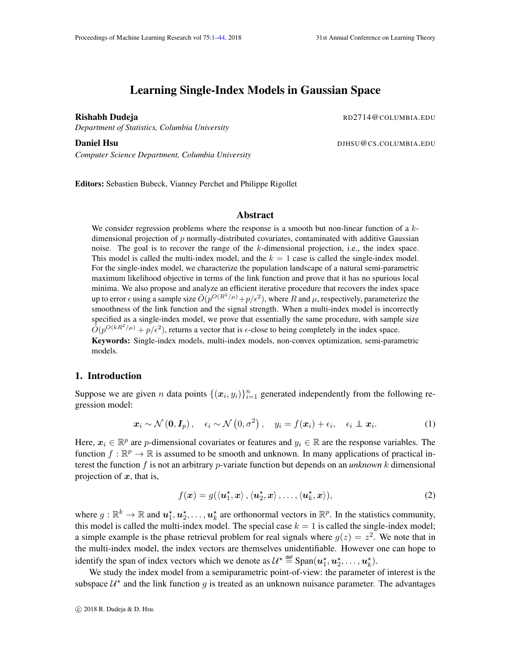# Learning Single-Index Models in Gaussian Space

<span id="page-0-0"></span>

*Department of Statistics, Columbia University*

Rishabh Dudeja **Romana Romana Romana Romana Romana Romana Romana Romana Romana Romana Romana Romana Romana Romana** 

*Computer Science Department, Columbia University*

**Daniel Hsu** DJHSU@CS.COLUMBIA.EDU

Editors: Sebastien Bubeck, Vianney Perchet and Philippe Rigollet

## Abstract

We consider regression problems where the response is a smooth but non-linear function of a  $k$ dimensional projection of p normally-distributed covariates, contaminated with additive Gaussian noise. The goal is to recover the range of the k-dimensional projection, i.e., the index space. This model is called the multi-index model, and the  $k = 1$  case is called the single-index model. For the single-index model, we characterize the population landscape of a natural semi-parametric maximum likelihood objective in terms of the link function and prove that it has no spurious local minima. We also propose and analyze an efficient iterative procedure that recovers the index space up to error  $\epsilon$  using a sample size  $\tilde{O}(p^{O(R^2/\mu)}+p/\epsilon^2)$ , where  $R$  and  $\mu$ , respectively, parameterize the smoothness of the link function and the signal strength. When a multi-index model is incorrectly specified as a single-index model, we prove that essentially the same procedure, with sample size  $\tilde{O}(p^{O(kR^2/\mu)} + p/\epsilon^2)$ , returns a vector that is  $\epsilon$ -close to being completely in the index space.

Keywords: Single-index models, multi-index models, non-convex optimization, semi-parametric models.

#### 1. Introduction

Suppose we are given *n* data points  $\{(x_i, y_i)\}_{i=1}^n$  generated independently from the following regression model:

$$
\boldsymbol{x}_{i} \sim \mathcal{N}(\boldsymbol{0}, \boldsymbol{I}_{p}), \quad \epsilon_{i} \sim \mathcal{N}\left(0, \sigma^{2}\right), \quad y_{i} = f(\boldsymbol{x}_{i}) + \epsilon_{i}, \quad \epsilon_{i} \perp \boldsymbol{x}_{i}. \tag{1}
$$

Here,  $x_i \in \mathbb{R}^p$  are p-dimensional covariates or features and  $y_i \in \mathbb{R}$  are the response variables. The function  $f : \mathbb{R}^p \to \mathbb{R}$  is assumed to be smooth and unknown. In many applications of practical interest the function f is not an arbitrary *p*-variate function but depends on an *unknown* k dimensional projection of  $x$ , that is,

<span id="page-0-2"></span><span id="page-0-1"></span>
$$
f(\boldsymbol{x}) = g(\langle \boldsymbol{u}_1^{\star}, \boldsymbol{x} \rangle, \langle \boldsymbol{u}_2^{\star}, \boldsymbol{x} \rangle, \dots, \langle \boldsymbol{u}_k^{\star}, \boldsymbol{x} \rangle), \tag{2}
$$

where  $g : \mathbb{R}^k \to \mathbb{R}$  and  $u_1^*, u_2^*, \dots, u_k^*$  are orthonormal vectors in  $\mathbb{R}^p$ . In the statistics community, this model is called the multi-index model. The special case  $k = 1$  is called the single-index model; a simple example is the phase retrieval problem for real signals where  $g(z) = z^2$ . We note that in the multi-index model, the index vectors are themselves unidentifiable. However one can hope to identify the span of index vectors which we denote as  $\mathcal{U}^{\star} \stackrel{\text{def}}{=} \text{Span}(\boldsymbol{u}_1^{\star}, \boldsymbol{u}_2^{\star}, \dots, \boldsymbol{u}_k^{\star}).$ 

We study the index model from a semiparametric point-of-view: the parameter of interest is the subspace  $\mathcal{U}^*$  and the link function g is treated as an unknown nuisance parameter. The advantages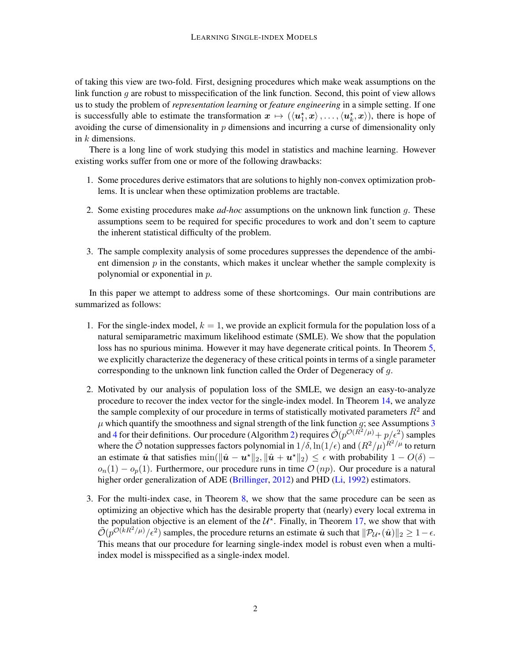of taking this view are two-fold. First, designing procedures which make weak assumptions on the link function  $q$  are robust to misspecification of the link function. Second, this point of view allows us to study the problem of *representation learning* or *feature engineering* in a simple setting. If one is successfully able to estimate the transformation  $x \mapsto (\langle u_1^*, x \rangle, \dots, \langle u_k^*, x \rangle)$ , there is hope of avoiding the curse of dimensionality in  $p$  dimensions and incurring a curse of dimensionality only in  $k$  dimensions.

There is a long line of work studying this model in statistics and machine learning. However existing works suffer from one or more of the following drawbacks:

- 1. Some procedures derive estimators that are solutions to highly non-convex optimization problems. It is unclear when these optimization problems are tractable.
- 2. Some existing procedures make *ad-hoc* assumptions on the unknown link function g. These assumptions seem to be required for specific procedures to work and don't seem to capture the inherent statistical difficulty of the problem.
- 3. The sample complexity analysis of some procedures suppresses the dependence of the ambient dimension  $p$  in the constants, which makes it unclear whether the sample complexity is polynomial or exponential in p.

In this paper we attempt to address some of these shortcomings. Our main contributions are summarized as follows:

- 1. For the single-index model,  $k = 1$ , we provide an explicit formula for the population loss of a natural semiparametric maximum likelihood estimate (SMLE). We show that the population loss has no spurious minima. However it may have degenerate critical points. In Theorem [5,](#page-6-0) we explicitly characterize the degeneracy of these critical points in terms of a single parameter corresponding to the unknown link function called the Order of Degeneracy of g.
- 2. Motivated by our analysis of population loss of the SMLE, we design an easy-to-analyze procedure to recover the index vector for the single-index model. In Theorem [14,](#page-9-0) we analyze the sample complexity of our procedure in terms of statistically motivated parameters  $R^2$  and  $\mu$  which quantify the smoothness and signal strength of the link function g; see Assumptions [3](#page-4-0) and [4](#page-4-1) for their definitions. Our procedure (Algorithm [2\)](#page-9-1) requires  $\tilde{\mathcal{O}}(p^{\mathcal{O}(R^2/\mu)} + p/\epsilon^2)$  samples where the  $\tilde{\mathcal{O}}$  notation suppresses factors polynomial in  $1/\delta$ ,  $\ln(1/\epsilon)$  and  $(R^2/\mu)^{R^2/\mu}$  to return an estimate  $\hat{u}$  that satisfies  $\min(\|\hat{u} - u^*\|_2, \|\hat{u} + u^*\|_2) \leq \epsilon$  with probability  $1 - O(\delta)$  –  $o_n(1) - o_n(1)$ . Furthermore, our procedure runs in time  $\mathcal{O}(np)$ . Our procedure is a natural higher order generalization of ADE [\(Brillinger,](#page-12-0) [2012\)](#page-12-0) and PHD [\(Li,](#page-12-1) [1992\)](#page-12-1) estimators.
- 3. For the multi-index case, in Theorem [8,](#page-7-0) we show that the same procedure can be seen as optimizing an objective which has the desirable property that (nearly) every local extrema in the population objective is an element of the  $\mathcal{U}^*$ . Finally, in Theorem [17,](#page-10-0) we show that with  $\tilde{\mathcal{O}}(p^{\mathcal{O}(kR^2/\mu)}/\epsilon^2)$  samples, the procedure returns an estimate  $\hat{u}$  such that  $\|\mathcal{P}_{\mathcal{U}^*}(\hat{u})\|_2 \geq 1 - \epsilon$ . This means that our procedure for learning single-index model is robust even when a multiindex model is misspecified as a single-index model.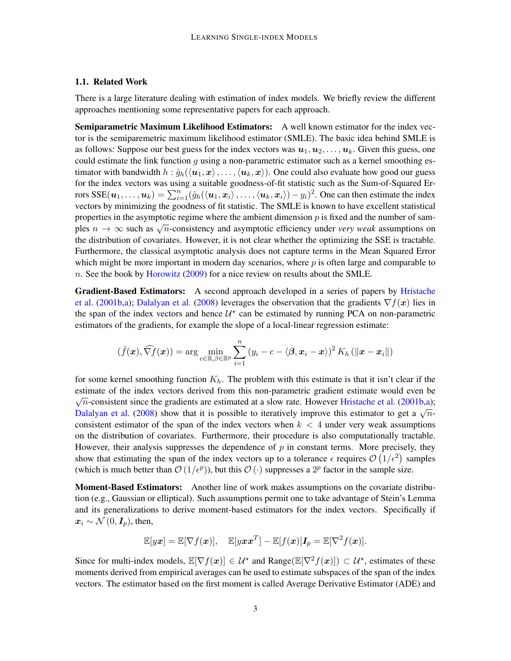#### 1.1. Related Work

There is a large literature dealing with estimation of index models. We briefly review the different approaches mentioning some representative papers for each approach.

Semiparametric Maximum Likelihood Estimators: A well known estimator for the index vector is the semiparemetric maximum likelihood estimator (SMLE). The basic idea behind SMLE is as follows: Suppose our best guess for the index vectors was  $u_1, u_2, \ldots, u_k$ . Given this guess, one could estimate the link function  $g$  using a non-parametric estimator such as a kernel smoothing estimator with bandwidth  $h : \hat{g}_h(\langle \boldsymbol{u}_1, \boldsymbol{x}\rangle, \dots, \langle \boldsymbol{u}_k, \boldsymbol{x}\rangle)$ . One could also evaluate how good our guess for the index vectors was using a suitable goodness-of-fit statistic such as the Sum-of-Squared Errors SSE $(u_1,\ldots,u_k)=\sum_{i=1}^n(\hat{g}_h(\langle \boldsymbol{u}_1,\boldsymbol{x}_i\rangle,\ldots,\langle \boldsymbol{u}_k,\boldsymbol{x}_i\rangle)-y_i)^2$ . One can then estimate the index vectors by minimizing the goodness of fit statistic. The SMLE is known to have excellent statistical properties in the asymptotic regime where the ambient dimension  $p$  is fixed and the number of samproperties in the asymptotic regime where the amouent unnersion  $p$  is fixed and the number of samples  $n \to \infty$  such as  $\sqrt{n}$ -consistency and asymptotic efficiency under *very weak* assumptions on the distribution of covariates. However, it is not clear whether the optimizing the SSE is tractable. Furthermore, the classical asymptotic analysis does not capture terms in the Mean Squared Error which might be more important in modern day scenarios, where  $p$  is often large and comparable to n. See the book by [Horowitz](#page-12-2) [\(2009\)](#page-12-2) for a nice review on results about the SMLE.

Gradient-Based Estimators: A second approach developed in a series of papers by [Hristache](#page-12-3) [et al.](#page-12-3) [\(2001b](#page-12-3)[,a\)](#page-12-4); [Dalalyan et al.](#page-12-5) [\(2008\)](#page-12-5) leverages the observation that the gradients  $\nabla f(x)$  lies in the span of the index vectors and hence  $\mathcal{U}^*$  can be estimated by running PCA on non-parametric estimators of the gradients, for example the slope of a local-linear regression estimate:

$$
(\hat{f}(\boldsymbol{x}), \widehat{\nabla f}(\boldsymbol{x})) = \arg \min_{c \in \mathbb{R}, \beta \in \mathbb{R}^p} \sum_{i=1}^n (y_i - c - \langle \boldsymbol{\beta}, \boldsymbol{x}_i - \boldsymbol{x} \rangle)^2 K_h (\|\boldsymbol{x} - \boldsymbol{x}_i\|)
$$

for some kernel smoothing function  $K_h$ . The problem with this estimate is that it isn't clear if the estimate of the index vectors derived from this non-parametric gradient estimate would even be  $\sqrt{n}$ -consistent since the gradients are estimated at a slow rate. However [Hristache et al.](#page-12-3) [\(2001b](#page-12-3)[,a\)](#page-12-4);  $\sqrt{n}$ -consistent since the gradients are estimated at a slow rate. However Historic et al. (20010,a), [Dalalyan et al.](#page-12-5) [\(2008\)](#page-12-5) show that it is possible to iteratively improve this estimator to get a  $\sqrt{n}$ consistent estimator of the span of the index vectors when  $k < 4$  under very weak assumptions on the distribution of covariates. Furthermore, their procedure is also computationally tractable. However, their analysis suppresses the dependence of  $p$  in constant terms. More precisely, they show that estimating the span of the index vectors up to a tolerance  $\epsilon$  requires  $\mathcal{O}(1/\epsilon^2)$  samples (which is much better than  $\mathcal{O}(1/\epsilon^p)$ ), but this  $\mathcal{O}(\cdot)$  suppresses a  $2^p$  factor in the sample size.

Moment-Based Estimators: Another line of work makes assumptions on the covariate distribution (e.g., Gaussian or elliptical). Such assumptions permit one to take advantage of Stein's Lemma and its generalizations to derive moment-based estimators for the index vectors. Specifically if  $x_i \sim \mathcal{N}(0, \mathbf{I}_n)$ , then,

$$
\mathbb{E}[yx] = \mathbb{E}[\nabla f(\boldsymbol{x})], \quad \mathbb{E}[y\boldsymbol{x}\boldsymbol{x}^T] - \mathbb{E}[f(\boldsymbol{x})]\boldsymbol{I}_p = \mathbb{E}[\nabla^2 f(\boldsymbol{x})].
$$

Since for multi-index models,  $\mathbb{E}[\nabla f(x)] \in \mathcal{U}^*$  and Range $(\mathbb{E}[\nabla^2 f(x)]) \subset \mathcal{U}^*$ , estimates of these moments derived from empirical averages can be used to estimate subspaces of the span of the index vectors. The estimator based on the first moment is called Average Derivative Estimator (ADE) and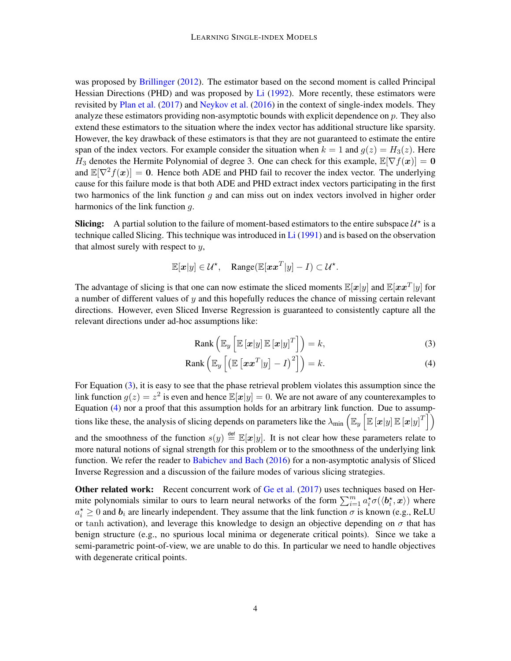was proposed by [Brillinger](#page-12-0) [\(2012\)](#page-12-0). The estimator based on the second moment is called Principal Hessian Directions (PHD) and was proposed by [Li](#page-12-1) [\(1992\)](#page-12-1). More recently, these estimators were revisited by [Plan et al.](#page-12-6) [\(2017\)](#page-12-6) and [Neykov et al.](#page-12-7) [\(2016\)](#page-12-7) in the context of single-index models. They analyze these estimators providing non-asymptotic bounds with explicit dependence on p. They also extend these estimators to the situation where the index vector has additional structure like sparsity. However, the key drawback of these estimators is that they are not guaranteed to estimate the entire span of the index vectors. For example consider the situation when  $k = 1$  and  $g(z) = H_3(z)$ . Here H<sub>3</sub> denotes the Hermite Polynomial of degree 3. One can check for this example,  $\mathbb{E}[\nabla f(\mathbf{x})] = \mathbf{0}$ and  $\mathbb{E}[\nabla^2 f(x)] = 0$ . Hence both ADE and PHD fail to recover the index vector. The underlying cause for this failure mode is that both ADE and PHD extract index vectors participating in the first two harmonics of the link function  $q$  and can miss out on index vectors involved in higher order harmonics of the link function q.

**Slicing:** A partial solution to the failure of moment-based estimators to the entire subspace  $\mathcal{U}^*$  is a technique called Slicing. This technique was introduced in [Li](#page-12-8) [\(1991\)](#page-12-8) and is based on the observation that almost surely with respect to  $y$ ,

$$
\mathbb{E}[\boldsymbol{x}|y] \in \mathcal{U}^{\star}, \quad \text{Range}(\mathbb{E}[\boldsymbol{x}\boldsymbol{x}^T|y] - I) \subset \mathcal{U}^{\star}.
$$

The advantage of slicing is that one can now estimate the sliced moments  $\mathbb{E}[x|y]$  and  $\mathbb{E}[xx^T|y]$  for a number of different values of  $y$  and this hopefully reduces the chance of missing certain relevant directions. However, even Sliced Inverse Regression is guaranteed to consistently capture all the relevant directions under ad-hoc assumptions like:

<span id="page-3-1"></span><span id="page-3-0"></span>
$$
Rank\left(\mathbb{E}_y\left[\mathbb{E}\left[\boldsymbol{x}|y\right]\mathbb{E}\left[\boldsymbol{x}|y\right]^T\right]\right) = k,
$$
\n(3)

$$
Rank\left(\mathbb{E}_y\left[\left(\mathbb{E}\left[\boldsymbol{x}\boldsymbol{x}^T|y\right]-I\right)^2\right]\right)=k.
$$
\n(4)

For Equation [\(3\)](#page-3-0), it is easy to see that the phase retrieval problem violates this assumption since the link function  $g(z) = z^2$  is even and hence  $\mathbb{E}[x|y] = 0$ . We are not aware of any counterexamples to Equation [\(4\)](#page-3-1) nor a proof that this assumption holds for an arbitrary link function. Due to assumptions like these, the analysis of slicing depends on parameters like the  $\lambda_{\min}(\mathbb{E}_y\left[\mathbb{E}\left[\bm{x}|y\right]\mathbb{E}\left[\bm{x}|y\right]^T\right])$ and the smoothness of the function  $s(y) \stackrel{\text{def}}{=} \mathbb{E}[x|y]$ . It is not clear how these parameters relate to more natural notions of signal strength for this problem or to the smoothness of the underlying link function. We refer the reader to [Babichev and Bach](#page-12-9) [\(2016\)](#page-12-9) for a non-asymptotic analysis of Sliced Inverse Regression and a discussion of the failure modes of various slicing strategies.

Other related work: Recent concurrent work of [Ge et al.](#page-12-10) [\(2017\)](#page-12-10) uses techniques based on Hermite polynomials similar to ours to learn neural networks of the form  $\sum_{i=1}^{m} a_i^* \sigma(\langle b_i^*, x \rangle)$  where  $a_i^* \geq 0$  and  $b_i$  are linearly independent. They assume that the link function  $\sigma$  is known (e.g., ReLU or tanh activation), and leverage this knowledge to design an objective depending on  $\sigma$  that has benign structure (e.g., no spurious local minima or degenerate critical points). Since we take a semi-parametric point-of-view, we are unable to do this. In particular we need to handle objectives with degenerate critical points.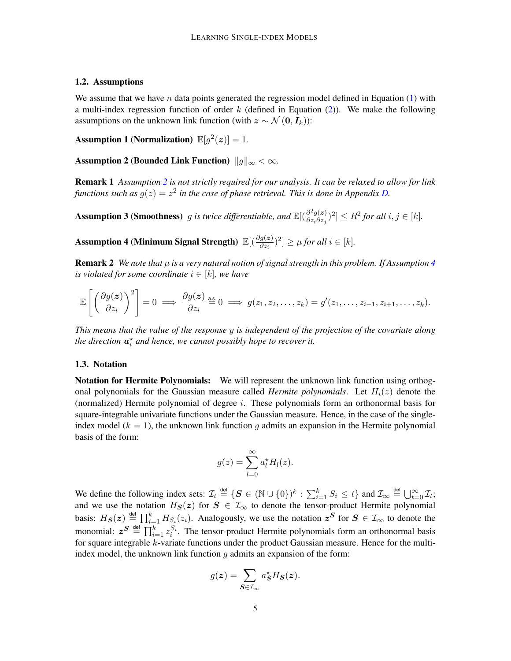### 1.2. Assumptions

<span id="page-4-3"></span>We assume that we have n data points generated the regression model defined in Equation  $(1)$  with a multi-index regression function of order  $k$  (defined in Equation [\(2\)](#page-0-2)). We make the following assumptions on the unknown link function (with  $z \sim \mathcal{N}(0, I_k)$ ):

Assumption 1 (Normalization)  $\mathbb{E}[g^2(z)] = 1$ .

<span id="page-4-2"></span>Assumption 2 (Bounded Link Function)  $||g||_{\infty} < \infty$ .

Remark 1 *Assumption [2](#page-4-2) is not strictly required for our analysis. It can be relaxed to allow for link* functions such as  $g(z) = z^2$  in the case of phase retrieval. This is done in Appendix [D.](#page-26-0)

<span id="page-4-0"></span>**Assumption 3 (Smoothness)** g is twice differentiable, and  $\mathbb{E}[(\frac{\partial^2 g(z)}{\partial z \cdot \partial z})$  $\frac{\partial^2 g(z)}{\partial z_i \partial z_j}$ <sup>2</sup>]  $\leq R^2$  for all  $i, j \in [k]$ .

<span id="page-4-1"></span>Assumption 4 (Minimum Signal Strength)  $\mathbb{E}[(\frac{\partial g(z)}{\partial z_i})^2] \geq \mu$  for all  $i \in [k]$ .

**Remark 2** *We note that*  $\mu$  *is a very natural notion of signal strength in this problem. If Assumption [4](#page-4-1) is violated for some coordinate*  $i \in [k]$ *, we have* 

$$
\mathbb{E}\left[\left(\frac{\partial g(z)}{\partial z_i}\right)^2\right] = 0 \implies \frac{\partial g(z)}{\partial z_i} \stackrel{\text{a.s.}}{=} 0 \implies g(z_1, z_2, \dots, z_k) = g'(z_1, \dots, z_{i-1}, z_{i+1}, \dots, z_k).
$$

*This means that the value of the response* y *is independent of the projection of the covariate along* the direction  $\boldsymbol{u}_i^\star$  and hence, we cannot possibly hope to recover it.

#### 1.3. Notation

**Notation for Hermite Polynomials:** We will represent the unknown link function using orthogonal polynomials for the Gaussian measure called *Hermite polynomials*. Let  $H_i(z)$  denote the (normalized) Hermite polynomial of degree  $i$ . These polynomials form an orthonormal basis for square-integrable univariate functions under the Gaussian measure. Hence, in the case of the singleindex model ( $k = 1$ ), the unknown link function g admits an expansion in the Hermite polynomial basis of the form:

$$
g(z) = \sum_{l=0}^{\infty} a_l^* H_l(z).
$$

We define the following index sets:  $\mathcal{I}_t \triangleq \{ \mathbf{S} \in (\mathbb{N} \cup \{0\})^k : \sum_{i=1}^k S_i \le t \}$  and  $\mathcal{I}_\infty \triangleq \bigcup_{t=0}^\infty \mathcal{I}_t$ ; and we use the notation  $H_S(z)$  for  $S \in \mathcal{I}_{\infty}$  to denote the tensor-product Hermite polynomial basis:  $H_S(z) \stackrel{\text{def}}{=} \prod_{i=1}^k H_{S_i}(z_i)$ . Analogously, we use the notation  $z^S$  for  $S \in \mathcal{I}_{\infty}$  to denote the monomial:  $z^S \stackrel{\text{def}}{=} \prod_{i=1}^k z_i^{S_i}$ . The tensor-product Hermite polynomials form an orthonormal basis for square integrable k-variate functions under the product Gaussian measure. Hence for the multiindex model, the unknown link function  $g$  admits an expansion of the form:

$$
g(z) = \sum_{\mathbf{S} \in \mathcal{I}_{\infty}} a_{\mathbf{S}}^{\star} H_{\mathbf{S}}(z).
$$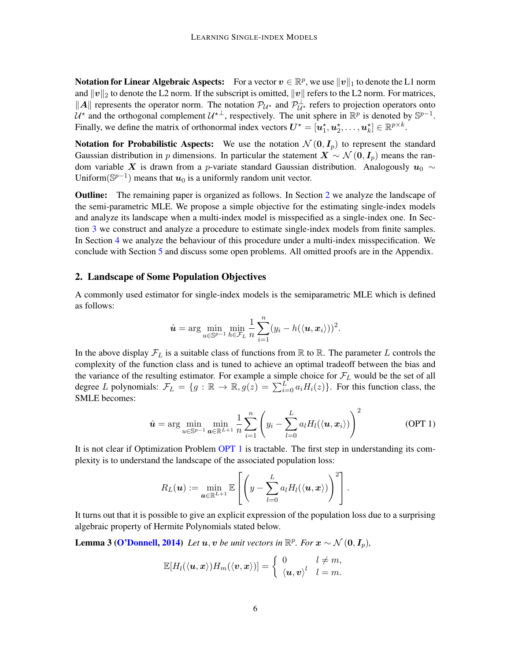**Notation for Linear Algebraic Aspects:** For a vector  $v \in \mathbb{R}^p$ , we use  $\|v\|_1$  to denote the L1 norm and  $||v||_2$  to denote the L2 norm. If the subscript is omitted,  $||v||$  refers to the L2 norm. For matrices, ||A|| represents the operator norm. The notation  $\mathcal{P}_{\mathcal{U}^*}$  and  $\mathcal{P}_{\mathcal{U}^*}^{\perp}$  refers to projection operators onto  $\mathcal{U}^*$  and the orthogonal complement  $\mathcal{U}^{*\perp}$ , respectively. The unit sphere in  $\mathbb{R}^p$  is denoted by  $\mathbb{S}^{p-1}$ . Finally, we define the matrix of orthonormal index vectors  $\mathbf{U}^{\star} = [\boldsymbol{u}_1^{\star}, \boldsymbol{u}_2^{\star}, \dots, \boldsymbol{u}_k^{\star}] \in \mathbb{R}^{p \times k}$ .

Notation for Probabilistic Aspects: We use the notation  $\mathcal{N}(0, I_p)$  to represent the standard Gaussian distribution in p dimensions. In particular the statement  $X \sim \mathcal{N}(0, I_p)$  means the random variable X is drawn from a p-variate standard Gaussian distribution. Analogously  $u_0 \sim$ Uniform( $\mathbb{S}^{p-1}$ ) means that  $u_0$  is a uniformly random unit vector.

Outline: The remaining paper is organized as follows. In Section [2](#page-5-0) we analyze the landscape of the semi-parametric MLE. We propose a simple objective for the estimating single-index models and analyze its landscape when a multi-index model is misspecified as a single-index one. In Section [3](#page-7-1) we construct and analyze a procedure to estimate single-index models from finite samples. In Section [4](#page-10-1) we analyze the behaviour of this procedure under a multi-index misspecification. We conclude with Section [5](#page-11-0) and discuss some open problems. All omitted proofs are in the Appendix.

#### <span id="page-5-0"></span>2. Landscape of Some Population Objectives

A commonly used estimator for single-index models is the semiparametric MLE which is defined as follows:

$$
\hat{\mathbf{u}} = \arg\min_{\mathbf{u}\in\mathbb{S}^{p-1}}\min_{h\in\mathcal{F}_L}\frac{1}{n}\sum_{i=1}^n(y_i - h(\langle \mathbf{u}, \mathbf{x}_i \rangle))^2.
$$

In the above display  $\mathcal{F}_L$  is a suitable class of functions from  $\mathbb R$  to  $\mathbb R$ . The parameter L controls the complexity of the function class and is tuned to achieve an optimal tradeoff between the bias and the variance of the resulting estimator. For example a simple choice for  $\mathcal{F}_L$  would be the set of all degree L polynomials:  $\mathcal{F}_L = \{g : \mathbb{R} \to \mathbb{R}, g(z) = \sum_{i=0}^{L} a_i H_i(z)\}\.$  For this function class, the SMLE becomes:

$$
\hat{\mathbf{u}} = \arg \min_{\mathbf{u} \in \mathbb{S}^{p-1}} \min_{\mathbf{a} \in \mathbb{R}^{L+1}} \frac{1}{n} \sum_{i=1}^{n} \left( y_i - \sum_{l=0}^{L} a_l H_l(\langle \mathbf{u}, \mathbf{x}_i \rangle) \right)^2 \tag{OPT 1}
$$

It is not clear if Optimization Problem [OPT 1](#page-5-1) is tractable. The first step in understanding its complexity is to understand the landscape of the associated population loss:

<span id="page-5-1"></span>
$$
R_L(\boldsymbol{u}) := \min_{\boldsymbol{a} \in \mathbb{R}^{L+1}} \mathbb{E}\left[\left(y - \sum_{l=0}^L a_l H_l(\langle \boldsymbol{u}, \boldsymbol{x} \rangle)\right)^2\right].
$$

It turns out that it is possible to give an explicit expression of the population loss due to a surprising algebraic property of Hermite Polynomials stated below.

**Lemma 3 [\(O'Donnell,](#page-12-11) [2014\)](#page-12-11)** *Let*  $u, v$  *be unit vectors in*  $\mathbb{R}^p$ *. For*  $x \sim \mathcal{N}(0, I_p)$ *,* 

<span id="page-5-2"></span>
$$
\mathbb{E}[H_l(\langle \boldsymbol{u}, \boldsymbol{x} \rangle)H_m(\langle \boldsymbol{v}, \boldsymbol{x} \rangle)] = \begin{cases} 0 & l \neq m, \\ \langle \boldsymbol{u}, \boldsymbol{v} \rangle^l & l = m. \end{cases}
$$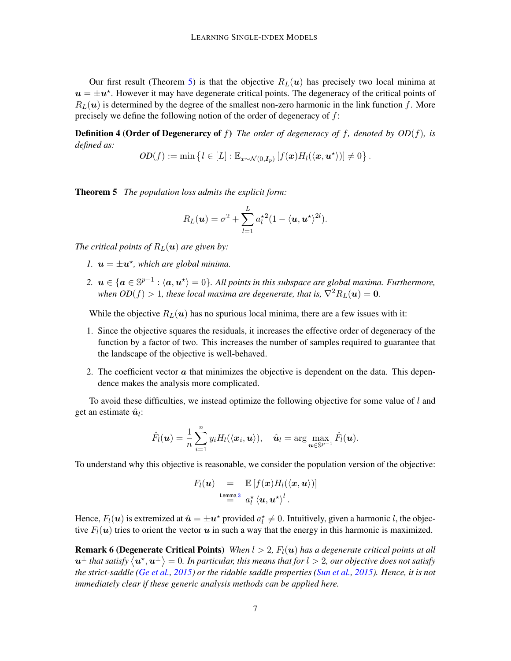Our first result (Theorem [5\)](#page-6-0) is that the objective  $R_L(u)$  has precisely two local minima at  $u = \pm u^*$ . However it may have degenerate critical points. The degeneracy of the critical points of  $R_L(u)$  is determined by the degree of the smallest non-zero harmonic in the link function f. More precisely we define the following notion of the order of degeneracy of f:

Definition 4 (Order of Degenerarcy of f) *The order of degeneracy of* f*, denoted by OD*(f)*, is defined as:*

$$
OD(f) := \min \left\{ l \in [L] : \mathbb{E}_{x \sim \mathcal{N}(0, \mathbf{I}_p)} \left[ f(x) H_l(\langle x, \boldsymbol{u}^{\star} \rangle) \right] \neq 0 \right\}.
$$

<span id="page-6-0"></span>Theorem 5 *The population loss admits the explicit form:*

$$
R_L(\boldsymbol{u}) = \sigma^2 + \sum_{l=1}^L a_l^{\star 2} (1 - \langle \boldsymbol{u}, \boldsymbol{u}^{\star} \rangle^{2l}).
$$

*The critical points of*  $R_L(\mathbf{u})$  *are given by:* 

- *1.*  $u = \pm u^*$ , which are global minima.
- 2.  $u \in \{a \in \mathbb{S}^{p-1} : \langle a, u^* \rangle = 0\}$ . All points in this subspace are global maxima. Furthermore, *when*  $OD(f) > 1$ , these local maxima are degenerate, that is,  $\nabla^2 R_L(\boldsymbol{u}) = 0$ .

While the objective  $R_L(\mathbf{u})$  has no spurious local minima, there are a few issues with it:

- 1. Since the objective squares the residuals, it increases the effective order of degeneracy of the function by a factor of two. This increases the number of samples required to guarantee that the landscape of the objective is well-behaved.
- 2. The coefficient vector  $\alpha$  that minimizes the objective is dependent on the data. This dependence makes the analysis more complicated.

To avoid these difficulties, we instead optimize the following objective for some value of  $l$  and get an estimate  $\hat{u}_l$ :

$$
\hat{F}_l(\boldsymbol{u}) = \frac{1}{n} \sum_{i=1}^n y_i H_l(\langle \boldsymbol{x}_i, \boldsymbol{u} \rangle), \quad \hat{\boldsymbol{u}}_l = \arg \max_{\boldsymbol{u} \in \mathbb{S}^{p-1}} \hat{F}_l(\boldsymbol{u}).
$$

To understand why this objective is reasonable, we consider the population version of the objective:

$$
F_l(\boldsymbol{u}) = \mathbb{E}\left[f(\boldsymbol{x})H_l(\langle \boldsymbol{x}, \boldsymbol{u} \rangle)\right]
$$
  
Lemma 3  $a_l^{\star} \langle \boldsymbol{u}, \boldsymbol{u}^{\star} \rangle^l$ .

Hence,  $F_l(\bm{u})$  is extremized at  $\hat{\bm{u}} = \pm \bm{u}^\star$  provided  $a_l^\star \neq 0$ . Intuitively, given a harmonic l, the objective  $F_l(u)$  tries to orient the vector u in such a way that the energy in this harmonic is maximized.

**Remark 6 (Degenerate Critical Points)** *When*  $l > 2$ ,  $F_l(u)$  *has a degenerate critical points at all*  $\bm{u}^\perp$  that satisfy  $\langle\bm{u}^\star,\bm{u}^\perp\rangle=0.$  In particular, this means that for  $l>2$ , our objective does not satisfy *the strict-saddle [\(Ge et al.,](#page-12-12) [2015\)](#page-12-12) or the ridable saddle properties [\(Sun et al.,](#page-12-13) [2015\)](#page-12-13). Hence, it is not immediately clear if these generic analysis methods can be applied here.*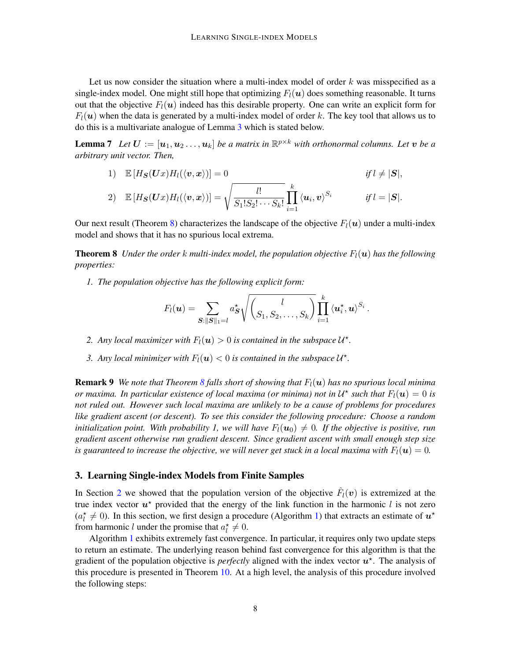Let us now consider the situation where a multi-index model of order  $k$  was misspecified as a single-index model. One might still hope that optimizing  $F_l(u)$  does something reasonable. It turns out that the objective  $F_l(u)$  indeed has this desirable property. One can write an explicit form for  $F_l(\boldsymbol{u})$  when the data is generated by a multi-index model of order k. The key tool that allows us to do this is a multivariate analogue of Lemma [3](#page-5-2) which is stated below.

**Lemma 7** Let  $\boldsymbol{U} := [\boldsymbol{u}_1, \boldsymbol{u}_2 \dots, \boldsymbol{u}_k]$  be a matrix in  $\mathbb{R}^{p \times k}$  with orthonormal columns. Let  $\boldsymbol{v}$  be a *arbitrary unit vector. Then,*

<span id="page-7-2"></span>1) 
$$
\mathbb{E}[H_{\mathbf{S}}(\mathbf{U}x)H_{l}(\langle \mathbf{v}, \mathbf{x} \rangle)] = 0
$$
 if  $l \neq |\mathbf{S}|$ ,  
\n2)  $\mathbb{E}[H_{\mathbf{S}}(\mathbf{U}x)H_{l}(\langle \mathbf{v}, \mathbf{x} \rangle)] = \sqrt{\frac{l!}{S_{1}!S_{2}! \cdots S_{k}!}} \prod_{i=1}^{k} \langle \mathbf{u}_{i}, \mathbf{v} \rangle^{S_{i}}$  if  $l = |\mathbf{S}|$ .

Our next result (Theorem [8\)](#page-7-0) characterizes the landscape of the objective  $F_l(u)$  under a multi-index model and shows that it has no spurious local extrema.

**Theorem 8** *Under the order k multi-index model, the population objective*  $F_l(\boldsymbol{u})$  has the following *properties:*

*1. The population objective has the following explicit form:*

$$
F_l(\boldsymbol{u}) = \sum_{\boldsymbol{S}: \|\boldsymbol{S}\|_1 = l} a_{\boldsymbol{S}}^{\star} \sqrt{\left(\frac{l}{S_1, S_2, \ldots, S_k}\right)} \prod_{i=1}^k \langle \boldsymbol{u}_i^{\star}, \boldsymbol{u} \rangle^{S_i}.
$$

- 2. Any local maximizer with  $F_l(\boldsymbol{u}) > 0$  is contained in the subspace  $\mathcal{U}^*$ .
- <span id="page-7-0"></span>3. Any local minimizer with  $F_l(\boldsymbol{u}) < 0$  is contained in the subspace  $\mathcal{U}^*$ .

**Remark 9** *We note that Theorem [8](#page-7-0) falls short of showing that*  $F_l(u)$  *has no spurious local minima or maxima. In particular existence of local maxima (or minima) not in*  $\mathcal{U}^\star$  *such that*  $F_l(\bm{u}) = 0$  *is not ruled out. However such local maxima are unlikely to be a cause of problems for procedures like gradient ascent (or descent). To see this consider the following procedure: Choose a random initialization point. With probability 1, we will have*  $F_l(\mathbf{u}_0) \neq 0$ . If the objective is positive, run *gradient ascent otherwise run gradient descent. Since gradient ascent with small enough step size is guaranteed to increase the objective, we will never get stuck in a local maxima with*  $F_l(u) = 0$ .

#### <span id="page-7-1"></span>3. Learning Single-index Models from Finite Samples

In Section [2](#page-5-0) we showed that the population version of the objective  $\hat{F}_l(v)$  is extremized at the true index vector  $u^*$  provided that the energy of the link function in the harmonic l is not zero  $(a_l^* \neq 0)$ . In this section, we first design a procedure (Algorithm [1\)](#page-8-0) that extracts an estimate of  $u^*$ from harmonic l under the promise that  $a_l^* \neq 0$ .

Algorithm [1](#page-8-0) exhibits extremely fast convergence. In particular, it requires only two update steps to return an estimate. The underlying reason behind fast convergence for this algorithm is that the gradient of the population objective is *perfectly* aligned with the index vector  $u^*$ . The analysis of this procedure is presented in Theorem [10.](#page-8-1) At a high level, the analysis of this procedure involved the following steps: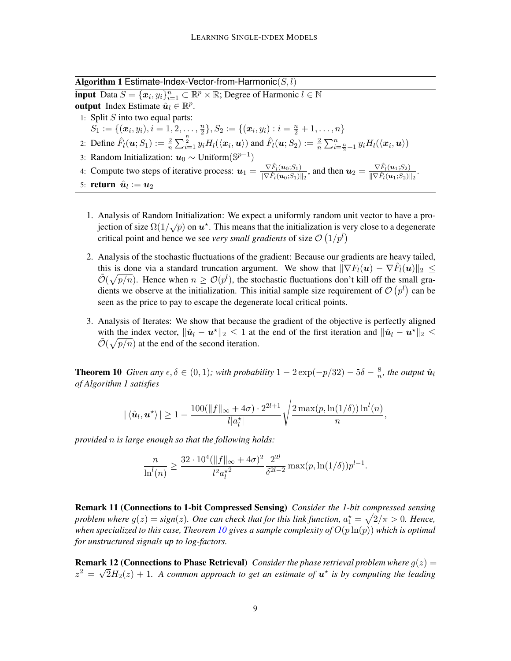Algorithm 1 Estimate-Index-Vector-from-Harmonic $(S, l)$ 

<span id="page-8-0"></span>**input** Data  $S = {\mathbf{x}_i, y_i}_{i=1}^n \subset \mathbb{R}^p \times \mathbb{R}$ ; Degree of Harmonic  $l \in \mathbb{N}$ output Index Estimate  $\hat{u}_l \in \mathbb{R}^p$ . 1: Split  $S$  into two equal parts:  $S_1 := \{(\boldsymbol{x}_i, y_i), i = 1, 2, \ldots, \frac{n}{2}\}$  $\{\frac{n}{2}\}, S_2 := \{(\boldsymbol{x}_i, y_i) : i = \frac{n}{2} + 1, \ldots, n\}$ 2: Define  $\hat{F}_l(\boldsymbol{u}; S_1) := \frac{2}{n} \sum_{i=1}^n y_i H_l(\langle \boldsymbol{x}_i, \boldsymbol{u} \rangle)$  and  $\hat{F}_l(\boldsymbol{u}; S_2) := \frac{2}{n} \sum_{i=\frac{n}{2}+1}^n y_i H_l(\langle \boldsymbol{x}_i, \boldsymbol{u} \rangle)$ 3: Random Initialization:  $u_0 \sim$  Uniform( $\mathbb{S}^{p-1}$ ) 4: Compute two steps of iterative process:  $u_1 = \frac{\nabla \hat{F}_l(u_0; S_1)}{\|\nabla \hat{F}_l(u_0; S_1)\|}$  $\frac{\nabla \hat{F}_l(\boldsymbol{u}_0; S_1)}{\|\nabla \hat{F}_l(\boldsymbol{u}_0; S_1)\|_2}$ , and then  $\boldsymbol{u}_2 = \frac{\nabla \hat{F}_l(\boldsymbol{u}_1; S_2)}{\|\nabla \hat{F}_l(\boldsymbol{u}_1; S_2)\|_2}$  $\frac{\nabla F_l(\bm{u}_1;S_2)}{\|\nabla \hat{F}_l(\bm{u}_1;S_2)\|_2}.$ 

- 5: **return**  $\hat{\boldsymbol{u}}_l := \boldsymbol{u}_2$ 
	- 1. Analysis of Random Initialization: We expect a uniformly random unit vector to have a pro- $\sum_{i=1}^{n} \frac{d}{dx}$  of Nandom initialization. We expect a uniformly random unit vector to have a procritical point and hence we see *very small gradients* of size  $\mathcal{O}(1/p^l)$
	- 2. Analysis of the stochastic fluctuations of the gradient: Because our gradients are heavy tailed, this is done via a standard truncation argument. We show that  $\|\nabla F_l(\boldsymbol{u}) - \nabla \hat{F}_l(\boldsymbol{u})\|_2 \leq$  $\tilde{\mathcal{O}}(\sqrt{p/n})$ . Hence when  $n \geq \mathcal{O}(p^l)$ , the stochastic fluctuations don't kill off the small gradients we observe at the initialization. This initial sample size requirement of  $\mathcal{O}(p^l)$  can be seen as the price to pay to escape the degenerate local critical points.
	- 3. Analysis of Iterates: We show that because the gradient of the objective is perfectly aligned with the index vector,  $\|\hat{\bm{u}}_l - \bm{u}^*\|_2 \leq 1$  at the end of the first iteration and  $\|\hat{\bm{u}}_l - \bm{u}^*\|_2 \leq 1$  $\tilde{O}(\sqrt{p/n})$  at the end of the second iteration.

<span id="page-8-1"></span>**Theorem 10** *Given any*  $\epsilon, \delta \in (0, 1)$ *; with probability*  $1 - 2\exp(-p/32) - 5\delta - \frac{8}{n}$  $\frac{8}{n}$ , the output  $\hat{\bm{u}}_l$ *of Algorithm 1 satisfies*

$$
|\langle \hat{\boldsymbol{u}}_l, \boldsymbol{u}^\star\rangle| \geq 1 - \frac{100(\|f\|_\infty + 4\sigma) \cdot 2^{2l+1}}{l|a_l^\star|} \sqrt{\frac{2\max(p,\ln(1/\delta))\ln^l(n)}{n}},
$$

*provided* n *is large enough so that the following holds:*

$$
\frac{n}{\ln^l(n)} \ge \frac{32 \cdot 10^4 (\|f\|_{\infty} + 4\sigma)^2}{l^2 {\alpha_l^*}^2} \frac{2^{2l}}{\delta^{2l-2}} \max(p, \ln(1/\delta)) p^{l-1}.
$$

Remark 11 (Connections to 1-bit Compressed Sensing) *Consider the 1-bit compressed sensing* problem where  $g(z) = sign(z)$ . One can check that for this link function,  $a_1^{\star} = \sqrt{2/\pi} > 0$ . Hence, *when specialized to this case, Theorem [10](#page-8-1) gives a sample complexity of*  $O(p \ln(p))$  *which is optimal for unstructured signals up to log-factors.*

**Remark 12 (Connections to Phase Retrieval)** *Consider the phase retrieval problem where*  $g(z) =$  $z^2 = \sqrt{2}H_2(z) + 1$ . A common approach to get an estimate of  $u^*$  is by computing the leading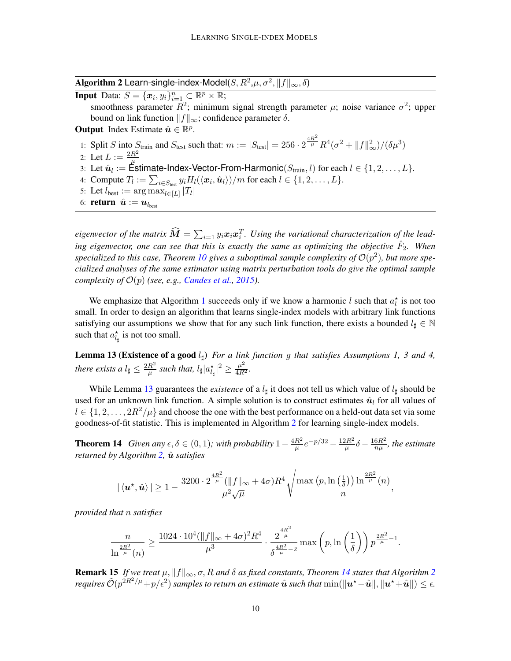Algorithm 2 Learn-single-index-Model $(S,R^2,\mu,\sigma^2,\|f\|_\infty,\delta)$ 

**Input** Data:  $S = {\mathbf{x}_i, y_i}_{i=1}^n \subset \mathbb{R}^p \times \mathbb{R}$ ;

smoothness parameter  $R^2$ ; minimum signal strength parameter  $\mu$ ; noise variance  $\sigma^2$ ; upper bound on link function  $||f||_{\infty}$ ; confidence parameter  $\delta$ .

**Output** Index Estimate  $\hat{\mathbf{u}} \in \mathbb{R}^p$ .

1: Split S into  $S_{\text{train}}$  and  $S_{\text{test}}$  such that:  $m := |S_{\text{test}}| = 256 \cdot 2^{\frac{4R^2}{\mu}} R^4 (\sigma^2 + ||f||^2_{\infty})/(\delta \mu^3)$ 

- 2: Let  $L := \frac{2R^2}{r}$
- 3: Let  $\hat{u}_l := \frac{\mu}{L}$  is timate-Index-Vector-From-Harmonic $(S_{\text{train}}, l)$  for each  $l \in \{1, 2, \ldots, L\}$ .
- 4: Compute  $T_l := \sum_{i \in S_{\text{test}}} y_i H_l(\langle x_i, \hat{u}_l \rangle)/m$  for each  $l \in \{1, 2, \ldots, L\}.$
- <span id="page-9-1"></span>5: Let  $l_{best} := \arg \max_{l \in [L]} |T_l|$
- 6: **return**  $\hat{\boldsymbol{u}} := \boldsymbol{u}_{l_{\text{best}}}$

eigenvector of the matrix  $\widehat{M} = \sum_{i=1} y_i x_i x_i^T$ . Using the variational characterization of the leading eigenvector, one can see that this is exactly the same as optimizing the objective  $\hat{F}_2$ . When specialized to this case, Theorem [10](#page-8-1) gives a suboptimal sample complexity of  $\mathcal{O}(p^2)$ , but more spe*cialized analyses of the same estimator using matrix perturbation tools do give the optimal sample complexity of*  $\mathcal{O}(p)$  *(see, e.g., [Candes et al.,](#page-12-14) [2015\)](#page-12-14).* 

We emphasize that Algorithm [1](#page-8-0) succeeds only if we know a harmonic l such that  $a_l^*$  is not too small. In order to design an algorithm that learns single-index models with arbitrary link functions satisfying our assumptions we show that for any such link function, there exists a bounded  $l_{\sharp} \in \mathbb{N}$ such that  $a_{l_\sharp}^{\star}$  is not too small.

<span id="page-9-2"></span>Lemma 13 (Existence of a good  $l_{\sharp}$ ) *For a link function g that satisfies Assumptions 1, 3 and 4, there exists a*  $l_{\sharp} \leq \frac{2R^2}{\mu}$  $\frac{R^2}{\mu}$  such that,  $l_\sharp |a^\star_{l_\sharp}|^2 \geq \frac{\mu^2}{4R^2}$ .

While Lemma [13](#page-9-2) guarantees the *existence* of a  $l_{\sharp}$  it does not tell us which value of  $l_{\sharp}$  should be used for an unknown link function. A simple solution is to construct estimates  $\hat{u}_l$  for all values of  $l \in \{1, 2, \ldots, 2R^2/\mu\}$  and choose the one with the best performance on a held-out data set via some goodness-of-fit statistic. This is implemented in Algorithm [2](#page-9-1) for learning single-index models.

<span id="page-9-0"></span>**Theorem 14** *Given any*  $\epsilon, \delta \in (0, 1)$ *; with probability*  $1 - \frac{4R^2}{\mu}$  $\frac{R^2}{\mu}e^{-p/32} - \frac{12R^2}{\mu}$  $\frac{2R^2}{\mu}\delta - \frac{16R^2}{n\mu}$  $\frac{6R^2}{n\mu}$ , the estimate *returned by Algorithm [2,](#page-9-1)*  $\hat{u}$  *satisfies* 

$$
|\left\langle \bm{u}^\star, \hat{\bm{u}}\right\rangle| \geq 1 - \frac{3200\cdot 2^{\frac{4R^2}{\mu}}(\|f\|_\infty+4\sigma)R^4}{\mu^2\sqrt{\mu}}\sqrt{\frac{\max\left(p,\ln\left(\frac{1}{\delta}\right)\right)\ln^{\frac{2R^2}{\mu}}(n)}{n}}
$$

,

*provided that* n *satisfies*

$$
\frac{n}{\ln^{\frac{2R^2}{\mu}}(n)} \geq \frac{1024 \cdot 10^4 (\|f\|_{\infty} + 4\sigma)^2 R^4}{\mu^3} \cdot \frac{2^{\frac{4R^2}{\mu}}}{\delta^{\frac{4R^2}{\mu}-2}} \max\left(p, \ln\left(\frac{1}{\delta}\right)\right) p^{\frac{2R^2}{\mu}-1}.
$$

**Remark 15** *If we treat*  $\mu$ ,  $||f||_{\infty}$ ,  $\sigma$ ,  $R$  *and*  $\delta$  *as fixed constants, Theorem* [14](#page-9-0) *states that Algorithm* [2](#page-9-1) *requires*  $\tilde{\cal O}(p^{2R^2/\mu}+p/\epsilon^2)$  *samples to return an estimate*  $\hat{\bm u}$  *such that*  $\min(\|\bm u^\star\!-\!\hat{\bm u}\|,\|\bm u^\star\!+\!\hat{\bm u}\|)\leq \epsilon.$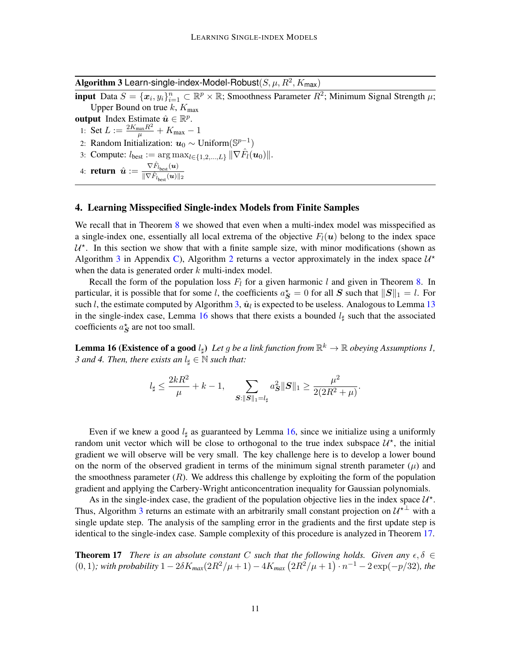Algorithm 3 Learn-single-index-Model-Robust $(S, \mu, R^2, K_{\sf max})$ 

<span id="page-10-2"></span>input Data  $S = \{x_i, y_i\}_{i=1}^n \subset \mathbb{R}^p \times \mathbb{R}$ ; Smoothness Parameter  $R^2$ ; Minimum Signal Strength  $\mu$ ; Upper Bound on true  $k$ ,  $K_{\text{max}}$ 

output Index Estimate  $\hat{u} \in \mathbb{R}^p$ .

1: Set  $L := \frac{2K_{\max}R^2}{\mu} + K_{\max} - 1$ 

2: Random Initialization:  $u_0 \sim$  Uniform( $\mathbb{S}^{p-1}$ )

3: Compute:  $l_{best} := \arg \max_{l \in \{1, 2, ..., L\}} ||\nabla \hat{F}_l(u_0)||.$ 

4: **return**  $\hat{\boldsymbol{u}} := \frac{\nabla \hat{F}_{l_{\text{best}}}(\boldsymbol{u})}{\|\nabla \hat{F}_{l_{\text{best}}}(\boldsymbol{u})\|}$  $\overline{\|\nabla \hat{F}_{l_{\text{best}}}(\boldsymbol{u})\|_2}$ 

## <span id="page-10-1"></span>4. Learning Misspecified Single-index Models from Finite Samples

We recall that in Theorem [8](#page-7-0) we showed that even when a multi-index model was misspecified as a single-index one, essentially all local extrema of the objective  $F_l(u)$  belong to the index space  $U^*$ . In this section we show that with a finite sample size, with minor modifications (shown as Algorithm [3](#page-10-2) in Appendix [C\)](#page-21-0), Algorithm [2](#page-9-1) returns a vector approximately in the index space  $\mathcal{U}^*$ when the data is generated order  $k$  multi-index model.

Recall the form of the population loss  $F_l$  for a given harmonic l and given in Theorem [8.](#page-7-0) In particular, it is possible that for some l, the coefficients  $a^*_{\mathbf{S}} = 0$  for all  $\mathbf{S}$  such that  $\|\mathbf{S}\|_1 = l$ . For such *l*, the estimate computed by Algorithm [3,](#page-10-2)  $\hat{u}_l$  is expected to be useless. Analogous to Lemma [13](#page-9-2) in the single-index case, Lemma [16](#page-10-3) shows that there exists a bounded  $l_{\sharp}$  such that the associated coefficients  $a_S^*$  are not too small.

<span id="page-10-3"></span>**Lemma 16 (Existence of a good**  $l_{\sharp}$ ) Let g be a link function from  $\mathbb{R}^k \to \mathbb{R}$  obeying Assumptions 1, *3 and 4. Then, there exists an*  $l_{\sharp} \in \mathbb{N}$  *such that:* 

$$
l_{\sharp} \leq \frac{2kR^2}{\mu} + k - 1
$$
, 
$$
\sum_{\mathbf{S}: \|\mathbf{S}\|_1 = l_{\sharp}} a_{\mathbf{S}}^2 \|\mathbf{S}\|_1 \geq \frac{\mu^2}{2(2R^2 + \mu)}.
$$

Even if we knew a good  $l_{\text{H}}$  as guaranteed by Lemma [16,](#page-10-3) since we initialize using a uniformly random unit vector which will be close to orthogonal to the true index subspace  $\mathcal{U}^*$ , the initial gradient we will observe will be very small. The key challenge here is to develop a lower bound on the norm of the observed gradient in terms of the minimum signal strenth parameter  $(\mu)$  and the smoothness parameter  $(R)$ . We address this challenge by exploiting the form of the population gradient and applying the Carbery-Wright anticoncentration inequality for Gaussian polynomials.

As in the single-index case, the gradient of the population objective lies in the index space  $\mathcal{U}^*$ . Thus, Algorithm [3](#page-10-2) returns an estimate with an arbitrarily small constant projection on  $\mathcal{U}^{\star \perp}$  with a single update step. The analysis of the sampling error in the gradients and the first update step is identical to the single-index case. Sample complexity of this procedure is analyzed in Theorem [17.](#page-10-0)

<span id="page-10-0"></span>**Theorem 17** *There is an absolute constant* C *such that the following holds. Given any*  $\epsilon, \delta \in$ (0, 1)*;* with probability 1 −  $2δK_{max}(2R^2/\mu + 1) - 4K_{max}(2R^2/\mu + 1) \cdot n^{-1} - 2 \exp(-p/32)$ , the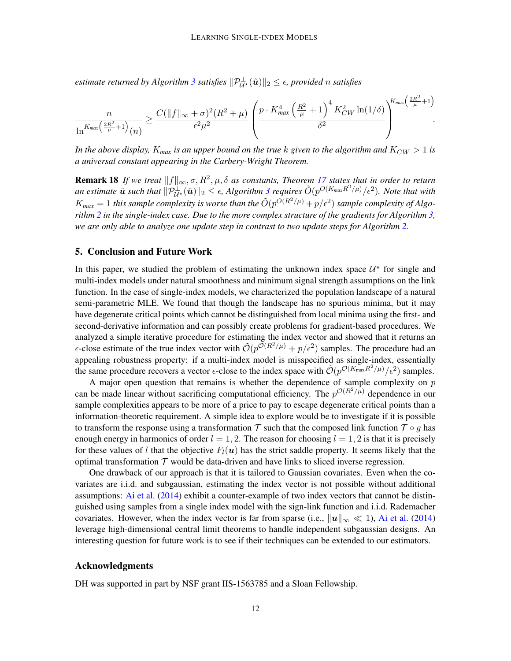$e$ stimate returned by Algorithm [3](#page-10-2) satisfies  $\|\mathcal{P}_{\mathcal{U}^{\star}}^{\perp}(\hat{\bm{u}})\|_2 \leq \epsilon$ , provided  $n$  satisfies

$$
\frac{n}{\ln^{K_{max}\left(\frac{2R^2}{\mu}+1\right)}(n)} \geq \frac{C(\|f\|_{\infty}+\sigma)^2 (R^2+\mu)}{\epsilon^2\mu^2} \left(\frac{p\cdot K_{max}^4\left(\frac{R^2}{\mu}+1\right)^4 K_{CW}^2\ln(1/\delta)}{\delta^2}\right)^{K_{max}\left(\frac{2R^2}{\mu}+1\right)}.
$$

*In the above display,*  $K_{max}$  *is an upper bound on the true* k *given to the algorithm and*  $K_{CW} > 1$  *is a universal constant appearing in the Carbery-Wright Theorem.*

**Remark 18** If we treat  $||f||_{\infty}, \sigma, R^2, \mu, \delta$  as constants, Theorem [17](#page-10-0) states that in order to return an estimate  $\hat{\bm{u}}$  such that  $\|\mathcal{P}_{\bm{U}^{\star}}^{\perp}(\hat{\bm{u}})\|_2 \leq \epsilon$ , Algorithm [3](#page-10-2) requires  $\tilde{O}(p^{O(K_{max}R^2/\mu)}/\epsilon^2)$ . Note that with  $K_{max} = 1$  this sample complexity is worse than the  $\tilde{O}(p^{O(R^2/\mu)} + p/\epsilon^2)$  sample complexity of Algo*rithm [2](#page-9-1) in the single-index case. Due to the more complex structure of the gradients for Algorithm [3,](#page-10-2) we are only able to analyze one update step in contrast to two update steps for Algorithm [2.](#page-9-1)*

#### <span id="page-11-0"></span>5. Conclusion and Future Work

In this paper, we studied the problem of estimating the unknown index space  $\mathcal{U}^*$  for single and multi-index models under natural smoothness and minimum signal strength assumptions on the link function. In the case of single-index models, we characterized the population landscape of a natural semi-parametric MLE. We found that though the landscape has no spurious minima, but it may have degenerate critical points which cannot be distinguished from local minima using the first- and second-derivative information and can possibly create problems for gradient-based procedures. We analyzed a simple iterative procedure for estimating the index vector and showed that it returns an  $\epsilon$ -close estimate of the true index vector with  $\tilde{O}(p^{\tilde{O}(R^2/\mu)}+p/\epsilon^2)$  samples. The procedure had an appealing robustness property: if a multi-index model is misspecified as single-index, essentially the same procedure recovers a vector  $\epsilon$ -close to the index space with  $\tilde{\mathcal{O}}(p^{\mathcal{O}(K_{\max}R^2/\mu)}/\epsilon^2)$  samples.

A major open question that remains is whether the dependence of sample complexity on  $p$ can be made linear without sacrificing computational efficiency. The  $p^{\mathcal{O}(R^2/\mu)}$  dependence in our sample complexities appears to be more of a price to pay to escape degenerate critical points than a information-theoretic requirement. A simple idea to explore would be to investigate if it is possible to transform the response using a transformation T such that the composed link function  $\mathcal{T} \circ q$  has enough energy in harmonics of order  $l = 1, 2$ . The reason for choosing  $l = 1, 2$  is that it is precisely for these values of l that the objective  $F_l(u)$  has the strict saddle property. It seems likely that the optimal transformation  $T$  would be data-driven and have links to sliced inverse regression.

One drawback of our approach is that it is tailored to Gaussian covariates. Even when the covariates are i.i.d. and subgaussian, estimating the index vector is not possible without additional assumptions: [Ai et al.](#page-12-15) [\(2014\)](#page-12-15) exhibit a counter-example of two index vectors that cannot be distinguished using samples from a single index model with the sign-link function and i.i.d. Rademacher covariates. However, when the index vector is far from sparse (i.e.,  $||u||_{\infty} \ll 1$ ), [Ai et al.](#page-12-15) [\(2014\)](#page-12-15) leverage high-dimensional central limit theorems to handle independent subgaussian designs. An interesting question for future work is to see if their techniques can be extended to our estimators.

#### Acknowledgments

DH was supported in part by NSF grant IIS-1563785 and a Sloan Fellowship.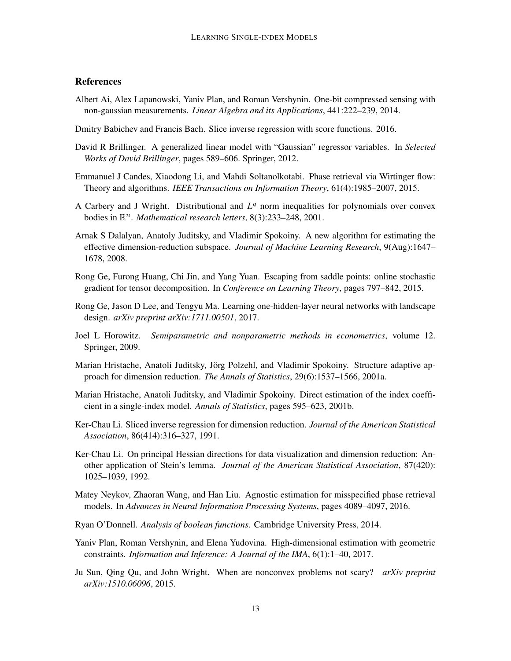# **References**

- <span id="page-12-15"></span>Albert Ai, Alex Lapanowski, Yaniv Plan, and Roman Vershynin. One-bit compressed sensing with non-gaussian measurements. *Linear Algebra and its Applications*, 441:222–239, 2014.
- <span id="page-12-9"></span>Dmitry Babichev and Francis Bach. Slice inverse regression with score functions. 2016.
- <span id="page-12-0"></span>David R Brillinger. A generalized linear model with "Gaussian" regressor variables. In *Selected Works of David Brillinger*, pages 589–606. Springer, 2012.
- <span id="page-12-14"></span>Emmanuel J Candes, Xiaodong Li, and Mahdi Soltanolkotabi. Phase retrieval via Wirtinger flow: Theory and algorithms. *IEEE Transactions on Information Theory*, 61(4):1985–2007, 2015.
- <span id="page-12-16"></span>A Carbery and J Wright. Distributional and  $L<sup>q</sup>$  norm inequalities for polynomials over convex bodies in  $\mathbb{R}^n$ . *Mathematical research letters*, 8(3):233–248, 2001.
- <span id="page-12-5"></span>Arnak S Dalalyan, Anatoly Juditsky, and Vladimir Spokoiny. A new algorithm for estimating the effective dimension-reduction subspace. *Journal of Machine Learning Research*, 9(Aug):1647– 1678, 2008.
- <span id="page-12-12"></span>Rong Ge, Furong Huang, Chi Jin, and Yang Yuan. Escaping from saddle points: online stochastic gradient for tensor decomposition. In *Conference on Learning Theory*, pages 797–842, 2015.
- <span id="page-12-10"></span>Rong Ge, Jason D Lee, and Tengyu Ma. Learning one-hidden-layer neural networks with landscape design. *arXiv preprint arXiv:1711.00501*, 2017.
- <span id="page-12-2"></span>Joel L Horowitz. *Semiparametric and nonparametric methods in econometrics*, volume 12. Springer, 2009.
- <span id="page-12-4"></span>Marian Hristache, Anatoli Juditsky, Jörg Polzehl, and Vladimir Spokoiny. Structure adaptive approach for dimension reduction. *The Annals of Statistics*, 29(6):1537–1566, 2001a.
- <span id="page-12-3"></span>Marian Hristache, Anatoli Juditsky, and Vladimir Spokoiny. Direct estimation of the index coefficient in a single-index model. *Annals of Statistics*, pages 595–623, 2001b.
- <span id="page-12-8"></span>Ker-Chau Li. Sliced inverse regression for dimension reduction. *Journal of the American Statistical Association*, 86(414):316–327, 1991.
- <span id="page-12-1"></span>Ker-Chau Li. On principal Hessian directions for data visualization and dimension reduction: Another application of Stein's lemma. *Journal of the American Statistical Association*, 87(420): 1025–1039, 1992.
- <span id="page-12-7"></span>Matey Neykov, Zhaoran Wang, and Han Liu. Agnostic estimation for misspecified phase retrieval models. In *Advances in Neural Information Processing Systems*, pages 4089–4097, 2016.
- <span id="page-12-11"></span>Ryan O'Donnell. *Analysis of boolean functions*. Cambridge University Press, 2014.
- <span id="page-12-6"></span>Yaniv Plan, Roman Vershynin, and Elena Yudovina. High-dimensional estimation with geometric constraints. *Information and Inference: A Journal of the IMA*, 6(1):1–40, 2017.
- <span id="page-12-13"></span>Ju Sun, Qing Qu, and John Wright. When are nonconvex problems not scary? *arXiv preprint arXiv:1510.06096*, 2015.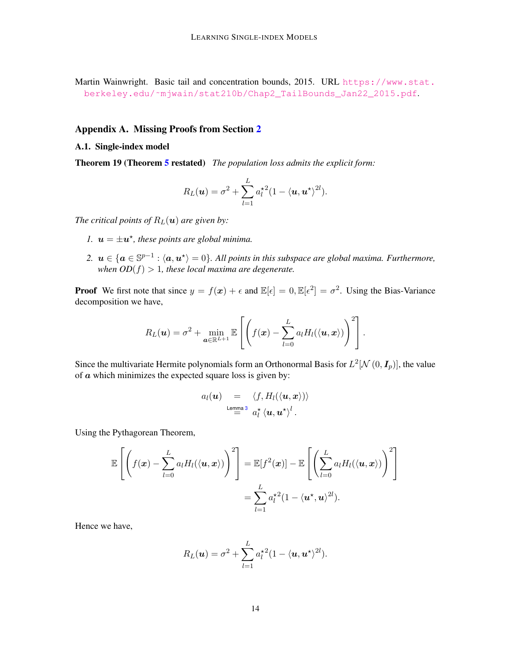<span id="page-13-0"></span>Martin Wainwright. Basic tail and concentration bounds, 2015. URL [https://www.stat.](https://www.stat.berkeley.edu/~mjwain/stat210b/Chap2_TailBounds_Jan22_2015.pdf) [berkeley.edu/˜mjwain/stat210b/Chap2\\_TailBounds\\_Jan22\\_2015.pdf](https://www.stat.berkeley.edu/~mjwain/stat210b/Chap2_TailBounds_Jan22_2015.pdf).

# Appendix A. Missing Proofs from Section [2](#page-5-0)

# A.1. Single-index model

Theorem 19 (Theorem [5](#page-6-0) restated) *The population loss admits the explicit form:*

$$
R_L(\boldsymbol{u}) = \sigma^2 + \sum_{l=1}^L a_l^{\star 2} (1 - \langle \boldsymbol{u}, \boldsymbol{u}^{\star} \rangle^{2l}).
$$

*The critical points of*  $R_L(\mathbf{u})$  *are given by:* 

- *1.*  $u = \pm u^*$ , these points are global minima.
- 2.  $u \in \{a \in \mathbb{S}^{p-1} : \langle a, u^* \rangle = 0\}$ . All points in this subspace are global maxima. Furthermore, when  $OD(f) > 1$ , these local maxima are degenerate.

**Proof** We first note that since  $y = f(x) + \epsilon$  and  $\mathbb{E}[\epsilon] = 0$ ,  $\mathbb{E}[\epsilon^2] = \sigma^2$ . Using the Bias-Variance decomposition we have,

$$
R_L(\boldsymbol{u}) = \sigma^2 + \min_{\boldsymbol{a} \in \mathbb{R}^{L+1}} \mathbb{E}\left[\left(f(\boldsymbol{x}) - \sum_{l=0}^{L} a_l H_l(\langle \boldsymbol{u}, \boldsymbol{x} \rangle)\right)^2\right].
$$

Since the multivariate Hermite polynomials form an Orthonormal Basis for  $L^2[ \mathcal{N}(0, \mathcal{I}_p) ]$ , the value of  $\alpha$  which minimizes the expected square loss is given by:

$$
a_l(\boldsymbol{u}) = \langle f, H_l(\langle \boldsymbol{u}, \boldsymbol{x} \rangle) \rangle
$$
  
Lemma 3  $a_l^{\star} \langle \boldsymbol{u}, \boldsymbol{u}^{\star} \rangle^l$ .

Using the Pythagorean Theorem,

$$
\mathbb{E}\left[\left(f(\boldsymbol{x}) - \sum_{l=0}^{L} a_l H_l(\langle \boldsymbol{u}, \boldsymbol{x} \rangle)\right)^2\right] = \mathbb{E}[f^2(\boldsymbol{x})] - \mathbb{E}\left[\left(\sum_{l=0}^{L} a_l H_l(\langle \boldsymbol{u}, \boldsymbol{x} \rangle)\right)^2\right]
$$

$$
= \sum_{l=1}^{L} a_l^{\star 2} (1 - \langle \boldsymbol{u}^{\star}, \boldsymbol{u} \rangle^{2l}).
$$

Hence we have,

$$
R_L(\boldsymbol{u}) = \sigma^2 + \sum_{l=1}^L a_l^{\star 2} (1 - \langle \boldsymbol{u}, \boldsymbol{u}^{\star} \rangle^{2l}).
$$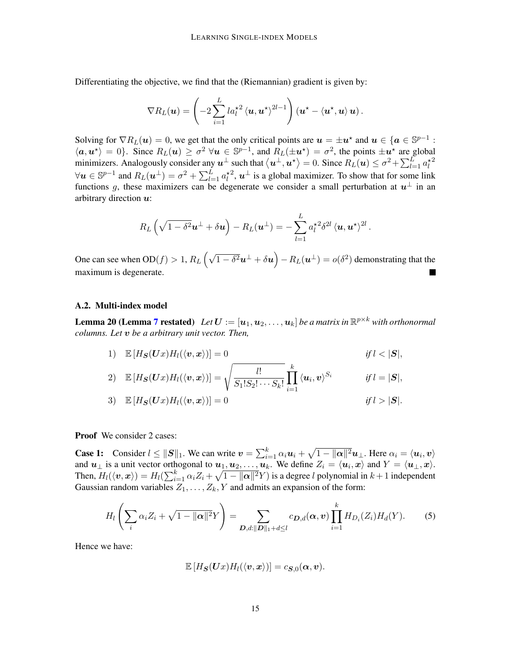Differentiating the objective, we find that the (Riemannian) gradient is given by:

$$
\nabla R_L(\boldsymbol{u}) = \left(-2\sum_{i=1}^L l a_l^{\star 2} \left\langle \boldsymbol{u}, \boldsymbol{u}^{\star}\right\rangle^{2l-1}\right) \left(\boldsymbol{u}^{\star} - \left\langle \boldsymbol{u}^{\star}, \boldsymbol{u}\right\rangle \boldsymbol{u}\right).
$$

Solving for  $\nabla R_L(\mathbf{u}) = 0$ , we get that the only critical points are  $\mathbf{u} = \pm \mathbf{u}^*$  and  $\mathbf{u} \in {\{ \mathbf{a} \in \mathbb{S}^{p-1} : \}$  $\langle \mathbf{a}, \mathbf{u}^* \rangle = 0$ . Since  $R_L(\mathbf{u}) \geq \sigma^2$   $\forall \mathbf{u} \in \mathbb{S}^{p-1}$ , and  $R_L(\pm \mathbf{u}^*) = \sigma^2$ , the points  $\pm \mathbf{u}^*$  are global minimizers. Analogously consider any  $u^{\perp}$  such that  $\langle u^{\perp}, u^{\star} \rangle = 0$ . Since  $R_L(u) \le \sigma^2 + \sum_{l=1}^L a_l^{\star 2}$  $\forall u \in \mathbb{S}^{p-1}$  and  $R_L(u^{\perp}) = \sigma^2 + \sum_{l=1}^L a_l^{\star 2}$ ,  $u^{\perp}$  is a global maximizer. To show that for some link functions g, these maximizers can be degenerate we consider a small perturbation at  $u^{\perp}$  in an arbitrary direction  $u$ :

$$
R_L\left(\sqrt{1-\delta^2}\boldsymbol{u}^{\perp}+\delta\boldsymbol{u}\right)-R_L(\boldsymbol{u}^{\perp})=-\sum_{l=1}^L a_l^{\star 2}\delta^{2l}\left\langle \boldsymbol{u},\boldsymbol{u}^{\star}\right\rangle^{2l}.
$$

One can see when  $OD(f) > 1$ ,  $R_L(\sqrt{1-\delta^2}u^{\perp}+\delta u) - R_L(u^{\perp}) = o(\delta^2)$  demonstrating that the maximum is degenerate.

#### A.2. Multi-index model

**Lemma 20 (Lemma [7](#page-7-2) restated)** Let  $\bm{U}:=[\bm{u}_1,\bm{u}_2,\ldots,\bm{u}_k]$  be a matrix in  $\mathbb{R}^{p\times k}$  with orthonormal *columns. Let* v *be a arbitrary unit vector. Then,*

1) 
$$
\mathbb{E}[H_{\mathbf{S}}(Ux)H_{l}(\langle v, x \rangle)] = 0 \qquad \text{if } l < |\mathbf{S}|,
$$
\n2) 
$$
\mathbb{E}[H_{\mathbf{S}}(Ux)H_{l}(\langle v, x \rangle)] = \sqrt{\frac{l!}{S_{1}!S_{2}! \cdots S_{k}!}} \prod_{i=1}^{k} \langle u_{i}, v \rangle^{S_{i}} \qquad \text{if } l = |\mathbf{S}|,
$$
\n3) 
$$
\mathbb{E}[H_{\mathbf{S}}(Ux)H_{l}(\langle v, x \rangle)] = 0 \qquad \text{if } l > |\mathbf{S}|.
$$

Proof We consider 2 cases:

**Case 1:** Consider  $l \le ||S||_1$ . We can write  $v = \sum_{i=1}^k \alpha_i u_i + \sqrt{1 - ||\alpha||^2} u_{\perp}$ . Here  $\alpha_i = \langle u_i, v \rangle$ and  $u_{\perp}$  is a unit vector orthogonal to  $u_1, u_2, \ldots, u_k$ . We define  $Z_i = \langle u_i, x \rangle$  and  $Y = \langle u_{\perp}, x \rangle$ . Then,  $H_l(\langle v, x \rangle) = H_l(\sum_{i=1}^k \alpha_i Z_i + \sqrt{1 - ||\boldsymbol{\alpha}||^2} Y)$  is a degree l polynomial in  $k+1$  independent Gaussian random variables  $Z_1, \ldots, Z_k, Y$  and admits an expansion of the form:

$$
H_l\left(\sum_i \alpha_i Z_i + \sqrt{1-\|\boldsymbol{\alpha}\|^2} Y\right) = \sum_{\boldsymbol{D},d: \|\boldsymbol{D}\|_1 + d \leq l} c_{\boldsymbol{D},d}(\boldsymbol{\alpha},\boldsymbol{v}) \prod_{i=1}^k H_{D_i}(Z_i) H_d(Y).
$$
 (5)

Hence we have:

<span id="page-14-0"></span>
$$
\mathbb{E}\left[H_{\boldsymbol{S}}(\boldsymbol{U}x)H_{l}(\langle\boldsymbol{v},\boldsymbol{x}\rangle)\right]=c_{\boldsymbol{S},0}(\boldsymbol{\alpha},\boldsymbol{v}).
$$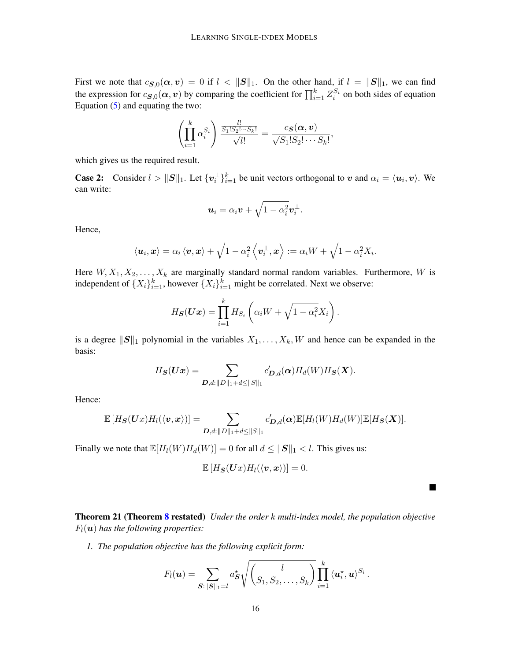First we note that  $c_{\mathbf{S},0}(\alpha, v) = 0$  if  $l < ||\mathbf{S}||_1$ . On the other hand, if  $l = ||\mathbf{S}||_1$ , we can find the expression for  $c_{\mathbf{S},0}(\alpha, v)$  by comparing the coefficient for  $\prod_{i=1}^k Z_i^{S_i}$  on both sides of equation Equation  $(5)$  and equating the two:

$$
\left(\prod_{i=1}^k \alpha_i^{S_i}\right) \frac{\frac{l!}{S_1!S_2!\cdots S_k!}}{\sqrt{l!}} = \frac{c_{\mathcal{S}}(\boldsymbol{\alpha},\boldsymbol{v})}{\sqrt{S_1!S_2!\cdots S_k!}},
$$

which gives us the required result.

**Case 2:** Consider  $l > ||S||_1$ . Let  $\{v_i^{\perp}\}_{i=1}^k$  be unit vectors orthogonal to v and  $\alpha_i = \langle u_i, v \rangle$ . We can write:

$$
\boldsymbol{u}_i = \alpha_i \boldsymbol{v} + \sqrt{1 - \alpha_i^2} \boldsymbol{v}_i^{\perp}.
$$

Hence,

$$
\left\langle \boldsymbol{u}_{i},\boldsymbol{x}\right\rangle =\alpha_{i}\left\langle \boldsymbol{v},\boldsymbol{x}\right\rangle +\sqrt{1-\alpha_{i}^{2}}\left\langle \boldsymbol{v}_{i}^{\perp},\boldsymbol{x}\right\rangle :=\alpha_{i}W+\sqrt{1-\alpha_{i}^{2}}X_{i}.
$$

Here  $W, X_1, X_2, \ldots, X_k$  are marginally standard normal random variables. Furthermore, W is independent of  $\{X_i\}_{i=1}^k$ , however  $\{X_i\}_{i=1}^k$  might be correlated. Next we observe:

$$
H_{\boldsymbol{S}}(\boldsymbol{U}\boldsymbol{x}) = \prod_{i=1}^k H_{S_i} \left( \alpha_i W + \sqrt{1 - \alpha_i^2} X_i \right).
$$

is a degree  $||S||_1$  polynomial in the variables  $X_1, \ldots, X_k, W$  and hence can be expanded in the basis:

$$
H_{\boldsymbol{S}}(\boldsymbol{U}\boldsymbol{x})=\sum_{\boldsymbol{D},d:\|\boldsymbol{D}\|_1+d\leq\|S\|_1}c'_{\boldsymbol{D},d}(\boldsymbol{\alpha})H_d(W)H_{\boldsymbol{S}}(\boldsymbol{X}).
$$

Hence:

$$
\mathbb{E}\left[H_{\mathbf{S}}(\mathbf{U}x)H_{l}(\langle \mathbf{v}, \mathbf{x} \rangle)\right] = \sum_{\mathbf{D}, d: ||D||_1 + d \leq ||S||_1} c'_{\mathbf{D}, d}(\mathbf{\alpha}) \mathbb{E}[H_l(W)H_d(W)] \mathbb{E}[H_{\mathbf{S}}(\mathbf{X})].
$$

Finally we note that  $\mathbb{E}[H_l(W)H_d(W)] = 0$  for all  $d \le ||S||_1 < l$ . This gives us:

$$
\mathbb{E}\left[H_{\mathbf{S}}(\mathbf{U}x)H_{l}(\langle\mathbf{v},\mathbf{x}\rangle)\right]=0.
$$

 $\blacksquare$ 

Theorem 21 (Theorem [8](#page-7-0) restated) *Under the order* k *multi-index model, the population objective*  $F_l(\boldsymbol{u})$  has the following properties:

*1. The population objective has the following explicit form:*

$$
F_l(\boldsymbol{u}) = \sum_{\boldsymbol{S}: ||\boldsymbol{S}||_1 = l} a_{\boldsymbol{S}}^{\star} \sqrt{\left(\frac{l}{S_1, S_2, \ldots, S_k}\right)} \prod_{i=1}^k \langle \boldsymbol{u}_i^{\star}, \boldsymbol{u} \rangle^{S_i}.
$$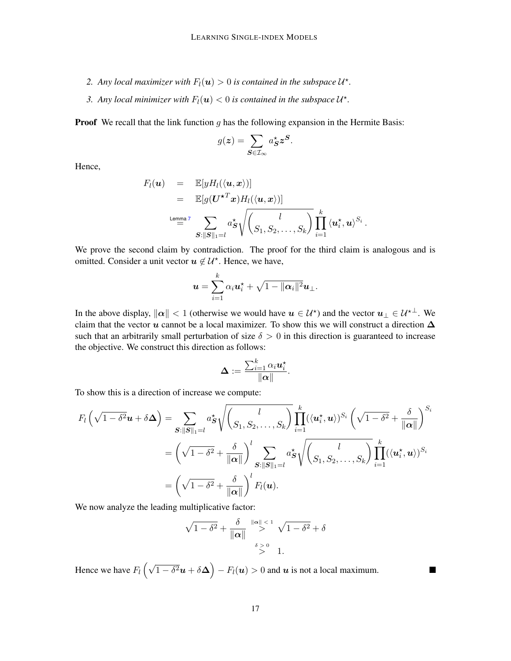- 2. Any local maximizer with  $F_l(\boldsymbol{u}) > 0$  is contained in the subspace  $\mathcal{U}^*$ .
- 3. Any local minimizer with  $F_l(\boldsymbol{u}) < 0$  is contained in the subspace  $\mathcal{U}^*$ .

**Proof** We recall that the link function  $q$  has the following expansion in the Hermite Basis:

$$
g(z) = \sum_{\mathbf{S} \in \mathcal{I}_{\infty}} a_{\mathbf{S}}^{\star} z^{\mathbf{S}}.
$$

Hence,

$$
F_l(\boldsymbol{u}) = \mathbb{E}[yH_l(\langle \boldsymbol{u}, \boldsymbol{x} \rangle)]
$$
  
\n
$$
= \mathbb{E}[g(\boldsymbol{U}^{\star T}\boldsymbol{x})H_l(\langle \boldsymbol{u}, \boldsymbol{x} \rangle)]
$$
  
\n
$$
\xrightarrow{\text{Lemma 7}} \sum_{\boldsymbol{S}: \|\boldsymbol{S}\|_1 = l} a_{\boldsymbol{S}}^{\star} \sqrt{\left(\frac{l}{S_1, S_2, \dots, S_k}\right)} \prod_{i=1}^k \langle \boldsymbol{u}_i^{\star}, \boldsymbol{u} \rangle^{S_i}
$$

.

 $\blacksquare$ 

We prove the second claim by contradiction. The proof for the third claim is analogous and is omitted. Consider a unit vector  $u \notin \mathcal{U}^*$ . Hence, we have,

$$
\boldsymbol{u} = \sum_{i=1}^k \alpha_i \boldsymbol{u}_i^{\star} + \sqrt{1 - \|\boldsymbol{\alpha}_i\|^2} \boldsymbol{u}_{\perp}.
$$

In the above display,  $\|\alpha\| < 1$  (otherwise we would have  $u \in \mathcal{U}^*$ ) and the vector  $u_\perp \in \mathcal{U}^{*\perp}$ . We claim that the vector u cannot be a local maximizer. To show this we will construct a direction  $\Delta$ such that an arbitrarily small perturbation of size  $\delta > 0$  in this direction is guaranteed to increase the objective. We construct this direction as follows:

$$
\boldsymbol{\Delta} := \frac{\sum_{i=1}^k \alpha_i \boldsymbol{u}_i^\star}{\|\boldsymbol{\alpha}\|}.
$$

To show this is a direction of increase we compute:

$$
F_{l}\left(\sqrt{1-\delta^{2}}\mathbf{u}+\delta\mathbf{\Delta}\right)=\sum_{\mathbf{S}:\|\mathbf{S}\|_{1}=l}a_{\mathbf{S}}^{\star}\sqrt{\left(\frac{l}{S_{1},S_{2},\ldots,S_{k}}\right)}\prod_{i=1}^{k}(\langle\mathbf{u}_{i}^{\star},\mathbf{u}\rangle)^{S_{i}}\left(\sqrt{1-\delta^{2}}+\frac{\delta}{\|\mathbf{\alpha}\|}\right)^{S_{i}}\\=\left(\sqrt{1-\delta^{2}}+\frac{\delta}{\|\mathbf{\alpha}\|}\right)^{l}\sum_{\mathbf{S}:\|\mathbf{S}\|_{1}=l}a_{\mathbf{S}}^{\star}\sqrt{\left(\frac{l}{S_{1},S_{2},\ldots,S_{k}}\right)}\prod_{i=1}^{k}(\langle\mathbf{u}_{i}^{\star},\mathbf{u}\rangle)^{S_{i}}\\=\left(\sqrt{1-\delta^{2}}+\frac{\delta}{\|\mathbf{\alpha}\|}\right)^{l}F_{l}(\mathbf{u}).
$$

We now analyze the leading multiplicative factor:

$$
\sqrt{1-\delta^2} + \frac{\delta}{\|\alpha\|} \overset{\|\alpha\| < 1}{\gt} \sqrt{1-\delta^2} + \delta
$$
  

$$
\overset{\delta > 0}{\gt} 1.
$$

Hence we have  $F_l(\sqrt{1-\delta^2}u+\delta\Delta)-F_l(u)>0$  and  $u$  is not a local maximum.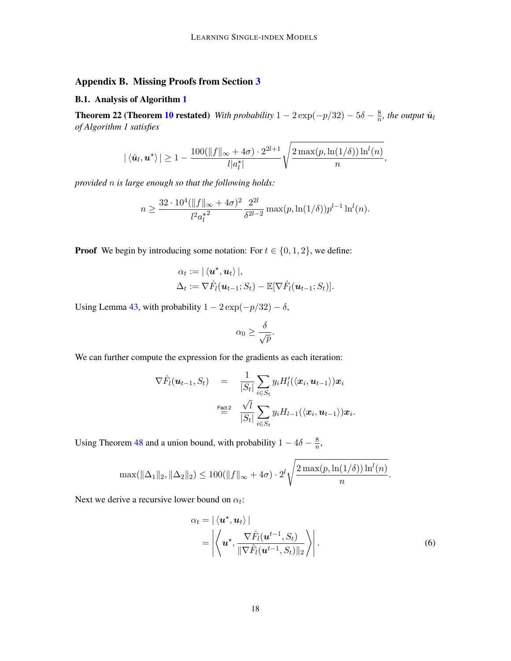# Appendix B. Missing Proofs from Section [3](#page-7-1)

### B.1. Analysis of Algorithm [1](#page-8-0)

**Theorem 22 (Theorem [10](#page-8-1) restated)** *With probability*  $1 - 2 \exp(-p/32) - 5\delta - \frac{8}{n}$  $\frac{8}{n}$ , the output  $\hat{\bm{u}}_l$ *of Algorithm 1 satisfies*

$$
|\langle \hat{\boldsymbol{u}}_l, \boldsymbol{u}^\star\rangle| \geq 1 - \frac{100(\|f\|_\infty + 4\sigma) \cdot 2^{2l+1}}{l|a_l^\star|} \sqrt{\frac{2\max(p,\ln(1/\delta))\ln^l(n)}{n}},
$$

*provided* n *is large enough so that the following holds:*

$$
n \ge \frac{32 \cdot 10^4 (\|f\|_{\infty} + 4\sigma)^2}{l^2 a_l^2} \frac{2^{2l}}{\delta^{2l-2}} \max(p, \ln(1/\delta)) p^{l-1} \ln^l(n).
$$

**Proof** We begin by introducing some notation: For  $t \in \{0, 1, 2\}$ , we define:

$$
\alpha_t := |\langle \mathbf{u}^*, \mathbf{u}_t \rangle|,
$$
  

$$
\Delta_t := \nabla \hat{F}_l(\mathbf{u}_{t-1}; S_t) - \mathbb{E}[\nabla \hat{F}_l(\mathbf{u}_{t-1}; S_t)].
$$

Using Lemma [43,](#page-36-0) with probability  $1 - 2 \exp(-p/32) - \delta$ ,

$$
\alpha_0 \geq \frac{\delta}{\sqrt{p}}.
$$

We can further compute the expression for the gradients as each iteration:

$$
\nabla \hat{F}_l(\boldsymbol{u}_{t-1}, S_t) = \frac{1}{|S_t|} \sum_{i \in S_t} y_i H'_l(\langle \boldsymbol{x}_i, \boldsymbol{u}_{t-1} \rangle) \boldsymbol{x}_i
$$
  

$$
\stackrel{\text{Fact 2}}{=} \frac{\sqrt{l}}{|S_t|} \sum_{i \in S_t} y_i H_{l-1}(\langle \boldsymbol{x}_i, \boldsymbol{u}_{t-1} \rangle) \boldsymbol{x}_i.
$$

Using Theorem [48](#page-41-0) and a union bound, with probability  $1 - 4\delta - \frac{8}{n}$  $\frac{8}{n}$ ,

$$
\max(\|\Delta_1\|_2, \|\Delta_2\|_2) \le 100(\|f\|_{\infty} + 4\sigma) \cdot 2^l \sqrt{\frac{2\max(p, \ln(1/\delta))\ln^l(n)}{n}}.
$$

Next we derive a recursive lower bound on  $\alpha_t$ :

<span id="page-17-0"></span>
$$
\alpha_t = |\langle \mathbf{u}^*, \mathbf{u}_t \rangle|
$$
  
= 
$$
\left| \left\langle \mathbf{u}^*, \frac{\nabla \hat{F}_l(\mathbf{u}^{t-1}, S_t)}{\|\nabla \hat{F}_l(\mathbf{u}^{t-1}, S_t)\|_2} \right\rangle \right|.
$$
 (6)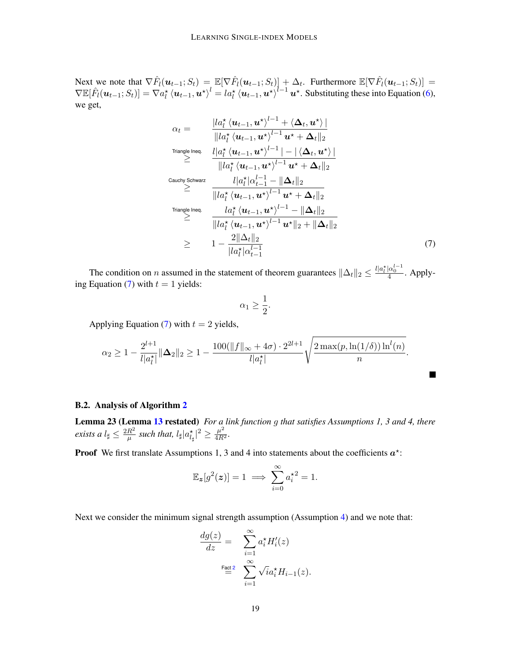Next we note that  $\nabla \hat{F}_l(\boldsymbol{u}_{t-1};S_t) = \mathbb{E}[\nabla \hat{F}_l(\boldsymbol{u}_{t-1};S_t)] + \Delta_t$ . Furthermore  $\mathbb{E}[\nabla \hat{F}_l(\boldsymbol{u}_{t-1};S_t)] =$  $\nabla \mathbb{E}[\hat{F}_l(\boldsymbol{u}_{t-1};S_t)] = \nabla a_l^* \langle \boldsymbol{u}_{t-1}, \boldsymbol{u}^* \rangle^l = l a_l^* \langle \boldsymbol{u}_{t-1}, \boldsymbol{u}^* \rangle^{l-1} \boldsymbol{u}^*$ . Substituting these into Equation [\(6\)](#page-17-0), we get,

$$
\alpha_{t} = \frac{|la_{t}^{*} \langle \mathbf{u}_{t-1}, \mathbf{u}^{*} \rangle^{l-1} + \langle \mathbf{\Delta}_{t}, \mathbf{u}^{*} \rangle|}{||la_{t}^{*} \langle \mathbf{u}_{t-1}, \mathbf{u}^{*} \rangle^{l-1} \mathbf{u}^{*} + \mathbf{\Delta}_{t}||_{2}}
$$
\n
$$
\stackrel{\text{Triangle Ineq.}}{\geq} \frac{||\mathbf{a}_{t}^{*} \langle \mathbf{u}_{t-1}, \mathbf{u}^{*} \rangle^{l-1} - |\langle \mathbf{\Delta}_{t}, \mathbf{u}^{*} \rangle|}{||la_{t}^{*} \langle \mathbf{u}_{t-1}, \mathbf{u}^{*} \rangle^{l-1} \mathbf{u}^{*} + \mathbf{\Delta}_{t}||_{2}}
$$
\n
$$
\stackrel{\text{Cauchy Schwarz}}{\geq} \frac{||\mathbf{a}_{t}^{*} \langle \mathbf{u}_{t-1}, \mathbf{u}^{*} \rangle^{l-1} \mathbf{u}^{*} + \mathbf{\Delta}_{t}||_{2}}{||la_{t}^{*} \langle \mathbf{u}_{t-1}, \mathbf{u}^{*} \rangle^{l-1} \mathbf{u}^{*} + \mathbf{\Delta}_{t}||_{2}}
$$
\n
$$
\stackrel{\text{Triangle Ineq.}}{\geq} \frac{|\mathbf{a}_{t}^{*} \langle \mathbf{u}_{t-1}, \mathbf{u}^{*} \rangle^{l-1} - ||\mathbf{\Delta}_{t}||_{2}}{||la_{t}^{*} \langle \mathbf{u}_{t-1}, \mathbf{u}^{*} \rangle^{l-1} \mathbf{u}^{*}||_{2} + ||\mathbf{\Delta}_{t}||_{2}}
$$
\n
$$
\geq 1 - \frac{2||\mathbf{\Delta}_{t}||_{2}}{||\mathbf{a}_{t}^{*} \langle \mathbf{u}_{t-1}^{l-1}, \mathbf{u}^{*} \rangle^{l-1}} \tag{7}
$$

The condition on *n* assumed in the statement of theorem guarantees  $\|\Delta_t\|_2 \leq \frac{l |a_t^*| \alpha_0^{l-1}}{4}$ . Apply-ing Equation [\(7\)](#page-18-0) with  $t = 1$  yields:

<span id="page-18-0"></span>
$$
\alpha_1 \geq \frac{1}{2}.
$$

Applying Equation [\(7\)](#page-18-0) with  $t = 2$  yields,

$$
\alpha_2 \geq 1 - \frac{2^{l+1}}{l|a_l^{\star}|} \|\mathbf{\Delta}_2\|_2 \geq 1 - \frac{100(\|f\|_{\infty} + 4\sigma) \cdot 2^{2l+1}}{l|a_l^{\star}|} \sqrt{\frac{2\max(p,\ln(1/\delta))\ln^l(n)}{n}}.
$$

#### B.2. Analysis of Algorithm [2](#page-9-1)

Lemma 23 (Lemma [13](#page-9-2) restated) *For a link function* g *that satisfies Assumptions 1, 3 and 4, there exists a*  $l_{\sharp} \leq \frac{2R^2}{\mu}$  $\frac{R^2}{\mu}$  such that,  $l_\sharp |a_{l_\sharp}^{\star}|^2 \geq \frac{\mu^2}{4R^2}$ .

**Proof** We first translate Assumptions 1, 3 and 4 into statements about the coefficients  $a^*$ :

$$
\mathbb{E}_{\mathbf{z}}[g^2(\mathbf{z})] = 1 \implies \sum_{i=0}^{\infty} a_i^{\star 2} = 1.
$$

Next we consider the minimum signal strength assumption (Assumption [4\)](#page-4-1) and we note that:

$$
\begin{aligned}\n\frac{dg(z)}{dz} &= \sum_{i=1}^{\infty} a_i^{\star} H_i'(z) \\
\stackrel{\text{Fact 2}}{=} \sum_{i=1}^{\infty} \sqrt{i} a_i^{\star} H_{i-1}(z).\n\end{aligned}
$$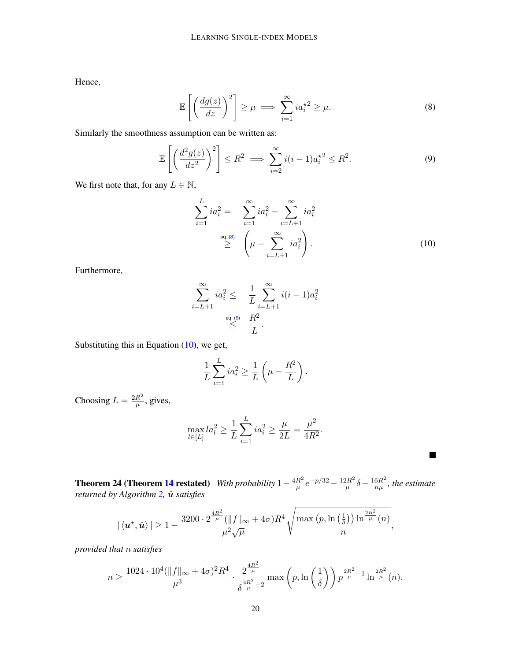Hence,

<span id="page-19-0"></span>
$$
\mathbb{E}\left[\left(\frac{dg(z)}{dz}\right)^2\right] \ge \mu \implies \sum_{i=1}^{\infty} ia_i^{\star 2} \ge \mu. \tag{8}
$$

Similarly the smoothness assumption can be written as:

$$
\mathbb{E}\left[\left(\frac{d^2g(z)}{dz^2}\right)^2\right] \le R^2 \implies \sum_{i=2}^{\infty} i(i-1)a_i^{2} \le R^2. \tag{9}
$$

We first note that, for any  $L \in \mathbb{N}$ ,

<span id="page-19-1"></span>
$$
\sum_{i=1}^{L} ia_i^2 = \sum_{i=1}^{\infty} ia_i^2 - \sum_{i=L+1}^{\infty} ia_i^2
$$
  

$$
\geq \left(\mu - \sum_{i=L+1}^{\infty} ia_i^2\right).
$$
 (10)

<span id="page-19-2"></span> $\blacksquare$ 

Furthermore,

$$
\sum_{i=L+1}^{\infty} i a_i^2 \leq \frac{1}{L} \sum_{i=L+1}^{\infty} i(i-1)a_i^2
$$
  

$$
\leq \frac{R^2}{L}.
$$

Substituting this in Equation [\(10\)](#page-19-2), we get,

$$
\frac{1}{L}\sum_{i=1}^{L}ia_i^2 \ge \frac{1}{L}\left(\mu - \frac{R^2}{L}\right).
$$

Choosing  $L = \frac{2R^2}{\mu}$  $\frac{R^2}{\mu}$ , gives,

$$
\max_{l \in [L]} la_l^2 \ge \frac{1}{L} \sum_{i=1}^L i a_i^2 \ge \frac{\mu}{2L} = \frac{\mu^2}{4R^2}.
$$

**Theorem 24 (Theorem [14](#page-9-0) restated)** *With probability*  $1 - \frac{4R^2}{n}$  $\frac{R^2}{\mu}e^{-p/32} - \frac{12R^2}{\mu}$  $\frac{2R^2}{\mu}\delta-\frac{16R^2}{n\mu}$  $\frac{6R^2}{n\mu}$ , the estimate *returned by Algorithm [2,](#page-9-1)*  $\hat{u}$  *satisfies* 

$$
|\left\langle \bm{u}^\star, \hat{\bm{u}}\right\rangle| \geq 1 - \frac{3200\cdot 2^{\frac{4R^2}{\mu}}(\|f\|_\infty+4\sigma)R^4}{\mu^2\sqrt{\mu}}\sqrt{\frac{\max\left(p,\ln\left(\frac{1}{\delta}\right)\right)\ln^{\frac{2R^2}{\mu}}(n)}{n}},
$$

*provided that* n *satisfies*

$$
n \geq \frac{1024 \cdot 10^4 (\|f\|_{\infty} + 4 \sigma)^2 R^4}{\mu^3} \cdot \frac{2^{\frac{4R^2}{\mu}}}{\delta^{\frac{4R^2}{\mu} - 2}} \max \left(p, \ln \left(\frac{1}{\delta}\right)\right) p^{\frac{2R^2}{\mu} - 1} \ln^{\frac{2R^2}{\mu}}(n).
$$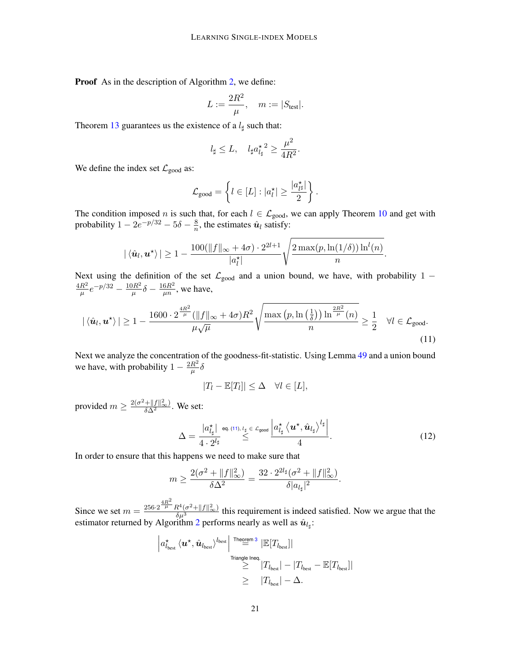Proof As in the description of Algorithm [2,](#page-9-1) we define:

$$
L:=\frac{2R^2}{\mu}, \quad m:=|S_{\text{test}}|.
$$

Theorem [13](#page-9-2) guarantees us the existence of a  $l_{\sharp}$  such that:

$$
l_\sharp \leq L, \quad l_\sharp a_{l_\sharp}^{\star\, 2} \geq \frac{\mu^2}{4R^2}.
$$

We define the index set  $\mathcal{L}_{\text{good}}$  as:

$$
\mathcal{L}_{\text{good}} = \left\{ l \in [L] : |a_l^{\star}| \geq \frac{|a_{l^{\sharp}}^{\star}|}{2} \right\}.
$$

The condition imposed n is such that, for each  $l \in \mathcal{L}_{good}$ , we can apply Theorem [10](#page-8-1) and get with probability  $1 - 2e^{-p/32} - 5\delta - \frac{8}{n}$  $\frac{8}{n}$ , the estimates  $\hat{u}_l$  satisfy:

$$
|\langle \hat{\boldsymbol{u}}_l, \boldsymbol{u}^\star\rangle| \geq 1 - \frac{100(\|f\|_\infty + 4\sigma) \cdot 2^{2l+1}}{|a_l^\star|} \sqrt{\frac{2\max(p,\ln(1/\delta))\ln^l(n)}{n}}.
$$

Next using the definition of the set  $\mathcal{L}_{good}$  and a union bound, we have, with probability 1 –  $4R^2$  $\frac{R^2}{\mu}e^{-p/32} - \frac{10R^2}{\mu}$  $\frac{\partial R^2}{\mu}\delta-\frac{16R^2}{\mu n}$  $\frac{6R^2}{\mu n}$ , we have,

$$
|\langle \hat{\mathbf{u}}_l, \mathbf{u}^{\star} \rangle| \ge 1 - \frac{1600 \cdot 2^{\frac{4R^2}{\mu}} (\|f\|_{\infty} + 4\sigma) R^2}{\mu \sqrt{\mu}} \sqrt{\frac{\max (p, \ln(\frac{1}{\delta})) \ln^{\frac{2R^2}{\mu}}(n)}{n}} \ge \frac{1}{2} \quad \forall l \in \mathcal{L}_{\text{good}}.
$$
\n(11)

Next we analyze the concentration of the goodness-fit-statistic. Using Lemma [49](#page-42-0) and a union bound we have, with probability  $1 - \frac{2R^2}{\mu}$  $\frac{R^2}{\mu}\delta$ 

<span id="page-20-1"></span><span id="page-20-0"></span>
$$
|T_l - \mathbb{E}[T_l]| \leq \Delta \quad \forall l \in [L],
$$

provided  $m \ge \frac{2(\sigma^2 + ||f||_{\infty}^2)}{\delta \Delta^2}$ . We set:

$$
\Delta = \frac{|a_{l_{\sharp}}^{\star}|}{4 \cdot 2^{l_{\sharp}}} \stackrel{\text{eq. (11), } l_{\sharp} \in \mathcal{L}_{\text{good}}}{\leq} \frac{|a_{l_{\sharp}}^{\star} \langle \boldsymbol{u}^{\star}, \hat{\boldsymbol{u}}_{l_{\sharp}} \rangle^{l_{\sharp}}|}{4}.
$$

In order to ensure that this happens we need to make sure that

$$
m \ge \frac{2(\sigma^2 + \|f\|_{\infty}^2)}{\delta \Delta^2} = \frac{32 \cdot 2^{2l_{\sharp}}(\sigma^2 + \|f\|_{\infty}^2)}{\delta |a_{l_{\sharp}}|^2}.
$$

Since we set  $m = \frac{256 \cdot 2^{\frac{4R^2}{\mu}} R^4 (\sigma^2 + ||f||^2_{\infty})}{\delta \mu^3}$  this requirement is indeed satisfied. Now we argue that the estimator returned by Algorithm [2](#page-9-1) performs nearly as well as  $\hat{u}_{l_{\sharp}}$ :

$$
|a_{l_{\text{best}}}^{\star} \langle \boldsymbol{u}^{\star}, \hat{\boldsymbol{u}}_{l_{\text{best}}}\rangle^{l_{\text{best}}}| \overset{\text{Theorem 3}}{=} |\mathbb{E}[T_{l_{\text{best}}}]|
$$
  
\n
$$
\geq |T_{l_{\text{best}}}|-|T_{l_{\text{best}}} - \mathbb{E}[T_{l_{\text{best}}}]|
$$
  
\n
$$
\geq |T_{l_{\text{best}}}|- \Delta.
$$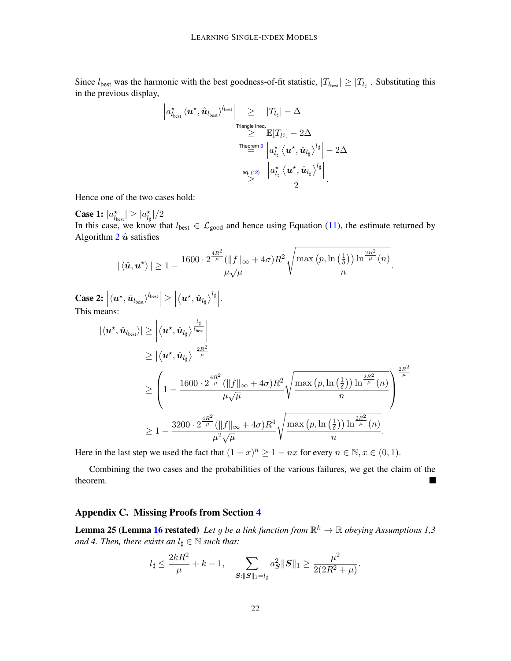Since  $l_{best}$  was the harmonic with the best goodness-of-fit statistic,  $|T_{l_{best}}| \geq |T_{l_{\sharp}}|$ . Substituting this in the previous display,

$$
\begin{array}{c} \left| a_{l_{\text{best}}}^{\star}\left\langle\boldsymbol{u}^{\star},\hat{\boldsymbol{u}}_{l_{\text{best}}}\right\rangle^{l_{\text{best}}}\right| \geq\quad\left|T_{l_{\sharp}}\right|-\Delta\\ \qquad \qquad \geq\quad\quad\frac{\left|\mathbf{r}_{l\text{angle}\left\vert\text{neq}\right\vert}}{\mathbb{E}[T_{l^{\sharp}}]-2\Delta}\\ \qquad \qquad\frac{\left|\boldsymbol{a}_{l_{\sharp}}^{\star}\left\langle\boldsymbol{u}^{\star},\hat{\boldsymbol{u}}_{l_{\sharp}}\right\rangle^{l_{\sharp}}\right| -2\Delta}{\left|a_{l_{\sharp}}^{\star}\left\langle\boldsymbol{u}^{\star},\hat{\boldsymbol{u}}_{l_{\sharp}}\right\rangle^{l_{\sharp}}\right|} -2\Delta\\ \qquad \qquad \geq\qquad\quad\frac{\left|a_{l_{\sharp}}^{\star}\left\langle\boldsymbol{u}^{\star},\hat{\boldsymbol{u}}_{l_{\sharp}}\right\rangle^{l_{\sharp}}\right|}{2}.\end{array}
$$

Hence one of the two cases hold:

**Case 1:**  $|a_{l_{\text{best}}}^{\star}| \geq |a_{l_{\sharp}}^{\star}|/2$ In this case, we know that  $l_{best} \in \mathcal{L}_{good}$  and hence using Equation [\(11\)](#page-20-0), the estimate returned by Algorithm  $2 \hat{u}$  $2 \hat{u}$  satisfies

$$
|\langle \hat{\boldsymbol{u}}, \boldsymbol{u}^\star\rangle| \geq 1 - \frac{1600 \cdot 2^{\frac{4R^2}{\mu}} (\|f\|_{\infty} + 4\sigma)R^2}{\mu\sqrt{\mu}} \sqrt{\frac{\max (p, \ln\left(\frac{1}{\delta}\right)) \ln^{\frac{2R^2}{\mu}}(n)}{n}}.
$$

.

Case 2:  $\left|\langle u^\star, \hat{u}_{l_{\text{best}}}\rangle^{l_{\text{best}}}\right| \ge \left|\sum_{l=1}^N\left\vert u_l^\star\right\rangle^{l_{\text{best}}}\right|$  $\textbf{Case 2: } \left|\langle \boldsymbol{u}^\star, \hat{\boldsymbol{u}}_{\textit{best}}\rangle^{l_{\text{best}}}\right| \geq \left|\left\langle \boldsymbol{u}^\star, \hat{\boldsymbol{u}}_{l_\sharp}\right\rangle^{l_\sharp}\right|. \nonumber$  This means:

$$
\begin{split} \left| \langle \boldsymbol{u}^\star , \hat{\boldsymbol{u}}_{\text{best}} \rangle \right| &\geq \left| \langle \boldsymbol{u}^\star , \hat{\boldsymbol{u}}_{l_\sharp} \rangle \right|^\frac{l_\sharp}{\mu} \\ &\geq \left| \langle \boldsymbol{u}^\star , \hat{\boldsymbol{u}}_{l_\sharp} \rangle \right|^\frac{2R^2}{\mu} \\ &\geq \left( 1 - \frac{1600 \cdot 2^{\frac{4R^2}{\mu}} (\| f \|_\infty + 4 \sigma) R^2}{\mu \sqrt{\mu}} \sqrt{\frac{\max \left( p, \ln \left( \frac{1}{\delta} \right) \right) \ln^{\frac{2R^2}{\mu}} (n)}{n}} \right)^\frac{2R^2}{\mu} \\ &\geq 1 - \frac{3200 \cdot 2^{\frac{4R^2}{\mu}} (\| f \|_\infty + 4 \sigma) R^4}{\mu^2 \sqrt{\mu}} \sqrt{\frac{\max \left( p, \ln \left( \frac{1}{\delta} \right) \right) \ln^{\frac{2R^2}{\mu}} (n)}{n}}. \end{split}
$$

Here in the last step we used the fact that  $(1-x)^n \ge 1 - nx$  for every  $n \in \mathbb{N}, x \in (0,1)$ .

Combining the two cases and the probabilities of the various failures, we get the claim of the theorem.

## <span id="page-21-0"></span>Appendix C. Missing Proofs from Section [4](#page-10-1)

**Lemma 25 (Lemma [16](#page-10-3) restated)** Let g be a link function from  $\mathbb{R}^k \to \mathbb{R}$  obeying Assumptions 1,3 *and 4. Then, there exists an*  $l_{\sharp} \in \mathbb{N}$  *such that:* 

$$
l_{\sharp} \leq \frac{2kR^2}{\mu} + k - 1
$$
, 
$$
\sum_{\mathbf{S}: \|\mathbf{S}\|_1 = l_{\sharp}} a_{\mathbf{S}}^2 \|\mathbf{S}\|_1 \geq \frac{\mu^2}{2(2R^2 + \mu)}.
$$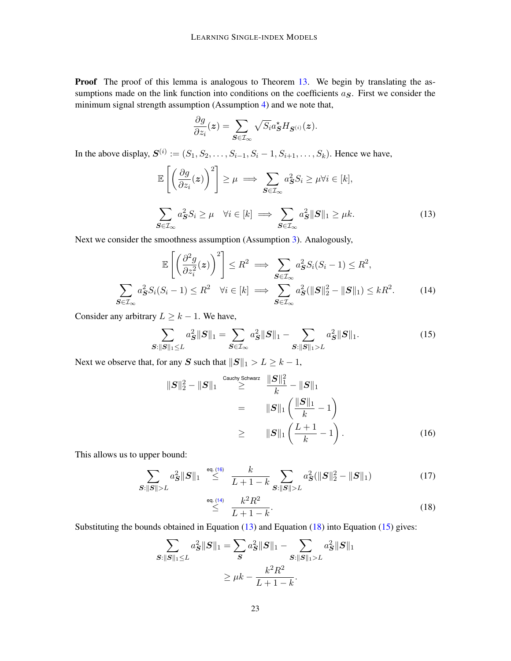Proof The proof of this lemma is analogous to Theorem [13.](#page-9-2) We begin by translating the assumptions made on the link function into conditions on the coefficients  $a<sub>S</sub>$ . First we consider the minimum signal strength assumption (Assumption [4\)](#page-4-1) and we note that,

<span id="page-22-2"></span>
$$
\frac{\partial g}{\partial z_i}(z) = \sum_{\mathbf{S} \in \mathcal{I}_{\infty}} \sqrt{S_i} a_{\mathbf{S}}^{\star} H_{\mathbf{S}^{(i)}}(z).
$$

In the above display,  $S^{(i)} := (S_1, S_2, \dots, S_{i-1}, S_i - 1, S_{i+1}, \dots, S_k)$ . Hence we have,

$$
\mathbb{E}\left[\left(\frac{\partial g}{\partial z_i}(z)\right)^2\right] \ge \mu \implies \sum_{\mathbf{S} \in \mathcal{I}_{\infty}} a_{\mathbf{S}}^2 S_i \ge \mu \forall i \in [k],
$$
\n
$$
\sum_{\mathbf{S} \in \mathcal{I}_{\infty}} a_{\mathbf{S}}^2 S_i \ge \mu \quad \forall i \in [k] \implies \sum_{\mathbf{S} \in \mathcal{I}_{\infty}} a_{\mathbf{S}}^2 \|\mathbf{S}\|_1 \ge \mu k. \tag{13}
$$

Next we consider the smoothness assumption (Assumption [3\)](#page-4-0). Analogously,

$$
\mathbb{E}\left[\left(\frac{\partial^2 g}{\partial z_i^2}(z)\right)^2\right] \leq R^2 \implies \sum_{\mathbf{S} \in \mathcal{I}_{\infty}} a_{\mathbf{S}}^2 S_i(S_i - 1) \leq R^2,
$$
\n
$$
\sum_{\mathbf{S} \in \mathcal{I}_{\infty}} a_{\mathbf{S}}^2 S_i(S_i - 1) \leq R^2 \quad \forall i \in [k] \implies \sum_{\mathbf{S} \in \mathcal{I}_{\infty}} a_{\mathbf{S}}^2 (\|\mathbf{S}\|_2^2 - \|\mathbf{S}\|_1) \leq kR^2.
$$
\n(14)

Consider any arbitrary  $L \geq k - 1$ . We have,

$$
\sum_{\mathbf{S}:||\mathbf{S}||_1 \le L} a_{\mathbf{S}}^2 ||\mathbf{S}||_1 = \sum_{\mathbf{S} \in \mathcal{I}_{\infty}} a_{\mathbf{S}}^2 ||\mathbf{S}||_1 - \sum_{\mathbf{S}:||\mathbf{S}||_1 > L} a_{\mathbf{S}}^2 ||\mathbf{S}||_1.
$$
 (15)

Next we observe that, for any S such that  $||S||_1 > L \geq k - 1$ ,

<span id="page-22-4"></span><span id="page-22-1"></span>
$$
||S||_2^2 - ||S||_1 \stackrel{\text{Cauchy Schwarz}}{\geq} \frac{||S||_1^2}{k} - ||S||_1
$$
  
=  $||S||_1 \left(\frac{||S||_1}{k} - 1\right)$   
 $\geq$   $||S||_1 \left(\frac{L+1}{k} - 1\right).$  (16)

This allows us to upper bound:

$$
\sum_{\mathbf{S}:||\mathbf{S}||>L} a_{\mathbf{S}}^2 ||\mathbf{S}||_1 \stackrel{\text{eq. (16)}}{\leq} \frac{k}{L+1-k} \sum_{\mathbf{S}:||\mathbf{S}||>L} a_{\mathbf{S}}^2 (||\mathbf{S}||_2^2 - ||\mathbf{S}||_1) \tag{17}
$$

<span id="page-22-3"></span><span id="page-22-0"></span>
$$
\stackrel{\text{eq. (14)}}{\leq} \frac{k^2 R^2}{L+1-k}.\tag{18}
$$

Substituting the bounds obtained in Equation [\(13\)](#page-22-2) and Equation [\(18\)](#page-22-3) into Equation [\(15\)](#page-22-4) gives:

$$
\sum_{\substack{S: ||S||_1 \le L}} a_S^2 ||S||_1 = \sum_{\substack{S}} a_S^2 ||S||_1 - \sum_{\substack{S: ||S||_1 > L}} a_S^2 ||S||_1
$$

$$
\ge \mu k - \frac{k^2 R^2}{L + 1 - k}.
$$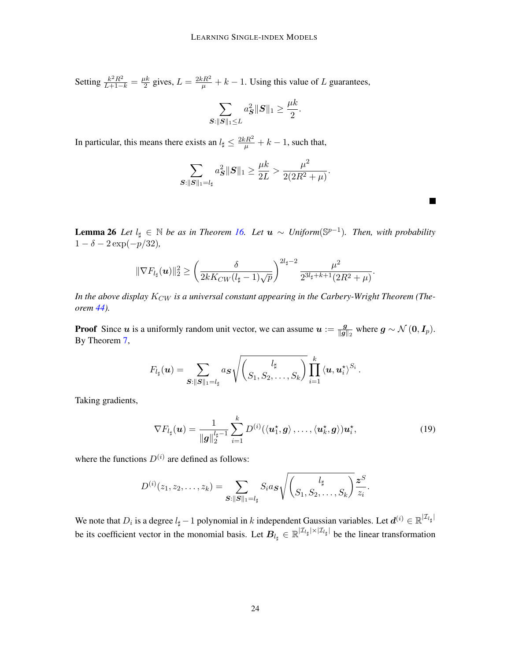Setting  $\frac{k^2 R^2}{L+1-k} = \frac{\mu k}{2}$  $\frac{dk}{2}$  gives,  $L = \frac{2kR^2}{\mu} + k - 1$ . Using this value of L guarantees,

$$
\sum_{\mathbf{S}: \|\mathbf{S}\|_1 \leq L} a_{\mathbf{S}}^2 \|\mathbf{S}\|_1 \geq \frac{\mu k}{2}.
$$

In particular, this means there exists an  $l_{\sharp} \leq \frac{2kR^2}{\mu} + k - 1$ , such that,

$$
\sum_{\mathbf{S}:\|\mathbf{S}\|_1=l_{\sharp}}a_{\mathbf{S}}^2\|\mathbf{S}\|_1 \ge \frac{\mu k}{2L} > \frac{\mu^2}{2(2R^2+\mu)}.
$$

<span id="page-23-1"></span>**Lemma 26** *Let*  $l$ <sub>‡</sub> ∈  $\mathbb N$  *be as in Theorem [16.](#page-10-3) Let*  $u \sim Uniform(\mathbb S^{p-1})$ *. Then, with probability*  $1 - \delta - 2 \exp(-p/32)$ ,

$$
\|\nabla F_{l_{\sharp}}(\boldsymbol{u})\|_{2}^{2} \geq \left(\frac{\delta}{2kK_{CW}(l_{\sharp}-1)\sqrt{p}}\right)^{2l_{\sharp}-2} \frac{\mu^{2}}{2^{3l_{\sharp}+k+1}(2R^{2}+\mu)}
$$

In the above display  $K_{CW}$  is a universal constant appearing in the Carbery-Wright Theorem (The*orem [44\)](#page-37-0).*

**Proof** Since u is a uniformly random unit vector, we can assume  $u := \frac{g}{||a||}$  $\frac{g}{\|g\|_2}$  where  $g \sim \mathcal{N}(0, I_p)$ . By Theorem [7,](#page-7-2)

$$
F_{l_{\sharp}}(\boldsymbol{u})=\sum_{\boldsymbol{S}:\|\boldsymbol{S}\|_1=l_{\sharp}}a_{\boldsymbol{S}}\sqrt{\left(\frac{l_{\sharp}}{S_1,S_2,\ldots,S_k}\right)}\prod_{i=1}^k\left\langle \boldsymbol{u},\boldsymbol{u}_i^{\star}\right\rangle^{S_i}.
$$

Taking gradients,

$$
\nabla F_{l_{\sharp}}(\boldsymbol{u}) = \frac{1}{\|\boldsymbol{g}\|_{2}^{l_{\sharp}-1}} \sum_{i=1}^{k} D^{(i)}(\langle \boldsymbol{u}_{1}^{\star}, \boldsymbol{g} \rangle, \ldots, \langle \boldsymbol{u}_{k}^{\star}, \boldsymbol{g} \rangle) \boldsymbol{u}_{i}^{\star},
$$
(19)

<span id="page-23-0"></span>.

where the functions  $D^{(i)}$  are defined as follows:

$$
D^{(i)}(z_1, z_2, \ldots, z_k) = \sum_{\mathbf{S}: ||\mathbf{S}||_1 = l_{\sharp}} S_i a_{\mathbf{S}} \sqrt{\binom{l_{\sharp}}{S_1, S_2, \ldots, S_k}} \frac{z^S}{z_i}.
$$

We note that  $D_i$  is a degree  $l_\sharp-1$  polynomial in  $k$  independent Gaussian variables. Let  $\bm{d}^{(i)} \in \mathbb{R}^{|\mathcal{I}_{l_\sharp}|}$ be its coefficient vector in the monomial basis. Let  $B_{l_\sharp} \in \mathbb{R}^{|\mathcal{I}_{l_\sharp}| \times |\mathcal{I}_{l_\sharp}|}$  be the linear transformation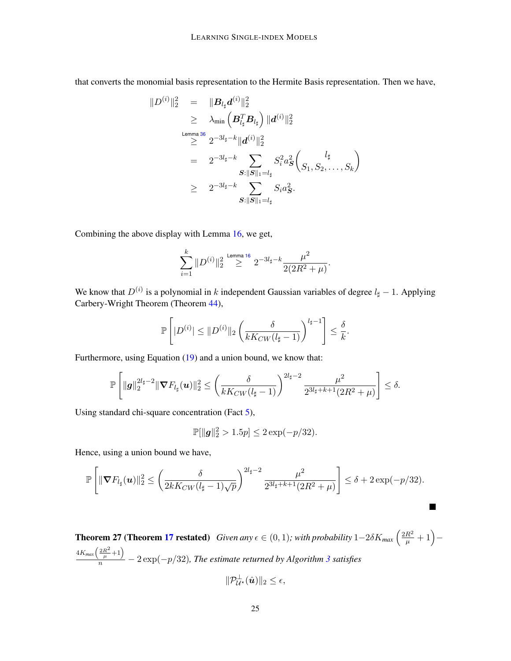that converts the monomial basis representation to the Hermite Basis representation. Then we have,

$$
\begin{array}{rcl} \|D^{(i)}\|_2^2 & = & \| \boldsymbol{B}_{l_\sharp} \boldsymbol{d}^{(i)} \|_2^2 \\ \\ & \geq & \lambda_{\mathrm{min}} \left( \boldsymbol{B}_{l_\sharp}^T \boldsymbol{B}_{l_\sharp} \right) \| \boldsymbol{d}^{(i)} \|_2^2 \\ \\ & \stackrel{\text{Lemma 36}}{\geq} 2^{-3 l_\sharp - k} \| \boldsymbol{d}^{(i)} \|_2^2 \\ & = & 2^{-3 l_\sharp - k} \sum_{\boldsymbol{S}: \| \boldsymbol{S} \|_1 = l_\sharp} S_i^2 a_{\boldsymbol{S}}^2 \left( \frac{l_\sharp}{S_1, S_2, \ldots, S_k} \right) \\ \\ & \geq & 2^{-3 l_\sharp - k} \sum_{\boldsymbol{S}: \| \boldsymbol{S} \|_1 = l_\sharp} S_i a_{\boldsymbol{S}}^2. \end{array}
$$

Combining the above display with Lemma [16,](#page-10-3) we get,

$$
\sum_{i=1}^k \|D^{(i)}\|_2^2 \stackrel{\text{Lemma 16}}{\ge} 2^{-3l_\sharp - k} \frac{\mu^2}{2(2R^2 + \mu)}.
$$

We know that  $D^{(i)}$  is a polynomial in k independent Gaussian variables of degree  $l_{\sharp} - 1$ . Applying Carbery-Wright Theorem (Theorem [44\)](#page-37-0),

$$
\mathbb{P}\left[|D^{(i)}| \leq \|D^{(i)}\|_2 \left(\frac{\delta}{kK_{CW}(l_{\sharp}-1)}\right)^{l_{\sharp}-1}\right] \leq \frac{\delta}{k}.
$$

Furthermore, using Equation [\(19\)](#page-23-0) and a union bound, we know that:

$$
\mathbb{P}\left[\|\boldsymbol{g}\|_{2}^{2l_{\sharp}-2}\|\boldsymbol{\nabla} F_{l_{\sharp}}(\boldsymbol{u})\|_{2}^{2} \leq \left(\frac{\delta}{kK_{CW}(l_{\sharp}-1)}\right)^{2l_{\sharp}-2} \frac{\mu^{2}}{2^{3l_{\sharp}+k+1}(2R^{2}+\mu)}\right] \leq \delta.
$$

Using standard chi-square concentration (Fact [5\)](#page-35-0),

$$
\mathbb{P}[\|g\|_2^2 > 1.5p] \le 2\exp(-p/32).
$$

Hence, using a union bound we have,

$$
\mathbb{P}\left[\|\boldsymbol{\nabla} F_{l_{\sharp}}(\boldsymbol{u})\|_{2}^{2} \leq \left(\frac{\delta}{2kK_{CW}(l_{\sharp}-1)\sqrt{p}}\right)^{2l_{\sharp}-2} \frac{\mu^{2}}{2^{3l_{\sharp}+k+1}(2R^{2}+\mu)}\right] \leq \delta + 2\exp(-p/32).
$$

 $\blacksquare$ 

**Theorem 27 (Theorem [17](#page-10-0) restated)** *Given any*  $\epsilon \in (0,1)$ ; with probability  $1-2\delta K_{max} \left(\frac{2R^2}{\mu}+1\right) 4K_{max}\left(\frac{2R^2}{\mu}+1\right)$  $\frac{\mu}{n}$   $-$  2 exp( $-p/32$  $-p/32$  $-p/32$ ), The estimate returned by Algorithm 3 satisfies

$$
\|\mathcal{P}_{\mathcal{U}^{\star}}^{\perp}(\hat{\boldsymbol{u}})\|_2 \leq \epsilon,
$$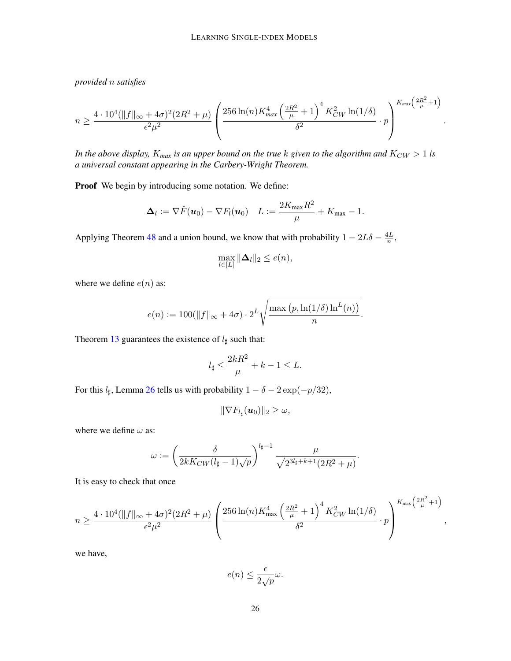*provided* n *satisfies*

$$
n \ge \frac{4 \cdot 10^4 (\|f\|_{\infty} + 4\sigma)^2 (2R^2 + \mu)}{\epsilon^2 \mu^2} \left( \frac{256 \ln(n) K_{\text{max}}^4 \left(\frac{2R^2}{\mu} + 1\right)^4 K_{CW}^2 \ln(1/\delta)}{\delta^2} \cdot p \right)^{K_{\text{max}} \left(\frac{2R^2}{\mu} + 1\right)}
$$

.

*In the above display,*  $K_{max}$  *is an upper bound on the true k given to the algorithm and*  $K_{CW} > 1$  *is a universal constant appearing in the Carbery-Wright Theorem.*

Proof We begin by introducing some notation. We define:

$$
\Delta_l := \nabla \hat{F}(\boldsymbol{u}_0) - \nabla F_l(\boldsymbol{u}_0) \quad L := \frac{2K_{\max}R^2}{\mu} + K_{\max} - 1.
$$

Applying Theorem [48](#page-41-0) and a union bound, we know that with probability  $1 - 2L\delta - \frac{4L}{n}$  $\frac{1}{n}$ ,

$$
\max_{l\in[L]}\|\mathbf{\Delta}_{l}\|_{2}\leq e(n),
$$

where we define  $e(n)$  as:

$$
e(n) := 100(||f||_{\infty} + 4\sigma) \cdot 2^{L} \sqrt{\frac{\max (p, \ln(1/\delta) \ln^L(n))}{n}}.
$$

Theorem [13](#page-9-2) guarantees the existence of  $l_{\sharp}$  such that:

$$
l_{\sharp} \le \frac{2kR^2}{\mu} + k - 1 \le L.
$$

For this  $l_{\sharp}$ , Lemma [26](#page-23-1) tells us with probability  $1 - \delta - 2 \exp(-p/32)$ ,

$$
\|\nabla F_{l_\sharp}(\boldsymbol{u}_0)\|_2\geq\omega,
$$

where we define  $\omega$  as:

$$
\omega := \left(\frac{\delta}{2kK_{CW}(l_\sharp - 1)\sqrt{p}}\right)^{l_\sharp - 1} \frac{\mu}{\sqrt{2^{3l_\sharp + k + 1}(2R^2 + \mu)}}.
$$

It is easy to check that once

$$
n \ge \frac{4 \cdot 10^4 (\|f\|_{\infty} + 4\sigma)^2 (2R^2 + \mu)}{\epsilon^2 \mu^2} \left( \frac{256 \ln(n) K_{\max}^4 \left(\frac{2R^2}{\mu} + 1\right)^4 K_{CW}^2 \ln(1/\delta)}{\delta^2} \cdot p \right)^{K_{\max} \left(\frac{2R^2}{\mu} + 1\right)},
$$

we have,

$$
e(n) \le \frac{\epsilon}{2\sqrt{p}}\omega.
$$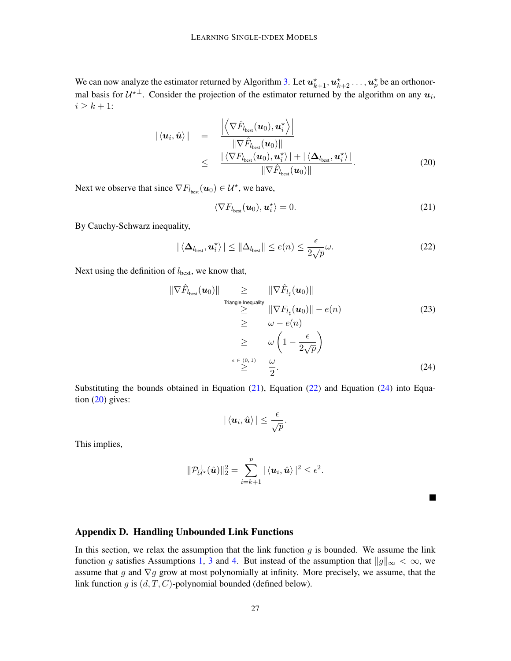We can now analyze the estimator returned by Algorithm [3.](#page-10-2) Let  $u_{k+1}^*, u_{k+2}^* \dots, u_p^*$  be an orthonormal basis for  $\mathcal{U}^{*\perp}$ . Consider the projection of the estimator returned by the algorithm on any  $u_i$ ,  $i \geq k+1$ :

$$
|\langle \mathbf{u}_i, \hat{\mathbf{u}} \rangle| = \frac{\left| \left\langle \nabla \hat{F}_{l_{\text{best}}}(\mathbf{u}_0), \mathbf{u}_i^{\star} \right\rangle \right|}{\|\nabla \hat{F}_{l_{\text{best}}}(\mathbf{u}_0)\|} \leq \frac{\left| \left\langle \nabla F_{l_{\text{best}}}(\mathbf{u}_0), \mathbf{u}_i^{\star} \right\rangle + \left| \left\langle \Delta_{l_{\text{best}}}, \mathbf{u}_i^{\star} \right\rangle \right|}{\|\nabla \hat{F}_{l_{\text{best}}}(\mathbf{u}_0)\|}.
$$
\n(20)

Next we observe that since  $\nabla F_{l_{best}}(\boldsymbol{u}_0) \in \mathcal{U}^{\star}$ , we have,

<span id="page-26-4"></span><span id="page-26-2"></span><span id="page-26-1"></span>
$$
\langle \nabla F_{l_{\text{best}}}(\boldsymbol{u}_0), \boldsymbol{u}_i^{\star} \rangle = 0. \tag{21}
$$

By Cauchy-Schwarz inequality,

$$
|\langle \Delta_{l_{\text{best}}}, \boldsymbol{u}_{i}^{\star} \rangle| \le ||\Delta_{l_{\text{best}}}|| \le e(n) \le \frac{\epsilon}{2\sqrt{p}} \omega.
$$
 (22)

Next using the definition of  $l_{best}$ , we know that,

$$
\|\nabla \hat{F}_{l_{\text{best}}}(\boldsymbol{u}_0)\| \geq \|\nabla \hat{F}_{l_{\sharp}}(\boldsymbol{u}_0)\|
$$
\n
$$
\geq \|\nabla F_{l_{\sharp}}(\boldsymbol{u}_0)\| - e(n)
$$
\n
$$
\geq \omega - e(n)
$$
\n
$$
\geq \omega \left(1 - \frac{\epsilon}{2\sqrt{p}}\right)
$$
\n
$$
\leq \frac{\epsilon \epsilon_{(0,1)}}{2} \quad \frac{\omega}{2}.
$$
\n(24)

Substituting the bounds obtained in Equation  $(21)$ , Equation  $(22)$  and Equation  $(24)$  into Equation  $(20)$  gives:

$$
|\left| \leq \frac{\epsilon}{\sqrt{p}}.
$$

This implies,

$$
\|\mathcal{P}_{\mathcal{U}^{\star}}^{\perp}(\hat{\boldsymbol{u}})\|_2^2 = \sum_{i=k+1}^p |\langle \boldsymbol{u}_i, \hat{\boldsymbol{u}} \rangle|^2 \leq \epsilon^2.
$$

<span id="page-26-3"></span>

# <span id="page-26-0"></span>Appendix D. Handling Unbounded Link Functions

In this section, we relax the assumption that the link function  $g$  is bounded. We assume the link function g satisfies Assumptions [1,](#page-4-3) [3](#page-4-0) and [4.](#page-4-1) But instead of the assumption that  $||g||_{\infty} < \infty$ , we assume that g and  $\nabla g$  grow at most polynomially at infinity. More precisely, we assume, that the link function g is  $(d, T, C)$ -polynomial bounded (defined below).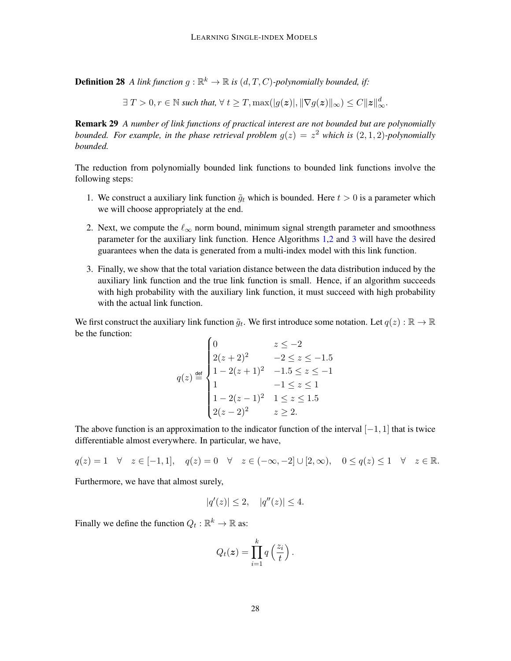**Definition 28** A link function  $g : \mathbb{R}^k \to \mathbb{R}$  is  $(d, T, C)$ -polynomially bounded, if:

 $\exists T > 0, r \in \mathbb{N}$  such that,  $\forall t \geq T, \max(|g(\boldsymbol{z})|, \|\nabla g(\boldsymbol{z})\|_{\infty}) \leq C \|\boldsymbol{z}\|_{\infty}^{d}.$ 

Remark 29 *A number of link functions of practical interest are not bounded but are polynomially bounded. For example, in the phase retrieval problem*  $g(z) = z^2$  *which is*  $(2,1,2)$ *-polynomially bounded.*

The reduction from polynomially bounded link functions to bounded link functions involve the following steps:

- 1. We construct a auxiliary link function  $\tilde{g}_t$  which is bounded. Here  $t > 0$  is a parameter which we will choose appropriately at the end.
- 2. Next, we compute the  $\ell_{\infty}$  norm bound, minimum signal strength parameter and smoothness parameter for the auxiliary link function. Hence Algorithms [1,](#page-8-0)[2](#page-9-1) and [3](#page-10-2) will have the desired guarantees when the data is generated from a multi-index model with this link function.
- 3. Finally, we show that the total variation distance between the data distribution induced by the auxiliary link function and the true link function is small. Hence, if an algorithm succeeds with high probability with the auxiliary link function, it must succeed with high probability with the actual link function.

We first construct the auxiliary link function  $\tilde{g}_t$ . We first introduce some notation. Let  $q(z): \mathbb{R} \to \mathbb{R}$ be the function:

$$
q(z) \stackrel{\text{def}}{=} \begin{cases} 0 & z \le -2 \\ 2(z+2)^2 & -2 \le z \le -1.5 \\ 1 - 2(z+1)^2 & -1.5 \le z \le -1 \\ 1 & -1 \le z \le 1 \\ 1 - 2(z-1)^2 & 1 \le z \le 1.5 \\ 2(z-2)^2 & z \ge 2. \end{cases}
$$

The above function is an approximation to the indicator function of the interval  $[-1, 1]$  that is twice differentiable almost everywhere. In particular, we have,

 $q(z) = 1 \quad \forall \quad z \in [-1, 1], \quad q(z) = 0 \quad \forall \quad z \in (-\infty, -2] \cup [2, \infty), \quad 0 \le q(z) \le 1 \quad \forall \quad z \in \mathbb{R}.$ 

Furthermore, we have that almost surely,

$$
|q'(z)| \le 2, \quad |q''(z)| \le 4.
$$

Finally we define the function  $Q_t : \mathbb{R}^k \to \mathbb{R}$  as:

$$
Q_t(z) = \prod_{i=1}^k q\left(\frac{z_i}{t}\right).
$$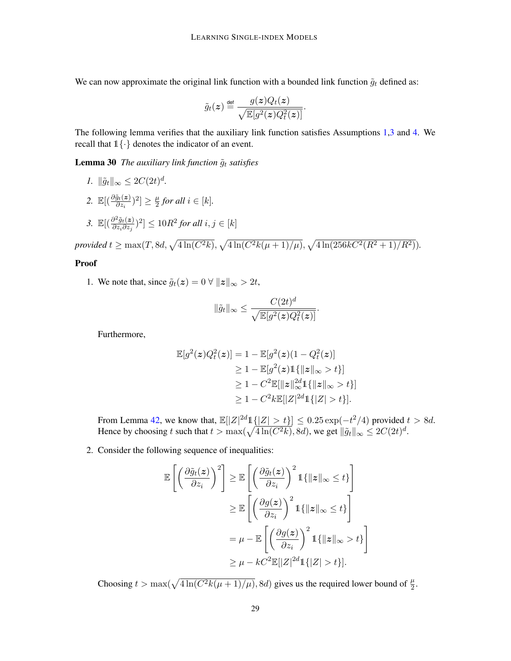We can now approximate the original link function with a bounded link function  $\tilde{g}_t$  defined as:

$$
\tilde{g}_t(z) \stackrel{\text{def}}{=} \frac{g(z)Q_t(z)}{\sqrt{\mathbb{E}[g^2(z)Q_t^2(z)]}}.
$$

The following lemma verifies that the auxiliary link function satisfies Assumptions [1,](#page-4-3)[3](#page-4-0) and [4.](#page-4-1) We recall that  $1\{\cdot\}$  denotes the indicator of an event.

**Lemma 30** *The auxiliary link function*  $\tilde{g}_t$  *satisfies* 

<span id="page-28-0"></span>*1.*  $\|\tilde{g}_t\|_{\infty} \leq 2C(2t)^d$ . 2.  $\mathbb{E}[(\frac{\partial \tilde{g}_t(z)}{\partial z_i})^2] \geq \frac{\mu}{2}$  $\frac{\mu}{2}$  for all  $i \in [k]$ . 3.  $\mathbb{E}[(\frac{\partial^2 \tilde{g}_t(z)}{\partial z \cdot \partial z)}]$  $\frac{\partial^2 \tilde{g}_t(\boldsymbol{z})}{\partial z_i \partial z_j}$ <sup>2</sup>]  $\leq 10R^2$  for all  $i, j \in [k]$  $p$ rovided  $t \ge \max(T, 8d, \sqrt{4 \ln(C^2 k)}, \sqrt{4 \ln(C^2 k(\mu + 1)/\mu)}, \sqrt{4 \ln(256 kC^2 (R^2 + 1)/R^2)})$ .

#### Proof

1. We note that, since  $\tilde{g}_t(z) = 0 \,\forall \|z\|_{\infty} > 2t$ ,

$$
\|\tilde{g}_t\|_{\infty} \le \frac{C(2t)^d}{\sqrt{\mathbb{E}[g^2(z)Q_t^2(z)]}}
$$

.

Furthermore,

$$
\mathbb{E}[g^{2}(z)Q_{t}^{2}(z)] = 1 - \mathbb{E}[g^{2}(z)(1 - Q_{t}^{2}(z))]
$$
\n
$$
\geq 1 - \mathbb{E}[g^{2}(z)1\{\|z\|_{\infty} > t\}]
$$
\n
$$
\geq 1 - C^{2}\mathbb{E}[\|z\|_{\infty}^{2d}1\{\|z\|_{\infty} > t\}]
$$
\n
$$
\geq 1 - C^{2}k\mathbb{E}[|Z|^{2d}1\{|Z| > t\}].
$$

From Lemma [42,](#page-36-1) we know that,  $\mathbb{E}[|Z|^{2d}1\{|Z| > t\}] \leq 0.25 \exp(-t^2/4)$  provided  $t > 8d$ . Hence by choosing t such that  $t > \max(\sqrt{4 \ln(C^2 k)}, 8d)$ , we get  $\|\tilde{g}_t\|_{\infty} \leq 2C(2t)^d$ .

2. Consider the following sequence of inequalities:

$$
\mathbb{E}\left[\left(\frac{\partial \tilde{g}_t(z)}{\partial z_i}\right)^2\right] \geq \mathbb{E}\left[\left(\frac{\partial \tilde{g}_t(z)}{\partial z_i}\right)^2 \mathbb{1}\{\|z\|_{\infty} \leq t\}\right]
$$
  

$$
\geq \mathbb{E}\left[\left(\frac{\partial g(z)}{\partial z_i}\right)^2 \mathbb{1}\{\|z\|_{\infty} \leq t\}\right]
$$
  

$$
= \mu - \mathbb{E}\left[\left(\frac{\partial g(z)}{\partial z_i}\right)^2 \mathbb{1}\{\|z\|_{\infty} > t\}\right]
$$
  

$$
\geq \mu - kC^2 \mathbb{E}[|Z|^{2d}\mathbb{1}\{|Z| > t\}].
$$

Choosing  $t > \max(\sqrt{4\ln(C^2k(\mu+1)/\mu)}, 8d)$  gives us the required lower bound of  $\frac{\mu}{2}$ .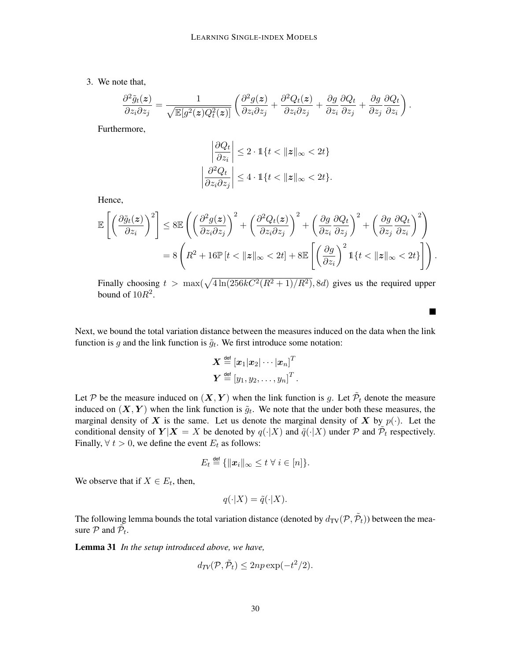3. We note that,

$$
\frac{\partial^2 \tilde{g}_t(\mathbf{z})}{\partial z_i \partial z_j} = \frac{1}{\sqrt{\mathbb{E}[g^2(\mathbf{z})Q_t^2(\mathbf{z})]}} \left( \frac{\partial^2 g(\mathbf{z})}{\partial z_i \partial z_j} + \frac{\partial^2 Q_t(\mathbf{z})}{\partial z_i \partial z_j} + \frac{\partial g}{\partial z_i} \frac{\partial Q_t}{\partial z_j} + \frac{\partial g}{\partial z_j} \frac{\partial Q_t}{\partial z_i} \right).
$$

Furthermore,

$$
\left| \frac{\partial Q_t}{\partial z_i} \right| \le 2 \cdot \mathbb{1}\{t < \|z\|_{\infty} < 2t\}
$$
\n
$$
\left| \frac{\partial^2 Q_t}{\partial z_i \partial z_j} \right| \le 4 \cdot \mathbb{1}\{t < \|z\|_{\infty} < 2t\}.
$$

Hence,

$$
\mathbb{E}\left[\left(\frac{\partial \tilde{g}_t(\mathbf{z})}{\partial z_i}\right)^2\right] \leq 8 \mathbb{E}\left(\left(\frac{\partial^2 g(\mathbf{z})}{\partial z_i \partial z_j}\right)^2 + \left(\frac{\partial^2 Q_t(\mathbf{z})}{\partial z_i \partial z_j}\right)^2 + \left(\frac{\partial g}{\partial z_i} \frac{\partial Q_t}{\partial z_j}\right)^2 + \left(\frac{\partial g}{\partial z_j} \frac{\partial Q_t}{\partial z_i}\right)^2\right)
$$
  
= 8\left(R^2 + 16 \mathbb{P}\left[t < ||\mathbf{z}||\_{\infty} < 2t\right] + 8 \mathbb{E}\left[\left(\frac{\partial g}{\partial z\_i}\right)^2 \mathbb{1}\left\{t < ||\mathbf{z}||\_{\infty} < 2t\right\}\right]\right).

Finally choosing  $t > \max(\sqrt{4 \ln(256kC^2(R^2+1)/R^2)}, 8d)$  gives us the required upper bound of  $10R^2$ .

 $\blacksquare$ 

Next, we bound the total variation distance between the measures induced on the data when the link function is g and the link function is  $\tilde{g}_t$ . We first introduce some notation:

$$
\begin{aligned} \boldsymbol{X} \stackrel{\mathsf{def}}{=} \left[\boldsymbol{x}_1|\boldsymbol{x}_2|\cdots|\boldsymbol{x}_n\right]^T \\ \boldsymbol{Y} \stackrel{\mathsf{def}}{=} \left[y_1,y_2,\ldots,y_n\right]^T. \end{aligned}
$$

Let P be the measure induced on  $(X, Y)$  when the link function is g. Let  $\tilde{\mathcal{P}}_t$  denote the measure induced on  $(X, Y)$  when the link function is  $\tilde{g}_t$ . We note that the under both these measures, the marginal density of X is the same. Let us denote the marginal density of X by  $p(\cdot)$ . Let the conditional density of  $Y|X = X$  be denoted by  $q(\cdot|X)$  and  $\tilde{q}(\cdot|X)$  under  $P$  and  $\tilde{P}_t$  respectively. Finally,  $\forall$  t > 0, we define the event  $E_t$  as follows:

$$
E_t \stackrel{\text{def}}{=} \{\|x_i\|_{\infty} \leq t \ \forall \ i \in [n]\}.
$$

We observe that if  $X \in E_t$ , then,

$$
q(\cdot | X) = \tilde{q}(\cdot | X).
$$

<span id="page-29-0"></span>The following lemma bounds the total variation distance (denoted by  $d_{\text{TV}}(\mathcal{P}, \tilde{\mathcal{P}}_t)$ ) between the measure  $P$  and  $\tilde{P}_t$ .

Lemma 31 *In the setup introduced above, we have,*

$$
d_{TV}(\mathcal{P}, \tilde{\mathcal{P}}_t) \le 2np \exp(-t^2/2).
$$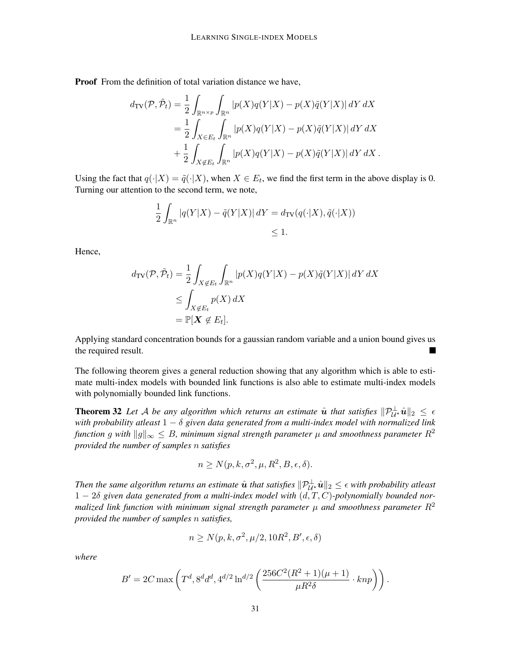Proof From the definition of total variation distance we have,

$$
d_{\text{TV}}(\mathcal{P}, \tilde{\mathcal{P}}_t) = \frac{1}{2} \int_{\mathbb{R}^{n \times p}} \int_{\mathbb{R}^n} |p(X)q(Y|X) - p(X)\tilde{q}(Y|X)| \, dY \, dX
$$
  
\n
$$
= \frac{1}{2} \int_{X \in E_t} \int_{\mathbb{R}^n} |p(X)q(Y|X) - p(X)\tilde{q}(Y|X)| \, dY \, dX
$$
  
\n
$$
+ \frac{1}{2} \int_{X \notin E_t} \int_{\mathbb{R}^n} |p(X)q(Y|X) - p(X)\tilde{q}(Y|X)| \, dY \, dX.
$$

Using the fact that  $q(\cdot|X) = \tilde{q}(\cdot|X)$ , when  $X \in E_t$ , we find the first term in the above display is 0. Turning our attention to the second term, we note,

$$
\frac{1}{2} \int_{\mathbb{R}^n} |q(Y|X) - \tilde{q}(Y|X)| \, dY = d_{\text{TV}}(q(\cdot|X), \tilde{q}(\cdot|X))
$$
  
\$\leq 1\$.

Hence,

$$
d_{\text{TV}}(\mathcal{P}, \tilde{\mathcal{P}}_t) = \frac{1}{2} \int_{X \notin E_t} \int_{\mathbb{R}^n} |p(X)q(Y|X) - p(X)\tilde{q}(Y|X)| \, dY \, dX
$$
  
\n
$$
\leq \int_{X \notin E_t} p(X) \, dX
$$
  
\n
$$
= \mathbb{P}[X \notin E_t].
$$

Applying standard concentration bounds for a gaussian random variable and a union bound gives us the required result. П

The following theorem gives a general reduction showing that any algorithm which is able to estimate multi-index models with bounded link functions is also able to estimate multi-index models with polynomially bounded link functions.

**Theorem 32** Let A be any algorithm which returns an estimate  $\hat{u}$  that satisfies  $\|\mathcal{P}_{\mathcal{U}^{\star}}^{\perp}\hat{u}\|_2 \leq \epsilon$ *with probability atleast* 1 − δ *given data generated from a multi-index model with normalized link function* g with  $||g||_{\infty} \leq B$ , minimum signal strength parameter  $\mu$  and smoothness parameter  $R^2$ *provided the number of samples* n *satisfies*

$$
n \ge N(p, k, \sigma^2, \mu, R^2, B, \epsilon, \delta).
$$

Then the same algorithm returns an estimate  $\hat u$  that satisfies  $\|\mathcal{P}_{\mathcal{U}^*}^{\perp}\hat u\|_2\leq \epsilon$  with probability atleast 1 − 2δ *given data generated from a multi-index model with* (d, T, C)*-polynomially bounded normalized link function with minimum signal strength parameter*  $\mu$  *and smoothness parameter*  $R^2$ *provided the number of samples* n *satisfies,*

$$
n \ge N(p, k, \sigma^2, \mu/2, 10R^2, B', \epsilon, \delta)
$$

*where*

$$
B' = 2C \max \left( T^d, 8^d d^d, 4^{d/2} \ln^{d/2} \left( \frac{256C^2 (R^2 + 1)(\mu + 1)}{\mu R^2 \delta} \cdot knp \right) \right).
$$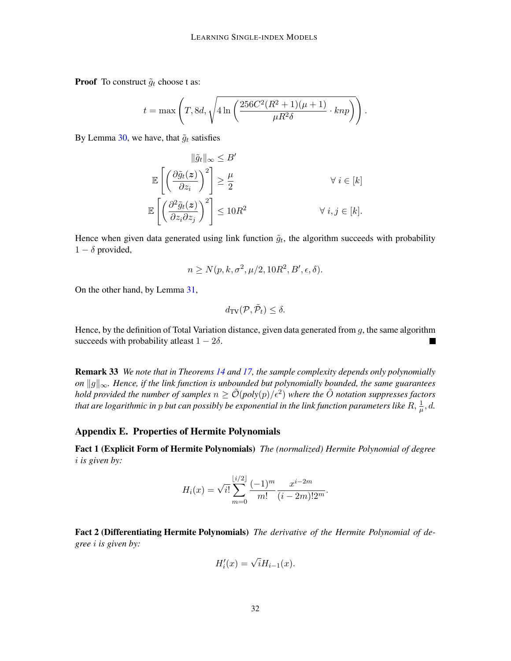**Proof** To construct  $\tilde{g}_t$  choose t as:

$$
t = \max\left(T, 8d, \sqrt{4\ln\left(\frac{256C^2(R^2+1)(\mu+1)}{\mu R^2 \delta} \cdot knp\right)}\right).
$$

By Lemma [30,](#page-28-0) we have, that  $\tilde{g}_t$  satisfies

$$
\|\tilde{g}_t\|_{\infty} \leq B'
$$
  
\n
$$
\mathbb{E}\left[\left(\frac{\partial \tilde{g}_t(z)}{\partial z_i}\right)^2\right] \geq \frac{\mu}{2}
$$
  
\n
$$
\mathbb{E}\left[\left(\frac{\partial^2 \tilde{g}_t(z)}{\partial z_i \partial z_j}\right)^2\right] \leq 10R^2
$$
  
\n
$$
\forall i \in [k].
$$
  
\n
$$
\forall i, j \in [k].
$$

Hence when given data generated using link function  $\tilde{g}_t$ , the algorithm succeeds with probability  $1 - \delta$  provided,

$$
n \ge N(p, k, \sigma^2, \mu/2, 10R^2, B', \epsilon, \delta).
$$

On the other hand, by Lemma [31,](#page-29-0)

$$
d_{\mathrm{TV}}(\mathcal{P}, \tilde{\mathcal{P}}_t) \le \delta.
$$

Hence, by the definition of Total Variation distance, given data generated from  $g$ , the same algorithm succeeds with probability at least  $1 - 2\delta$ .

Remark 33 *We note that in Theorems [14](#page-9-0) and [17,](#page-10-0) the sample complexity depends only polynomially on*  $||g||_{∞$ *. Hence, if the link function is unbounded but polynomially bounded, the same guarantees hold provided the number of samples*  $n \geq \tilde{O}(poly(p)/\epsilon^2)$  where the  $\tilde{O}$  notation suppresses factors that are logarithmic in  $p$  but can possibly be exponential in the link function parameters like  $R, \frac{1}{\mu}, d$ .

#### Appendix E. Properties of Hermite Polynomials

<span id="page-31-1"></span>Fact 1 (Explicit Form of Hermite Polynomials) *The (normalized) Hermite Polynomial of degree* i *is given by:*

$$
H_i(x) = \sqrt{i!} \sum_{m=0}^{\lfloor i/2 \rfloor} \frac{(-1)^m}{m!} \frac{x^{i-2m}}{(i-2m)! 2^m}.
$$

<span id="page-31-0"></span>Fact 2 (Differentiating Hermite Polynomials) *The derivative of the Hermite Polynomial of degree* i *is given by:*

$$
H_i'(x) = \sqrt{i}H_{i-1}(x).
$$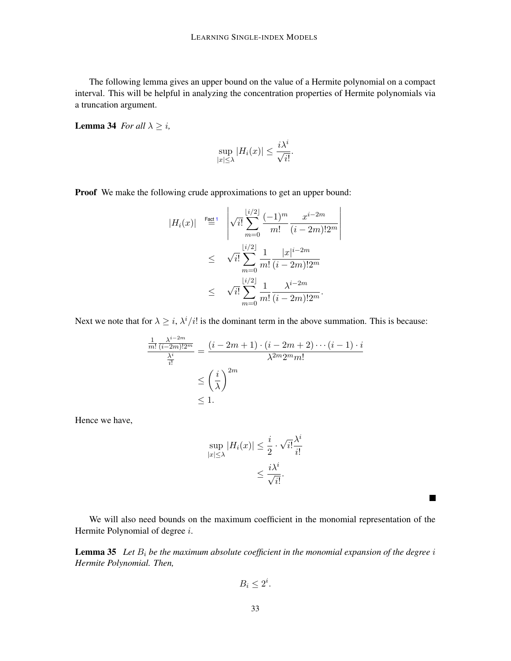The following lemma gives an upper bound on the value of a Hermite polynomial on a compact interval. This will be helpful in analyzing the concentration properties of Hermite polynomials via a truncation argument.

<span id="page-32-1"></span>**Lemma 34** *For all*  $\lambda \geq i$ ,

$$
\sup_{|x| \le \lambda} |H_i(x)| \le \frac{i\lambda^i}{\sqrt{i!}}.
$$

Proof We make the following crude approximations to get an upper bound:

$$
|H_i(x)| \stackrel{\text{Fact 1}}{=} \sqrt{i!} \sum_{m=0}^{\lfloor i/2 \rfloor} \frac{(-1)^m}{m!} \frac{x^{i-2m}}{(i-2m)!2^m}
$$
  

$$
\leq \sqrt{i!} \sum_{m=0}^{\lfloor i/2 \rfloor} \frac{1}{m!} \frac{|x|^{i-2m}}{(i-2m)!2^m}
$$
  

$$
\leq \sqrt{i!} \sum_{m=0}^{\lfloor i/2 \rfloor} \frac{1}{m!} \frac{\lambda^{i-2m}}{(i-2m)!2^m}.
$$

Next we note that for  $\lambda \geq i$ ,  $\lambda^{i}/i!$  is the dominant term in the above summation. This is because:

$$
\frac{\frac{1}{m!} \frac{\lambda^{i-2m}}{(i-2m)!2^m}}{\frac{\lambda^i}{i!}} = \frac{(i-2m+1) \cdot (i-2m+2) \cdots (i-1) \cdot i}{\lambda^{2m} 2^m m!}
$$

$$
\leq \left(\frac{i}{\lambda}\right)^{2m}
$$

$$
\leq 1.
$$

Hence we have,

$$
\sup_{|x| \le \lambda} |H_i(x)| \le \frac{i}{2} \cdot \sqrt{i!} \frac{\lambda^i}{i!}
$$

$$
\le \frac{i\lambda^i}{\sqrt{i!}}.
$$

We will also need bounds on the maximum coefficient in the monomial representation of the Hermite Polynomial of degree *i*.

 $\blacksquare$ 

<span id="page-32-0"></span>**Lemma 35** Let  $B_i$  be the maximum absolute coefficient in the monomial expansion of the degree i *Hermite Polynomial. Then,*

$$
B_i \le 2^i.
$$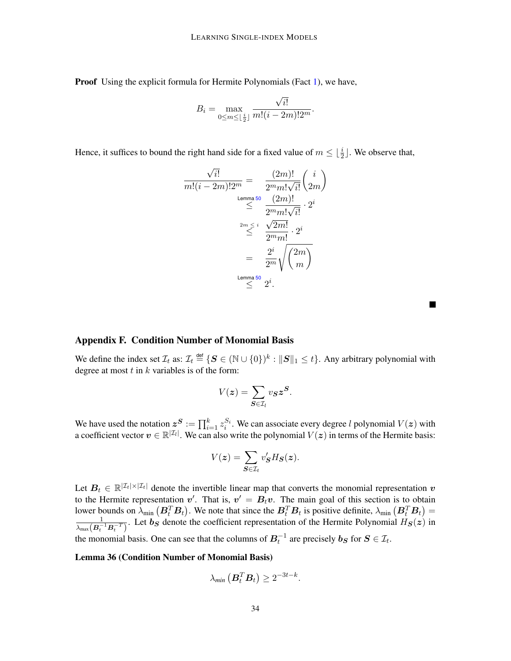**Proof** Using the explicit formula for Hermite Polynomials (Fact [1\)](#page-31-1), we have,

$$
B_i = \max_{0 \le m \le \lfloor \frac{i}{2} \rfloor} \frac{\sqrt{i!}}{m!(i-2m)!2^m}.
$$

Hence, it suffices to bound the right hand side for a fixed value of  $m \leq \lfloor \frac{i}{2} \rfloor$ . We observe that,

$$
\frac{\sqrt{i!}}{m!(i-2m)!2^m} = \frac{(2m)!}{2^m m! \sqrt{i!}} \binom{i}{2m}
$$
  

$$
\leq \frac{(2m)!}{2^m m! \sqrt{i!}} \cdot 2^i
$$
  

$$
\leq \frac{2^m \leq i}{2^m m!} \cdot 2^i
$$
  

$$
= \frac{2^i}{2^m} \sqrt{\binom{2m}{m}}
$$
  
Lemma 50 2<sup>i</sup>.

### Appendix F. Condition Number of Monomial Basis

We define the index set  $\mathcal{I}_t$  as:  $\mathcal{I}_t \stackrel{\text{def}}{=} \{ \mathbf{S} \in (\mathbb{N} \cup \{0\})^k : \| \mathbf{S} \|_1 \leq t \}.$  Any arbitrary polynomial with degree at most  $t$  in  $k$  variables is of the form:

$$
V(z) = \sum_{\mathbf{S} \in \mathcal{I}_l} v_{\mathbf{S}} z^{\mathbf{S}}.
$$

We have used the notation  $z^{S} := \prod_{i=1}^{k} z_i^{S_i}$ . We can associate every degree l polynomial  $V(z)$  with a coefficient vector  $v \in \mathbb{R}^{|Z_l|}$ . We can also write the polynomial  $V(z)$  in terms of the Hermite basis:

$$
V(z) = \sum_{\mathbf{S} \in \mathcal{I}_t} v'_{\mathbf{S}} H_{\mathbf{S}}(\mathbf{z}).
$$

Let  $B_t \in \mathbb{R}^{|\mathcal{I}_t| \times |\mathcal{I}_t|}$  denote the invertible linear map that converts the monomial representation  $v$ to the Hermite representation  $v'$ . That is,  $v' = B_t v$ . The main goal of this section is to obtain lower bounds on  $\lambda_{\min}$   $(B_t^T B_t)$ . We note that since the  $B_t^T B_t$  is positive definite,  $\lambda_{\min}$   $(B_t^T B_t)$  =  $\frac{1}{\lambda_{\max}(B_t^{-1}B_t^{-T})}$ . Let  $b_S$  denote the coefficient representation of the Hermite Polynomial  $H_S(z)$  in the monomial basis. One can see that the columns of  $B_t^{-1}$  are precisely  $b_S$  for  $S \in \mathcal{I}_t$ .

#### Lemma 36 (Condition Number of Monomial Basis)

<span id="page-33-0"></span>
$$
\lambda_{min}\left(\boldsymbol{B}_t^T \boldsymbol{B}_t\right) \geq 2^{-3t-k}.
$$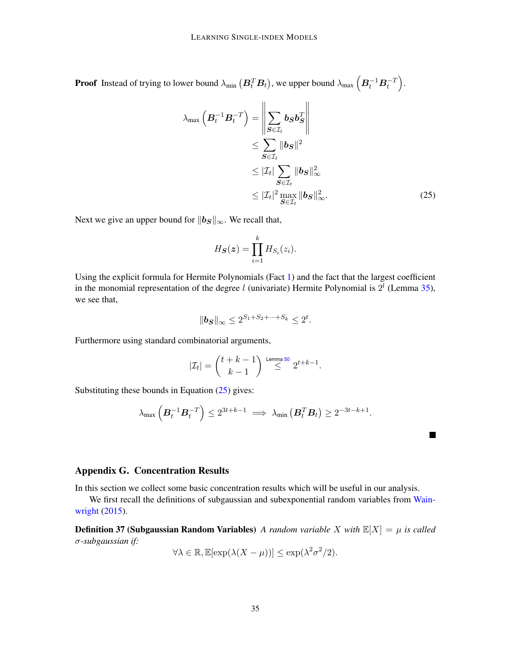**Proof** Instead of trying to lower bound  $\lambda_{\min}\left(\bm{B}_t^T\bm{B}_t\right)$ , we upper bound  $\lambda_{\max}\left(\bm{B}_t^{-1}\bm{B}_t^{-T}\right)$ .

$$
\lambda_{\max} \left( \boldsymbol{B}_t^{-1} \boldsymbol{B}_t^{-T} \right) = \left\| \sum_{\boldsymbol{S} \in \mathcal{I}_l} \boldsymbol{b}_{\boldsymbol{S}} \boldsymbol{b}_{\boldsymbol{S}}^T \right\|
$$
  
\n
$$
\leq \sum_{\boldsymbol{S} \in \mathcal{I}_l} \|\boldsymbol{b}_{\boldsymbol{S}}\|^2
$$
  
\n
$$
\leq |\mathcal{I}_t| \sum_{\boldsymbol{S} \in \mathcal{I}_t} \|\boldsymbol{b}_{\boldsymbol{S}}\|_{\infty}^2
$$
  
\n
$$
\leq |\mathcal{I}_t|^2 \max_{\boldsymbol{S} \in \mathcal{I}_t} \|\boldsymbol{b}_{\boldsymbol{S}}\|_{\infty}^2.
$$
 (25)

 $\blacksquare$ 

Next we give an upper bound for  $||b_S||_{\infty}$ . We recall that,

<span id="page-34-0"></span>
$$
H_{\boldsymbol{S}}(\boldsymbol{z}) = \prod_{i=1}^k H_{S_i}(z_i).
$$

Using the explicit formula for Hermite Polynomials (Fact [1\)](#page-31-1) and the fact that the largest coefficient in the monomial representation of the degree l (univariate) Hermite Polynomial is  $2^{l}$  (Lemma [35\)](#page-32-0), we see that,

$$
\|\mathbf{b_S}\|_{\infty} \le 2^{S_1 + S_2 + \dots + S_k} \le 2^t.
$$

Furthermore using standard combinatorial arguments,

$$
|\mathcal{I}_t| = \binom{t+k-1}{k-1} \stackrel{\text{Lemma 50}}{\le} 2^{t+k-1}.
$$

Substituting these bounds in Equation  $(25)$  gives:

$$
\lambda_{\max}\left(\boldsymbol{B}_t^{-1}\boldsymbol{B}_t^{-T}\right)\leq 2^{3t+k-1}\implies \lambda_{\min}\left(\boldsymbol{B}_t^T\boldsymbol{B}_t\right)\geq 2^{-3t-k+1}.
$$

## Appendix G. Concentration Results

In this section we collect some basic concentration results which will be useful in our analysis.

We first recall the definitions of subgaussian and subexponential random variables from [Wain](#page-13-0)[wright](#page-13-0) [\(2015\)](#page-13-0).

**Definition 37 (Subgaussian Random Variables)** *A random variable X with*  $\mathbb{E}[X] = \mu$  *is called* σ*-subgaussian if:*

$$
\forall \lambda \in \mathbb{R}, \mathbb{E}[\exp(\lambda(X-\mu))] \le \exp(\lambda^2 \sigma^2/2).
$$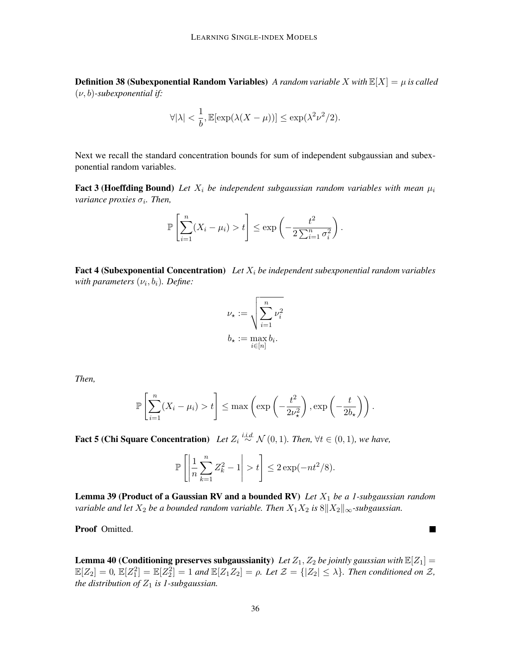**Definition 38 (Subexponential Random Variables)** *A random variable X with*  $\mathbb{E}[X] = \mu$  *is called* (ν, b)*-subexponential if:*

$$
\forall |\lambda| < \frac{1}{b}, \mathbb{E}[\exp(\lambda(X-\mu))] \le \exp(\lambda^2 \nu^2/2).
$$

Next we recall the standard concentration bounds for sum of independent subgaussian and subexponential random variables.

<span id="page-35-2"></span>**Fact 3 (Hoeffding Bound)** Let  $X_i$  be independent subgaussian random variables with mean  $\mu_i$ *variance proxies*  $\sigma_i$ *. Then,* 

$$
\mathbb{P}\left[\sum_{i=1}^n (X_i - \mu_i) > t\right] \le \exp\left(-\frac{t^2}{2\sum_{i=1}^n \sigma_i^2}\right).
$$

<span id="page-35-3"></span>**Fact 4 (Subexponential Concentration)** Let  $X_i$  be independent subexponential random variables  $with$  parameters  $(\nu_i, b_i)$ . Define:

$$
\nu_{\star} := \sqrt{\sum_{i=1}^{n} \nu_i^2}
$$

$$
b_{\star} := \max_{i \in [n]} b_i.
$$

*Then,*

$$
\mathbb{P}\left[\sum_{i=1}^n (X_i - \mu_i) > t\right] \leq \max\left(\exp\left(-\frac{t^2}{2\nu_{\star}^2}\right), \exp\left(-\frac{t}{2b_{\star}}\right)\right).
$$

<span id="page-35-0"></span>**Fact 5 (Chi Square Concentration)** Let  $Z_i \stackrel{i.i.d.}{\sim} \mathcal{N}(0,1)$ . Then, ∀t ∈  $(0,1)$ , we have,

$$
\mathbb{P}\left[\left|\frac{1}{n}\sum_{k=1}^n Z_k^2 - 1\right| > t\right] \le 2\exp(-nt^2/8).
$$

<span id="page-35-1"></span>Lemma 39 (Product of a Gaussian RV and a bounded RV) *Let*  $X_1$  *be a 1-subgaussian random variable and let*  $X_2$  *be a bounded random variable. Then*  $X_1X_2$  *is*  $8||X_2||_{\infty}$ *-subgaussian.* 

Proof Omitted.

**Lemma 40 (Conditioning preserves subgaussianity)** Let  $Z_1$ ,  $Z_2$  be jointly gaussian with  $\mathbb{E}[Z_1] =$  $\mathbb{E}[Z_2] = 0$ ,  $\mathbb{E}[Z_1^2] = \mathbb{E}[Z_2^2] = 1$  and  $\mathbb{E}[Z_1 Z_2] = \rho$ . Let  $\mathcal{Z} = \{|Z_2| \leq \lambda\}$ . Then conditioned on  $\mathcal{Z}$ , *the distribution of*  $Z_1$  *is 1-subgaussian.* 

 $\blacksquare$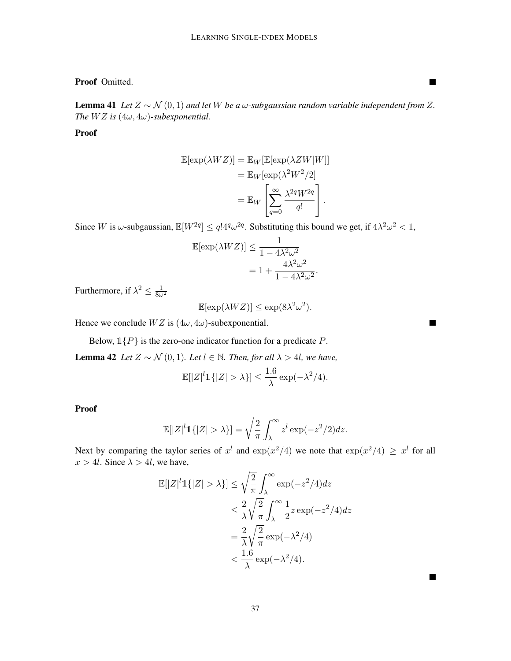# Proof Omitted.

<span id="page-36-2"></span>**Lemma 41** *Let*  $Z \sim N(0, 1)$  *and let*  $W$  *be a* ω-subgaussian random variable independent from  $Z$ *. The*  $WZ$  *is*  $(4\omega, 4\omega)$ -subexponential.

# Proof

$$
\mathbb{E}[\exp(\lambda WZ)] = \mathbb{E}_W[\mathbb{E}[\exp(\lambda ZW|W]]]
$$
  
=  $\mathbb{E}_W[\exp(\lambda^2 W^2/2]]$   
=  $\mathbb{E}_W\left[\sum_{q=0}^{\infty} \frac{\lambda^{2q} W^{2q}}{q!}\right].$ 

Since W is  $\omega$ -subgaussian,  $\mathbb{E}[W^{2q}] \leq q! 4^q \omega^{2q}$ . Substituting this bound we get, if  $4\lambda^2 \omega^2 < 1$ ,

$$
\mathbb{E}[\exp(\lambda WZ)] \le \frac{1}{1 - 4\lambda^2 \omega^2}
$$
  
=  $1 + \frac{4\lambda^2 \omega^2}{1 - 4\lambda^2 \omega^2}.$ 

Furthermore, if  $\lambda^2 \leq \frac{1}{8\omega^2}$ 

$$
\mathbb{E}[\exp(\lambda W Z)] \le \exp(8\lambda^2 \omega^2).
$$

Hence we conclude  $WZ$  is  $(4\omega, 4\omega)$ -subexponential.

Below,  $1\{P\}$  is the zero-one indicator function for a predicate P.

<span id="page-36-1"></span>**Lemma 42** *Let*  $Z \sim \mathcal{N}(0, 1)$ *. Let*  $l \in \mathbb{N}$ *. Then, for all*  $\lambda > 4l$ *, we have,* 

$$
\mathbb{E}[|Z|^l \mathbb{1}\{|Z| > \lambda\}] \le \frac{1.6}{\lambda} \exp(-\lambda^2/4).
$$

Proof

$$
\mathbb{E}[|Z|^l \mathbb{1}\{|Z| > \lambda\}] = \sqrt{\frac{2}{\pi}} \int_{\lambda}^{\infty} z^l \exp(-z^2/2) dz.
$$

<span id="page-36-0"></span>Next by comparing the taylor series of  $x^l$  and  $\exp(x^2/4)$  we note that  $\exp(x^2/4) \geq x^l$  for all  $x > 4l$ . Since  $\lambda > 4l$ , we have,

$$
\mathbb{E}[|Z|^l \mathbb{1}\{|Z| > \lambda\}] \le \sqrt{\frac{2}{\pi}} \int_{\lambda}^{\infty} \exp(-z^2/4) dz
$$
  
\n
$$
\le \frac{2}{\lambda} \sqrt{\frac{2}{\pi}} \int_{\lambda}^{\infty} \frac{1}{2} z \exp(-z^2/4) dz
$$
  
\n
$$
= \frac{2}{\lambda} \sqrt{\frac{2}{\pi}} \exp(-\lambda^2/4)
$$
  
\n
$$
< \frac{1.6}{\lambda} \exp(-\lambda^2/4).
$$

37

a sa

 $\blacksquare$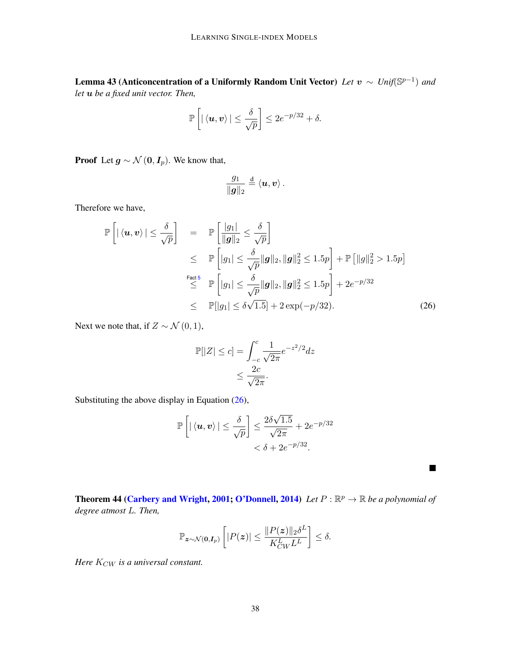Lemma 43 (Anticoncentration of a Uniformly Random Unit Vector) *Let* v ∼ *Unif*(S p−1 ) *and let* u *be a fixed unit vector. Then,*

$$
\mathbb{P}\left[\left|\left\langle \boldsymbol{u},\boldsymbol{v}\right\rangle \right|\leq \frac{\delta}{\sqrt{p}}\right]\leq 2e^{-p/32}+\delta.
$$

**Proof** Let  $g \sim \mathcal{N}(0, I_p)$ . We know that,

$$
\frac{g_1}{\|\boldsymbol{g}\|_2} \stackrel{\text{d}}{=} \langle \boldsymbol{u}, \boldsymbol{v} \rangle \,.
$$

Therefore we have,

$$
\mathbb{P}\left[\left|\left\langle \mathbf{u},\mathbf{v}\right\rangle\right|\leq\frac{\delta}{\sqrt{p}}\right] = \mathbb{P}\left[\frac{|g_1|}{\|\mathbf{g}\|_2}\leq\frac{\delta}{\sqrt{p}}\right] \leq \mathbb{P}\left[|g_1|\leq\frac{\delta}{\sqrt{p}}\|\mathbf{g}\|_2, \|\mathbf{g}\|_2^2\leq 1.5p\right] + \mathbb{P}\left[\|g\|_2^2>1.5p\right] \stackrel{\text{Fact 5}}{\leq} \mathbb{P}\left[|g_1|\leq\frac{\delta}{\sqrt{p}}\|\mathbf{g}\|_2, \|\mathbf{g}\|_2^2\leq 1.5p\right] + 2e^{-p/32} \leq \mathbb{P}[\|g_1|\leq\delta\sqrt{1.5}] + 2\exp(-p/32). \tag{26}
$$

Next we note that, if  $Z \sim \mathcal{N}(0, 1)$ ,

$$
\mathbb{P}[|Z| \le c] = \int_{-c}^{c} \frac{1}{\sqrt{2\pi}} e^{-z^2/2} dz
$$

$$
\le \frac{2c}{\sqrt{2\pi}}.
$$

Substituting the above display in Equation [\(26\)](#page-37-1),

$$
\mathbb{P}\left[\left|\left\langle \boldsymbol{u},\boldsymbol{v}\right\rangle \right|\leq \frac{\delta}{\sqrt{p}}\right]\leq \frac{2\delta\sqrt{1.5}}{\sqrt{2\pi}}+2e^{-p/32}<\delta+2e^{-p/32}.
$$

<span id="page-37-0"></span>**Theorem 44 [\(Carbery and Wright,](#page-12-16) [2001;](#page-12-16) [O'Donnell,](#page-12-11) [2014\)](#page-12-11)** Let  $P : \mathbb{R}^p \to \mathbb{R}$  be a polynomial of *degree atmost* L*. Then,*

<span id="page-37-1"></span> $\blacksquare$ 

$$
\mathbb{P}_{\boldsymbol{z}\sim\mathcal{N}(\boldsymbol{0},\boldsymbol{I}_{p})}\left[|P(\boldsymbol{z})|\leq\frac{\|P(\boldsymbol{z})\|_2\delta^L}{K_{CW}^LL^L}\right]\leq\delta.
$$

*Here*  $K_{CW}$  *is a universal constant.*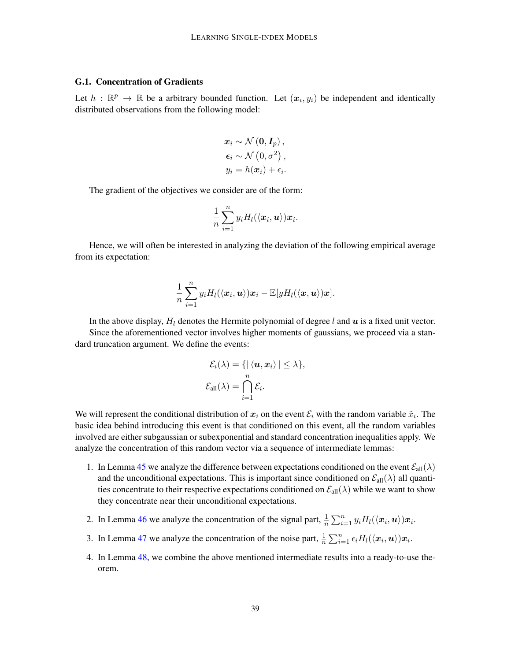#### G.1. Concentration of Gradients

Let  $h : \mathbb{R}^p \to \mathbb{R}$  be a arbitrary bounded function. Let  $(x_i, y_i)$  be independent and identically distributed observations from the following model:

$$
x_i \sim \mathcal{N}(0, I_p),
$$
  
\n
$$
\epsilon_i \sim \mathcal{N}(0, \sigma^2),
$$
  
\n
$$
y_i = h(x_i) + \epsilon_i.
$$

The gradient of the objectives we consider are of the form:

$$
\frac{1}{n}\sum_{i=1}^n y_i H_l(\langle \mathbf{x}_i, \mathbf{u} \rangle) \mathbf{x}_i.
$$

Hence, we will often be interested in analyzing the deviation of the following empirical average from its expectation:

$$
\frac{1}{n}\sum_{i=1}^n y_i H_l(\langle \boldsymbol{x}_i, \boldsymbol{u}\rangle) \boldsymbol{x}_i - \mathbb{E}[y H_l(\langle \boldsymbol{x}, \boldsymbol{u}\rangle) \boldsymbol{x}].
$$

In the above display,  $H_l$  denotes the Hermite polynomial of degree l and  $u$  is a fixed unit vector. Since the aforementioned vector involves higher moments of gaussians, we proceed via a standard truncation argument. We define the events:

$$
\mathcal{E}_i(\lambda) = \{ | \langle \mathbf{u}, \mathbf{x}_i \rangle | \leq \lambda \},
$$
  

$$
\mathcal{E}_{all}(\lambda) = \bigcap_{i=1}^n \mathcal{E}_i.
$$

We will represent the conditional distribution of  $x_i$  on the event  $\mathcal{E}_i$  with the random variable  $\tilde{x}_i$ . The basic idea behind introducing this event is that conditioned on this event, all the random variables involved are either subgaussian or subexponential and standard concentration inequalities apply. We analyze the concentration of this random vector via a sequence of intermediate lemmas:

- 1. In Lemma [45](#page-38-0) we analyze the difference between expectations conditioned on the event  $\mathcal{E}_{all}(\lambda)$ and the unconditional expectations. This is important since conditioned on  $\mathcal{E}_{all}(\lambda)$  all quantities concentrate to their respective expectations conditioned on  $\mathcal{E}_{all}(\lambda)$  while we want to show they concentrate near their unconditional expectations.
- 2. In Lemma [46](#page-39-0) we analyze the concentration of the signal part,  $\frac{1}{n} \sum_{i=1}^{n} y_i H_l(\langle x_i, \mathbf{u} \rangle) x_i$ .
- 3. In Lemma [47](#page-40-0) we analyze the concentration of the noise part,  $\frac{1}{n} \sum_{i=1}^{n} \epsilon_i H_l(\langle x_i, u \rangle) x_i$ .
- <span id="page-38-0"></span>4. In Lemma [48,](#page-41-0) we combine the above mentioned intermediate results into a ready-to-use theorem.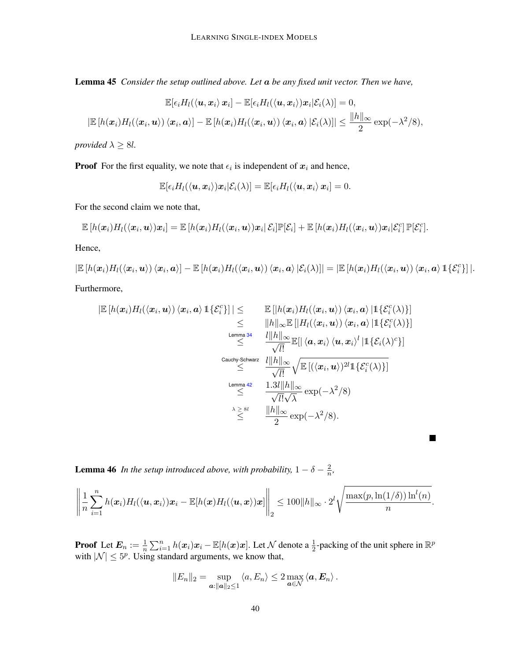Lemma 45 *Consider the setup outlined above. Let* a *be any fixed unit vector. Then we have,*

$$
\mathbb{E}[\epsilon_i H_l(\langle \boldsymbol{u}, \boldsymbol{x}_i \rangle \boldsymbol{x}_i] - \mathbb{E}[\epsilon_i H_l(\langle \boldsymbol{u}, \boldsymbol{x}_i \rangle) \boldsymbol{x}_i | \mathcal{E}_i(\lambda)] = 0,
$$
  

$$
|\mathbb{E}[h(\boldsymbol{x}_i) H_l(\langle \boldsymbol{x}_i, \boldsymbol{u} \rangle) \langle \boldsymbol{x}_i, \boldsymbol{a} \rangle] - \mathbb{E}[h(\boldsymbol{x}_i) H_l(\langle \boldsymbol{x}_i, \boldsymbol{u} \rangle) \langle \boldsymbol{x}_i, \boldsymbol{a} \rangle | \mathcal{E}_i(\lambda)]| \le \frac{\|h\|_{\infty}}{2} \exp(-\lambda^2/8),
$$

*provided*  $\lambda \geq 8l$ *.* 

**Proof** For the first equality, we note that  $\epsilon_i$  is independent of  $x_i$  and hence,

 $\mathbb{E}[\epsilon_i H_l(\langle {\boldsymbol{u}}, {\boldsymbol{x}}_i \rangle) {\boldsymbol{x}}_i | \mathcal{E}_i(\lambda)] = \mathbb{E}[\epsilon_i H_l(\langle {\boldsymbol{u}}, {\boldsymbol{x}}_i \rangle \, {\boldsymbol{x}}_i] = 0.$ 

For the second claim we note that,

$$
\mathbb{E}\left[h(\boldsymbol{x}_i)H_l(\langle \boldsymbol{x}_i,\boldsymbol{u}\rangle)\boldsymbol{x}_i\right] = \mathbb{E}\left[h(\boldsymbol{x}_i)H_l(\langle \boldsymbol{x}_i,\boldsymbol{u}\rangle)\boldsymbol{x}_i\right]\mathcal{E}_i]\mathbb{P}[\mathcal{E}_i] + \mathbb{E}\left[h(\boldsymbol{x}_i)H_l(\langle \boldsymbol{x}_i,\boldsymbol{u}\rangle)\boldsymbol{x}_i\right]\mathcal{E}_i^c]\mathbb{P}[\mathcal{E}_i^c].
$$

Hence,

 $|\mathbb{E}\left[h(\boldsymbol{x}_i)H_l(\langle \boldsymbol{x}_i,\boldsymbol{u}\rangle)\langle \boldsymbol{x}_i,\boldsymbol{a}\rangle\right]-\mathbb{E}\left[h(\boldsymbol{x}_i)H_l(\langle \boldsymbol{x}_i,\boldsymbol{u}\rangle)\langle \boldsymbol{x}_i,\boldsymbol{a}\rangle\,|\mathcal{E}_i(\lambda)\right] = |\mathbb{E}\left[h(\boldsymbol{x}_i)H_l(\langle \boldsymbol{x}_i,\boldsymbol{u}\rangle)\langle \boldsymbol{x}_i,\boldsymbol{a}\rangle\,1\{\mathcal{E}_i^c\}\right]|.$ Furthermore,

П

$$
\begin{array}{rcl}\n|\mathbb{E}\left[h(\boldsymbol{x}_i)H_l(\langle \boldsymbol{x}_i, \boldsymbol{u}\rangle)\langle \boldsymbol{x}_i, \boldsymbol{a}\rangle \, \mathbbm{1}\{\mathcal{E}_i^c\}\right] & \leq & \mathbb{E}\left[\left|h(\boldsymbol{x}_i)H_l(\langle \boldsymbol{x}_i, \boldsymbol{u}\rangle)\langle \boldsymbol{x}_i, \boldsymbol{a}\rangle \, | \mathbbm{1}\{\mathcal{E}_i^c(\lambda)\}\right] \\
&\leq & \|\boldsymbol{h}\|_{\infty} \mathbb{E}\left[\left|H_l(\langle \boldsymbol{x}_i, \boldsymbol{u}\rangle)\langle \boldsymbol{x}_i, \boldsymbol{a}\rangle \, | \mathbbm{1}\{\mathcal{E}_i^c(\lambda)\}\right]\right] \\
&\leq & \frac{l\|\boldsymbol{h}\|_{\infty}}{\sqrt{l!}} \mathbb{E}\left[\left|\langle \boldsymbol{a}, \boldsymbol{x}_i\rangle \langle \boldsymbol{u}, \boldsymbol{x}_i\rangle^l \, | \mathbbm{1}\{\mathcal{E}_i(\lambda)^c\}\right]\right] \\
&\leq & \frac{l\|\boldsymbol{h}\|_{\infty}}{\sqrt{l!}} \sqrt{\mathbb{E}\left[\left(\langle \boldsymbol{x}_i, \boldsymbol{u}\rangle\right)^{2l} \mathbbm{1}\{\mathcal{E}_i^c(\lambda)\}\right]} \\
&\leq & \frac{1.3l\|\boldsymbol{h}\|_{\infty}}{\sqrt{l!}\sqrt{\lambda}} \exp(-\lambda^2/8) \\
&\geq & \frac{\|\boldsymbol{h}\|_{\infty}}{2} \exp(-\lambda^2/8).\n\end{array}
$$

<span id="page-39-0"></span>**Lemma 46** In the setup introduced above, with probability,  $1 - \delta - \frac{2}{n}$  $\frac{2}{n}$ ,

$$
\left\|\frac{1}{n}\sum_{i=1}^n h(\boldsymbol{x}_i)H_l(\langle \boldsymbol{u}, \boldsymbol{x}_i \rangle)\boldsymbol{x}_i - \mathbb{E}[h(\boldsymbol{x})H_l(\langle \boldsymbol{u}, \boldsymbol{x} \rangle)\boldsymbol{x}]\right\|_2 \leq 100\|h\|_{\infty} \cdot 2^l \sqrt{\frac{\max(p,\ln(1/\delta))\ln^l(n)}{n}}.
$$

**Proof** Let  $E_n := \frac{1}{n} \sum_{i=1}^n h(x_i)x_i - \mathbb{E}[h(x)x]$ . Let  $\mathcal N$  denote a  $\frac{1}{2}$ -packing of the unit sphere in  $\mathbb R^p$ with  $|\mathcal{N}| \leq 5^p$ . Using standard arguments, we know that,

$$
||E_n||_2 = \sup_{\mathbf{a}:\|\mathbf{a}\|_2 \leq 1} \langle a, E_n \rangle \leq 2 \max_{\mathbf{a}\in \mathcal{N}} \langle \mathbf{a}, \mathbf{E}_n \rangle.
$$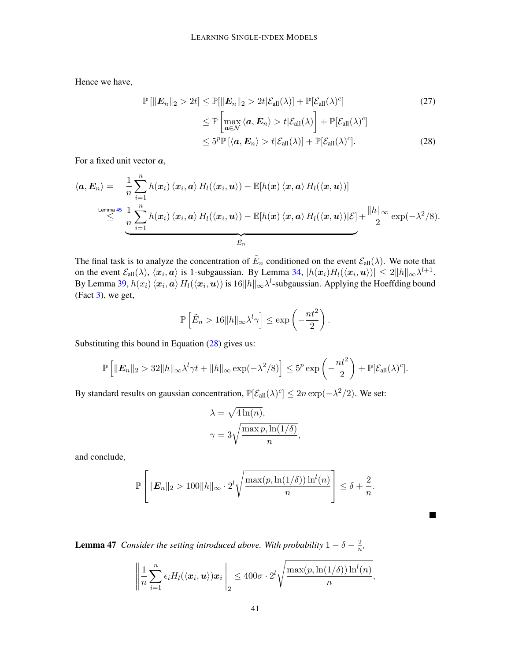Hence we have,

<span id="page-40-1"></span>
$$
\mathbb{P}\left[\|\boldsymbol{E}_{n}\|_{2} > 2t\right] \leq \mathbb{P}[\|\boldsymbol{E}_{n}\|_{2} > 2t|\mathcal{E}_{\text{all}}(\lambda)] + \mathbb{P}[\mathcal{E}_{\text{all}}(\lambda)^{c}] \tag{27}
$$
\n
$$
\leq \mathbb{P}\left[\max_{\boldsymbol{a}\in\mathcal{N}}\langle\boldsymbol{a}, \boldsymbol{E}_{n}\rangle > t|\mathcal{E}_{\text{all}}(\lambda)\right] + \mathbb{P}[\mathcal{E}_{\text{all}}(\lambda)^{c}] \tag{28}
$$
\n
$$
\leq 5^{p} \mathbb{P}\left[\langle\boldsymbol{a}, \boldsymbol{E}_{n}\rangle > t|\mathcal{E}_{\text{all}}(\lambda)\right] + \mathbb{P}[\mathcal{E}_{\text{all}}(\lambda)^{c}]. \tag{28}
$$

For a fixed unit vector  $a$ ,

$$
\langle \boldsymbol{a}, \boldsymbol{E}_n \rangle = \frac{1}{n} \sum_{i=1}^n h(\boldsymbol{x}_i) \langle \boldsymbol{x}_i, \boldsymbol{a} \rangle H_l(\langle \boldsymbol{x}_i, \boldsymbol{u} \rangle) - \mathbb{E}[h(\boldsymbol{x}) \langle \boldsymbol{x}, \boldsymbol{a} \rangle H_l(\langle \boldsymbol{x}, \boldsymbol{u} \rangle)]
$$
  
\nLemma 45  
\n
$$
\leq \sum_{i=1}^n \frac{1}{n} \sum_{i=1}^n h(\boldsymbol{x}_i) \langle \boldsymbol{x}_i, \boldsymbol{a} \rangle H_l(\langle \boldsymbol{x}_i, \boldsymbol{u} \rangle) - \mathbb{E}[h(\boldsymbol{x}) \langle \boldsymbol{x}, \boldsymbol{a} \rangle H_l(\langle \boldsymbol{x}, \boldsymbol{u} \rangle)| \mathcal{E}] + \frac{\|h\|_{\infty}}{2} \exp(-\lambda^2/8).
$$

The final task is to analyze the concentration of  $\tilde{E}_n$  conditioned on the event  $\mathcal{E}_{all}(\lambda)$ . We note that on the event  $\mathcal{E}_{all}(\lambda)$ ,  $\langle x_i, a \rangle$  is 1-subgaussian. By Lemma [34,](#page-32-1)  $|h(x_i)H_l(\langle x_i, u \rangle)| \leq 2||h||_{\infty} \lambda^{l+1}$ . By Lemma [39,](#page-35-1)  $h(x_i)\braket{x_i, \pmb{a}}{H_l(\langle \pmb{x}_i, \pmb{u}\rangle)}$  is  $16\|h\|_\infty \lambda^l$ -subgaussian. Applying the Hoeffding bound (Fact [3\)](#page-35-2), we get,

$$
\mathbb{P}\left[\tilde{E}_n > 16||h||_{\infty} \lambda^l \gamma\right] \le \exp\left(-\frac{nt^2}{2}\right).
$$

Substituting this bound in Equation [\(28\)](#page-40-1) gives us:

$$
\mathbb{P}\left[\|\boldsymbol{E}_n\|_2 > 32\|h\|_{\infty}\lambda^l\gamma t + \|h\|_{\infty}\exp(-\lambda^2/8)\right] \leq 5^p\exp\left(-\frac{nt^2}{2}\right) + \mathbb{P}[\mathcal{E}_{\text{all}}(\lambda)^c].
$$

By standard results on gaussian concentration,  $\mathbb{P}[\mathcal{E}_{all}(\lambda)^c] \leq 2n \exp(-\lambda^2/2)$ . We set:

$$
\lambda = \sqrt{4 \ln(n)},
$$
  

$$
\gamma = 3 \sqrt{\frac{\max p, \ln(1/\delta)}{n}},
$$

and conclude,

$$
\mathbb{P}\left[\|\boldsymbol{E}_n\|_2 > 100\|h\|_{\infty} \cdot 2^l \sqrt{\frac{\max(p,\ln(1/\delta))\ln^l(n)}{n}}\right] \leq \delta + \frac{2}{n}.
$$

п

<span id="page-40-0"></span>**Lemma 47** *Consider the setting introduced above. With probability*  $1 - \delta - \frac{2}{n}$  $\frac{2}{n}$ ,

$$
\left\|\frac{1}{n}\sum_{i=1}^n \epsilon_i H_l(\langle \boldsymbol{x}_i, \boldsymbol{u} \rangle) \boldsymbol{x}_i\right\|_2 \le 400\sigma \cdot 2^l \sqrt{\frac{\max(p, \ln(1/\delta)) \ln^l(n)}{n}},
$$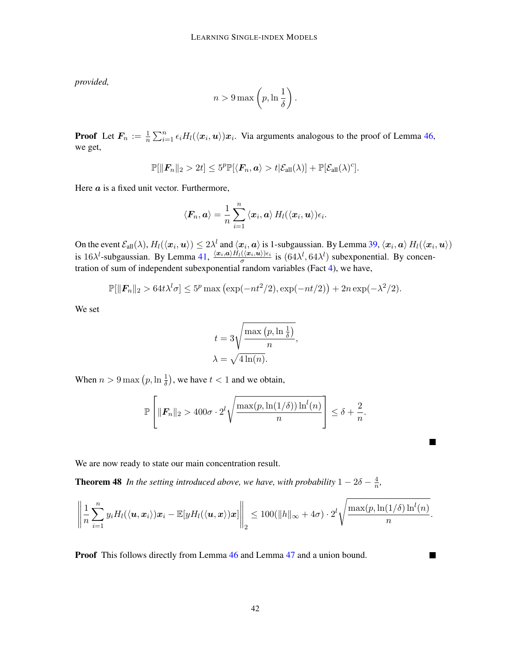*provided,*

$$
n > 9 \max\left(p, \ln\frac{1}{\delta}\right).
$$

**Proof** Let  $F_n := \frac{1}{n} \sum_{i=1}^n \epsilon_i H_l(\langle x_i, u \rangle) x_i$ . Via arguments analogous to the proof of Lemma [46,](#page-39-0) we get,

$$
\mathbb{P}[\|\boldsymbol{F}_n\|_2 > 2t] \leq 5^p \mathbb{P}[\langle \boldsymbol{F}_n, \boldsymbol{a} \rangle > t | \mathcal{E}_{\text{all}}(\lambda)] + \mathbb{P}[\mathcal{E}_{\text{all}}(\lambda)^c].
$$

Here  $a$  is a fixed unit vector. Furthermore,

$$
\langle \boldsymbol{F}_n, \boldsymbol{a} \rangle = \frac{1}{n} \sum_{i=1}^n \left\langle \boldsymbol{x}_i, \boldsymbol{a} \right\rangle H_l(\langle \boldsymbol{x}_i, \boldsymbol{u} \rangle) \epsilon_i.
$$

On the event  $\mathcal{E}_{\text{all}}(\lambda), H_l(\langle x_i, u \rangle) \leq 2\lambda^l$  and  $\langle x_i, a \rangle$  is 1-subgaussian. By Lemma [39,](#page-35-1)  $\langle x_i, a \rangle H_l(\langle x_i, u \rangle)$ is 16 $\lambda^l$ -subgaussian. By Lemma [41,](#page-36-2)  $\frac{\langle x_i, a \rangle H_l(\langle x_i, u \rangle) \epsilon_i}{\sigma}$  $\frac{(\langle x_i, u \rangle) \epsilon_i}{\sigma}$  is  $(64\lambda^l, 64\lambda^l)$  subexponential. By concentration of sum of independent subexponential random variables (Fact [4\)](#page-35-3), we have,

$$
\mathbb{P}[\|\boldsymbol{F}_n\|_2 > 64t\lambda^l\sigma] \leq 5^p \max\left(\exp(-nt^2/2), \exp(-nt/2)\right) + 2n \exp(-\lambda^2/2).
$$

We set

$$
t = 3\sqrt{\frac{\max (p, \ln \frac{1}{\delta})}{n}},
$$
  

$$
\lambda = \sqrt{4 \ln(n)}.
$$

When  $n > 9 \max (p, \ln \frac{1}{\delta})$ , we have  $t < 1$  and we obtain,

<span id="page-41-0"></span>
$$
\mathbb{P}\left[\|\boldsymbol{F}_n\|_2 > 400\sigma \cdot 2^l \sqrt{\frac{\max(p,\ln(1/\delta))\ln^l(n)}{n}}\right] \leq \delta + \frac{2}{n}.
$$

П

 $\blacksquare$ 

We are now ready to state our main concentration result.

**Theorem 48** In the setting introduced above, we have, with probability  $1 - 2\delta - \frac{4}{n}$  $\frac{4}{n}$ ,

$$
\left\|\frac{1}{n}\sum_{i=1}^n y_iH_l(\langle \boldsymbol{u}, \boldsymbol{x}_i\rangle)\boldsymbol{x}_i - \mathbb{E}[yH_l(\langle \boldsymbol{u}, \boldsymbol{x}\rangle)\boldsymbol{x}]\right\|_2 \leq 100(\|h\|_{\infty} + 4\sigma) \cdot 2^l \sqrt{\frac{\max(p, \ln(1/\delta)\ln^l(n)}{n}}.
$$

**Proof** This follows directly from Lemma [46](#page-39-0) and Lemma [47](#page-40-0) and a union bound.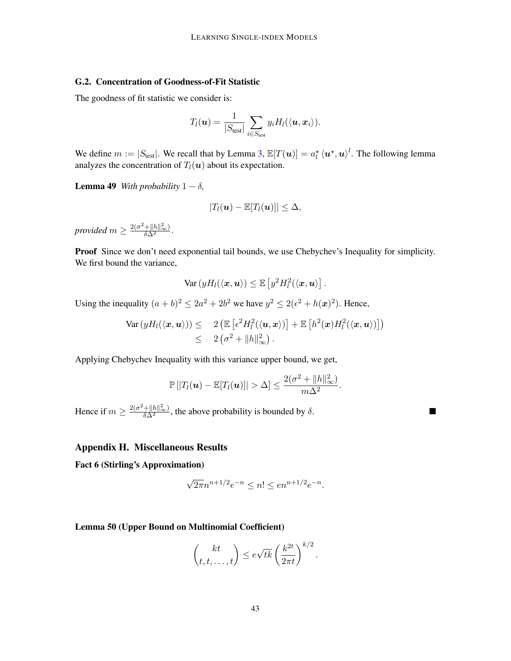### G.2. Concentration of Goodness-of-Fit Statistic

The goodness of fit statistic we consider is:

$$
T_l(\boldsymbol{u}) = \frac{1}{|S_{\text{test}}|} \sum_{i \in S_{\text{test}}} y_i H_l(\langle \boldsymbol{u}, \boldsymbol{x}_i \rangle).
$$

We define  $m := |S_{\text{test}}|$ . We recall that by Lemma [3,](#page-5-2)  $\mathbb{E}[T(\boldsymbol{u})] = a_l^{\star} \langle \boldsymbol{u}^{\star}, \boldsymbol{u} \rangle^l$ . The following lemma analyzes the concentration of  $T_l(\boldsymbol{u})$  about its expectation.

<span id="page-42-0"></span>**Lemma 49** *With probability*  $1 - \delta$ *,* 

$$
|T_l(\boldsymbol{u}) - \mathbb{E}[T_l(\boldsymbol{u})]| \leq \Delta,
$$

*provided*  $m \geq \frac{2(\sigma^2 + ||h||_{\infty}^2)}{\delta \Delta^2}$ .

**Proof** Since we don't need exponential tail bounds, we use Chebychev's Inequality for simplicity. We first bound the variance,

$$
\text{Var}\left(yH_l(\langle \boldsymbol{x}, \boldsymbol{u} \rangle) \leq \mathbb{E}\left[y^2 H_l^2(\langle \boldsymbol{x}, \boldsymbol{u} \rangle\right].
$$

Using the inequality  $(a + b)^2 \le 2a^2 + 2b^2$  we have  $y^2 \le 2(\epsilon^2 + h(x)^2)$ . Hence,

$$
\operatorname{Var}\left(yH_l(\langle \boldsymbol{x}, \boldsymbol{u} \rangle)\right) \leq 2 \left( \mathbb{E}\left[\epsilon^2 H_l^2(\langle \boldsymbol{u}, \boldsymbol{x} \rangle)\right] + \mathbb{E}\left[h^2(\boldsymbol{x}) H_l^2(\langle \boldsymbol{x}, \boldsymbol{u} \rangle)\right] \right) \\ \leq 2 \left(\sigma^2 + \|h\|_{\infty}^2\right).
$$

Applying Chebychev Inequality with this variance upper bound, we get,

$$
\mathbb{P}[|T_l(\boldsymbol{u}) - \mathbb{E}[T_l(\boldsymbol{u})]| > \Delta] \leq \frac{2(\sigma^2 + ||h||_{\infty}^2)}{m\Delta^2}.
$$

П

Hence if  $m \geq \frac{2(\sigma^2 + ||h||_{\infty}^2)}{\delta \Delta^2}$ , the above probability is bounded by  $\delta$ .

### Appendix H. Miscellaneous Results

<span id="page-42-2"></span>Fact 6 (Stirling's Approximation)

$$
\sqrt{2\pi}n^{n+1/2}e^{-n} \le n! \le en^{n+1/2}e^{-n}.
$$

<span id="page-42-1"></span>Lemma 50 (Upper Bound on Multinomial Coefficient)

$$
\binom{kt}{t,t,\ldots,t} \leq e\sqrt{tk} \left(\frac{k^{2t}}{2\pi t}\right)^{k/2}.
$$